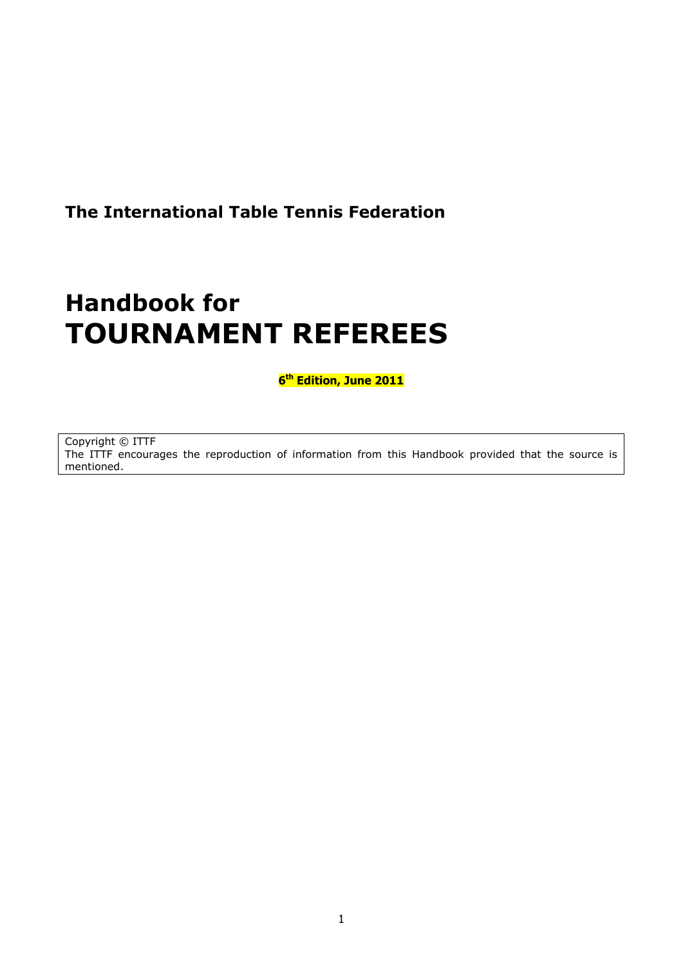### **The International Table Tennis Federation**

# **Handbook for TOURNAMENT REFEREES**

**6 th Edition, June 2011**

Copyright © ITTF The ITTF encourages the reproduction of information from this Handbook provided that the source is mentioned.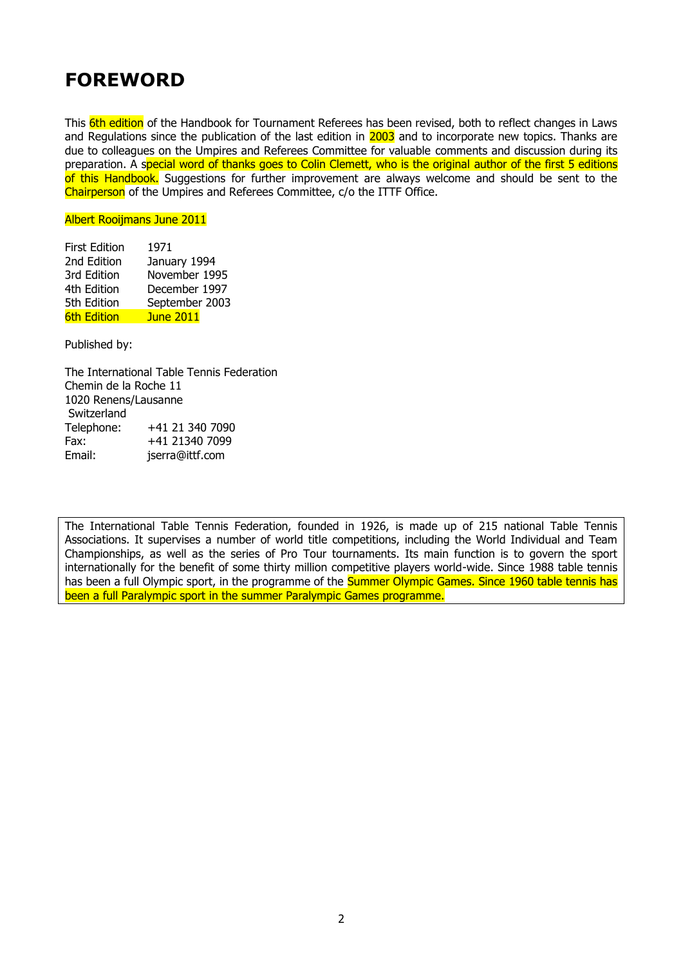### **FOREWORD**

This 6th edition of the Handbook for Tournament Referees has been revised, both to reflect changes in Laws and Regulations since the publication of the last edition in 2003 and to incorporate new topics. Thanks are due to colleagues on the Umpires and Referees Committee for valuable comments and discussion during its preparation. A special word of thanks goes to Colin Clemett, who is the original author of the first 5 editions of this Handbook. Suggestions for further improvement are always welcome and should be sent to the Chairperson of the Umpires and Referees Committee, c/o the ITTF Office.

#### Albert Rooijmans June 2011

| <b>First Edition</b> | 1971             |
|----------------------|------------------|
| 2nd Edition          | January 1994     |
| 3rd Edition          | November 1995    |
| 4th Edition          | December 1997    |
| 5th Edition          | September 2003   |
| <b>6th Edition</b>   | <b>June 2011</b> |

Published by:

The International Table Tennis Federation Chemin de la Roche 11 1020 Renens/Lausanne Switzerland Telephone: +41 21 340 7090 Fax: +41 21340 7099 Email: jserra@ittf.com

The International Table Tennis Federation, founded in 1926, is made up of 215 national Table Tennis Associations. It supervises a number of world title competitions, including the World Individual and Team Championships, as well as the series of Pro Tour tournaments. Its main function is to govern the sport internationally for the benefit of some thirty million competitive players world-wide. Since 1988 table tennis has been a full Olympic sport, in the programme of the Summer Olympic Games. Since 1960 table tennis has been a full Paralympic sport in the summer Paralympic Games programme.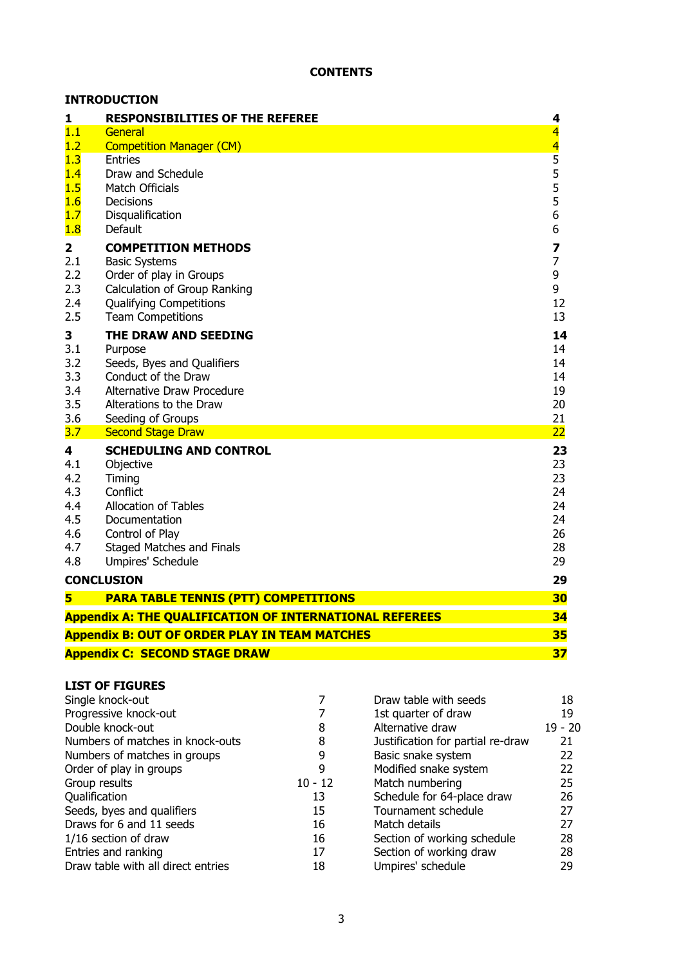|                         | <b>INTRODUCTION</b>                                            |                         |
|-------------------------|----------------------------------------------------------------|-------------------------|
| 1                       | <b>RESPONSIBILITIES OF THE REFEREE</b>                         | 4                       |
| 1.1                     | General                                                        | $\overline{4}$          |
| 1.2                     | <b>Competition Manager (CM)</b>                                | $\overline{\mathbf{4}}$ |
| 1.3                     | <b>Entries</b><br>Draw and Schedule                            | $\overline{5}$<br>5     |
| 1.4<br>1.5              | <b>Match Officials</b>                                         | 5                       |
| 1.6                     | Decisions                                                      | 5                       |
| 1.7                     | Disqualification                                               | 6                       |
| 1.8                     | Default                                                        | 6                       |
| $\overline{\mathbf{2}}$ | <b>COMPETITION METHODS</b>                                     | 7                       |
| 2.1                     | <b>Basic Systems</b>                                           | $\overline{7}$          |
| 2.2                     | Order of play in Groups                                        | 9                       |
| 2.3                     | <b>Calculation of Group Ranking</b>                            | 9                       |
| 2.4                     | <b>Qualifying Competitions</b>                                 | 12                      |
| 2.5                     | <b>Team Competitions</b>                                       | 13                      |
| 3                       | THE DRAW AND SEEDING                                           | 14                      |
| 3.1                     | Purpose                                                        | 14                      |
| 3.2<br>3.3              | Seeds, Byes and Qualifiers<br>Conduct of the Draw              | 14<br>14                |
| 3.4                     | Alternative Draw Procedure                                     | 19                      |
| 3.5                     | Alterations to the Draw                                        | 20                      |
| 3.6                     | Seeding of Groups                                              | 21                      |
| 3.7                     | <b>Second Stage Draw</b>                                       | 22                      |
| 4                       | <b>SCHEDULING AND CONTROL</b>                                  | 23                      |
| 4.1                     | Objective                                                      | 23                      |
| 4.2                     | Timing                                                         | 23                      |
| 4.3<br>4.4              | Conflict<br>Allocation of Tables                               | 24<br>24                |
| 4.5                     | Documentation                                                  | 24                      |
| 4.6                     | Control of Play                                                | 26                      |
| 4.7                     | <b>Staged Matches and Finals</b>                               | 28                      |
| 4.8                     | Umpires' Schedule                                              | 29                      |
|                         | <b>CONCLUSION</b>                                              | 29                      |
| 5                       | <b>PARA TABLE TENNIS (PTT) COMPETITIONS</b>                    | 30                      |
|                         | <b>Appendix A: THE QUALIFICATION OF INTERNATIONAL REFEREES</b> | 34                      |
|                         | <b>Appendix B: OUT OF ORDER PLAY IN TEAM MATCHES</b>           | 35                      |
|                         | <b>Appendix C: SECOND STAGE DRAW</b>                           | 37                      |

# **LIST OF FIGURES**

| LISI UF FIGURES                    |           |                                   |           |
|------------------------------------|-----------|-----------------------------------|-----------|
| Single knock-out                   |           | Draw table with seeds             | 18        |
| Progressive knock-out              |           | 1st quarter of draw               | 19        |
| Double knock-out                   | 8         | Alternative draw                  | $19 - 20$ |
| Numbers of matches in knock-outs   | 8         | Justification for partial re-draw | 21        |
| Numbers of matches in groups       | 9         | Basic snake system                | 22        |
| Order of play in groups            | 9         | Modified snake system             | 22        |
| Group results                      | $10 - 12$ | Match numbering                   | 25        |
| Qualification                      | 13        | Schedule for 64-place draw        | 26        |
| Seeds, byes and qualifiers         | 15        | Tournament schedule               | 27        |
| Draws for 6 and 11 seeds           | 16        | Match details                     | 27        |
| $1/16$ section of draw             | 16        | Section of working schedule       | 28        |
| Entries and ranking                | 17        | Section of working draw           | 28        |
| Draw table with all direct entries | 18        | Umpires' schedule                 | 29        |
|                                    |           |                                   |           |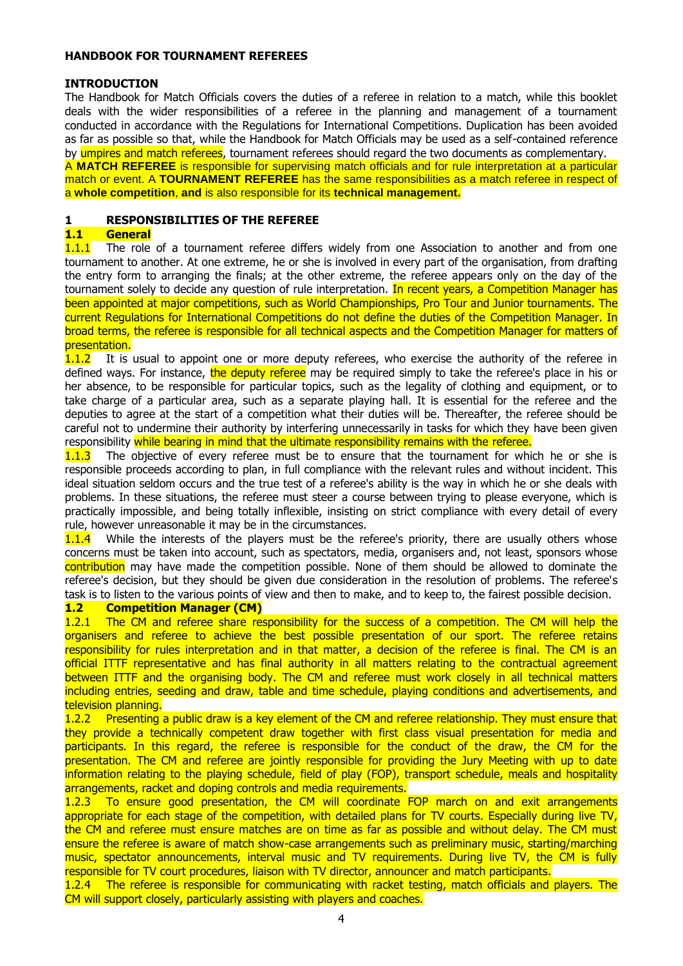#### **HANDBOOK FOR TOURNAMENT REFEREES**

#### **INTRODUCTION**

The Handbook for Match Officials covers the duties of a referee in relation to a match, while this booklet deals with the wider responsibilities of a referee in the planning and management of a tournament conducted in accordance with the Regulations for International Competitions. Duplication has been avoided as far as possible so that, while the Handbook for Match Officials may be used as a self-contained reference by umpires and match referees, tournament referees should regard the two documents as complementary. A **MATCH REFEREE** is responsible for supervising match officials and for rule interpretation at a particular

match or event. A **TOURNAMENT REFEREE** has the same responsibilities as a match referee in respect of a **whole competition**, **and** is also responsible for its **technical management.**

#### **1 RESPONSIBILITIES OF THE REFEREE**

#### **1.1 General**

**1.1.1** The role of a tournament referee differs widely from one Association to another and from one tournament to another. At one extreme, he or she is involved in every part of the organisation, from drafting the entry form to arranging the finals; at the other extreme, the referee appears only on the day of the tournament solely to decide any question of rule interpretation. In recent years, a Competition Manager has been appointed at major competitions, such as World Championships, Pro Tour and Junior tournaments. The current Regulations for International Competitions do not define the duties of the Competition Manager. In broad terms, the referee is responsible for all technical aspects and the Competition Manager for matters of presentation.

1.1.2 It is usual to appoint one or more deputy referees, who exercise the authority of the referee in defined ways. For instance, the deputy referee may be required simply to take the referee's place in his or her absence, to be responsible for particular topics, such as the legality of clothing and equipment, or to take charge of a particular area, such as a separate playing hall. It is essential for the referee and the deputies to agree at the start of a competition what their duties will be. Thereafter, the referee should be careful not to undermine their authority by interfering unnecessarily in tasks for which they have been given responsibility while bearing in mind that the ultimate responsibility remains with the referee.

**1.1.3** The objective of every referee must be to ensure that the tournament for which he or she is responsible proceeds according to plan, in full compliance with the relevant rules and without incident. This ideal situation seldom occurs and the true test of a referee's ability is the way in which he or she deals with problems. In these situations, the referee must steer a course between trying to please everyone, which is practically impossible, and being totally inflexible, insisting on strict compliance with every detail of every rule, however unreasonable it may be in the circumstances.

1.1.4 While the interests of the players must be the referee's priority, there are usually others whose concerns must be taken into account, such as spectators, media, organisers and, not least, sponsors whose contribution may have made the competition possible. None of them should be allowed to dominate the referee's decision, but they should be given due consideration in the resolution of problems. The referee's task is to listen to the various points of view and then to make, and to keep to, the fairest possible decision.

#### **1.2 Competition Manager (CM)**

1.2.1 The CM and referee share responsibility for the success of a competition. The CM will help the organisers and referee to achieve the best possible presentation of our sport. The referee retains responsibility for rules interpretation and in that matter, a decision of the referee is final. The CM is an official ITTF representative and has final authority in all matters relating to the contractual agreement between ITTF and the organising body. The CM and referee must work closely in all technical matters including entries, seeding and draw, table and time schedule, playing conditions and advertisements, and television planning.

1.2.2 Presenting a public draw is a key element of the CM and referee relationship. They must ensure that they provide a technically competent draw together with first class visual presentation for media and participants. In this regard, the referee is responsible for the conduct of the draw, the CM for the presentation. The CM and referee are jointly responsible for providing the Jury Meeting with up to date information relating to the playing schedule, field of play (FOP), transport schedule, meals and hospitality arrangements, racket and doping controls and media requirements.

1.2.3 To ensure good presentation, the CM will coordinate FOP march on and exit arrangements appropriate for each stage of the competition, with detailed plans for TV courts. Especially during live TV, the CM and referee must ensure matches are on time as far as possible and without delay. The CM must ensure the referee is aware of match show-case arrangements such as preliminary music, starting/marching music, spectator announcements, interval music and TV requirements. During live TV, the CM is fully responsible for TV court procedures, liaison with TV director, announcer and match participants.

1.2.4 The referee is responsible for communicating with racket testing, match officials and players. The CM will support closely, particularly assisting with players and coaches.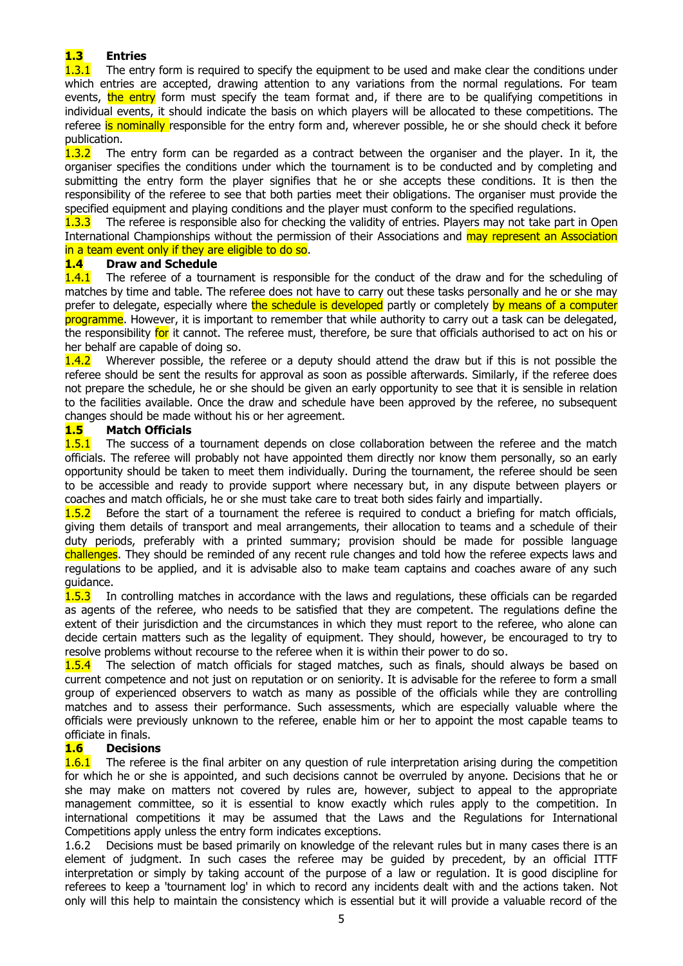# **1.3 Entries**

The entry form is required to specify the equipment to be used and make clear the conditions under which entries are accepted, drawing attention to any variations from the normal regulations. For team events, the entry form must specify the team format and, if there are to be qualifying competitions in individual events, it should indicate the basis on which players will be allocated to these competitions. The referee is nominally responsible for the entry form and, wherever possible, he or she should check it before

publication.<br>1.3.2 The The entry form can be regarded as a contract between the organiser and the player. In it, the organiser specifies the conditions under which the tournament is to be conducted and by completing and submitting the entry form the player signifies that he or she accepts these conditions. It is then the responsibility of the referee to see that both parties meet their obligations. The organiser must provide the specified equipment and playing conditions and the player must conform to the specified regulations.

1.3.3 The referee is responsible also for checking the validity of entries. Players may not take part in Open International Championships without the permission of their Associations and may represent an Association in a team event only if they are eligible to do so.

#### **1.4 Draw and Schedule**

**1.4.1** The referee of a tournament is responsible for the conduct of the draw and for the scheduling of matches by time and table. The referee does not have to carry out these tasks personally and he or she may prefer to delegate, especially where the schedule is developed partly or completely by means of a computer programme. However, it is important to remember that while authority to carry out a task can be delegated, the responsibility for it cannot. The referee must, therefore, be sure that officials authorised to act on his or her behalf are capable of doing so.

1.4.2 Wherever possible, the referee or a deputy should attend the draw but if this is not possible the referee should be sent the results for approval as soon as possible afterwards. Similarly, if the referee does not prepare the schedule, he or she should be given an early opportunity to see that it is sensible in relation to the facilities available. Once the draw and schedule have been approved by the referee, no subsequent changes should be made without his or her agreement.

#### **1.5 Match Officials**

1.5.1 The success of a tournament depends on close collaboration between the referee and the match officials. The referee will probably not have appointed them directly nor know them personally, so an early opportunity should be taken to meet them individually. During the tournament, the referee should be seen to be accessible and ready to provide support where necessary but, in any dispute between players or coaches and match officials, he or she must take care to treat both sides fairly and impartially.

1.5.2 Before the start of a tournament the referee is required to conduct a briefing for match officials, giving them details of transport and meal arrangements, their allocation to teams and a schedule of their duty periods, preferably with a printed summary; provision should be made for possible language challenges. They should be reminded of any recent rule changes and told how the referee expects laws and regulations to be applied, and it is advisable also to make team captains and coaches aware of any such guidance.

1.5.3 In controlling matches in accordance with the laws and regulations, these officials can be regarded as agents of the referee, who needs to be satisfied that they are competent. The regulations define the extent of their jurisdiction and the circumstances in which they must report to the referee, who alone can decide certain matters such as the legality of equipment. They should, however, be encouraged to try to resolve problems without recourse to the referee when it is within their power to do so.

1.5.4 The selection of match officials for staged matches, such as finals, should always be based on current competence and not just on reputation or on seniority. It is advisable for the referee to form a small group of experienced observers to watch as many as possible of the officials while they are controlling matches and to assess their performance. Such assessments, which are especially valuable where the officials were previously unknown to the referee, enable him or her to appoint the most capable teams to officiate in finals.

#### **1.6 Decisions**

**1.6.1** The referee is the final arbiter on any question of rule interpretation arising during the competition for which he or she is appointed, and such decisions cannot be overruled by anyone. Decisions that he or she may make on matters not covered by rules are, however, subject to appeal to the appropriate management committee, so it is essential to know exactly which rules apply to the competition. In international competitions it may be assumed that the Laws and the Regulations for International Competitions apply unless the entry form indicates exceptions.

1.6.2 Decisions must be based primarily on knowledge of the relevant rules but in many cases there is an element of judgment. In such cases the referee may be guided by precedent, by an official ITTF interpretation or simply by taking account of the purpose of a law or regulation. It is good discipline for referees to keep a 'tournament log' in which to record any incidents dealt with and the actions taken. Not only will this help to maintain the consistency which is essential but it will provide a valuable record of the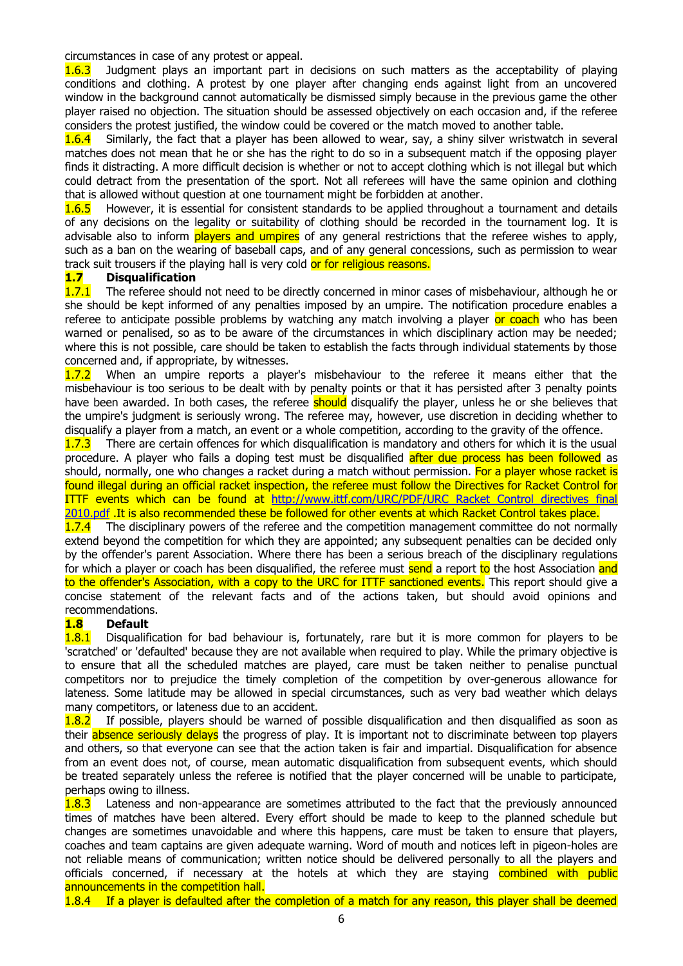circumstances in case of any protest or appeal.

**1.6.3** Judgment plays an important part in decisions on such matters as the acceptability of playing conditions and clothing. A protest by one player after changing ends against light from an uncovered window in the background cannot automatically be dismissed simply because in the previous game the other player raised no objection. The situation should be assessed objectively on each occasion and, if the referee considers the protest justified, the window could be covered or the match moved to another table.

**1.6.4** Similarly, the fact that a player has been allowed to wear, say, a shiny silver wristwatch in several matches does not mean that he or she has the right to do so in a subsequent match if the opposing player finds it distracting. A more difficult decision is whether or not to accept clothing which is not illegal but which could detract from the presentation of the sport. Not all referees will have the same opinion and clothing that is allowed without question at one tournament might be forbidden at another.

**1.6.5** However, it is essential for consistent standards to be applied throughout a tournament and details of any decisions on the legality or suitability of clothing should be recorded in the tournament log. It is advisable also to inform **players and umpires** of any general restrictions that the referee wishes to apply, such as a ban on the wearing of baseball caps, and of any general concessions, such as permission to wear track suit trousers if the playing hall is very cold or for religious reasons.

#### **1.7 Disqualification**

1.7.1 The referee should not need to be directly concerned in minor cases of misbehaviour, although he or she should be kept informed of any penalties imposed by an umpire. The notification procedure enables a referee to anticipate possible problems by watching any match involving a player or coach who has been warned or penalised, so as to be aware of the circumstances in which disciplinary action may be needed; where this is not possible, care should be taken to establish the facts through individual statements by those concerned and, if appropriate, by witnesses.

1.7.2 When an umpire reports a player's misbehaviour to the referee it means either that the misbehaviour is too serious to be dealt with by penalty points or that it has persisted after 3 penalty points have been awarded. In both cases, the referee **should** disqualify the player, unless he or she believes that the umpire's judgment is seriously wrong. The referee may, however, use discretion in deciding whether to disqualify a player from a match, an event or a whole competition, according to the gravity of the offence.

1.7.3 There are certain offences for which disqualification is mandatory and others for which it is the usual procedure. A player who fails a doping test must be disqualified after due process has been followed as should, normally, one who changes a racket during a match without permission. For a player whose racket is found illegal during an official racket inspection, the referee must follow the Directives for Racket Control for ITTF events which can be found at [http://www.ittf.com/URC/PDF/URC Racket Control directives final](http://www.ittf.com/URC/PDF/URC%20Racket%20Control%20directives%20final%202010.pdf)  [2010.pdf](http://www.ittf.com/URC/PDF/URC%20Racket%20Control%20directives%20final%202010.pdf) .It is also recommended these be followed for other events at which Racket Control takes place.

**1.7.4** The disciplinary powers of the referee and the competition management committee do not normally extend beyond the competition for which they are appointed; any subsequent penalties can be decided only by the offender's parent Association. Where there has been a serious breach of the disciplinary regulations for which a player or coach has been disqualified, the referee must send a report to the host Association and to the offender's Association, with a copy to the URC for ITTF sanctioned events. This report should give a concise statement of the relevant facts and of the actions taken, but should avoid opinions and recommendations.

#### **1.8 Default**

1.8.1 Disqualification for bad behaviour is, fortunately, rare but it is more common for players to be 'scratched' or 'defaulted' because they are not available when required to play. While the primary objective is to ensure that all the scheduled matches are played, care must be taken neither to penalise punctual competitors nor to prejudice the timely completion of the competition by over-generous allowance for lateness. Some latitude may be allowed in special circumstances, such as very bad weather which delays many competitors, or lateness due to an accident.

**1.8.2** If possible, players should be warned of possible disqualification and then disqualified as soon as their absence seriously delays the progress of play. It is important not to discriminate between top players and others, so that everyone can see that the action taken is fair and impartial. Disqualification for absence from an event does not, of course, mean automatic disqualification from subsequent events, which should be treated separately unless the referee is notified that the player concerned will be unable to participate, perhaps owing to illness.

**1.8.3** Lateness and non-appearance are sometimes attributed to the fact that the previously announced times of matches have been altered. Every effort should be made to keep to the planned schedule but changes are sometimes unavoidable and where this happens, care must be taken to ensure that players, coaches and team captains are given adequate warning. Word of mouth and notices left in pigeon-holes are not reliable means of communication; written notice should be delivered personally to all the players and officials concerned, if necessary at the hotels at which they are staying combined with public announcements in the competition hall.

1.8.4 If a player is defaulted after the completion of a match for any reason, this player shall be deemed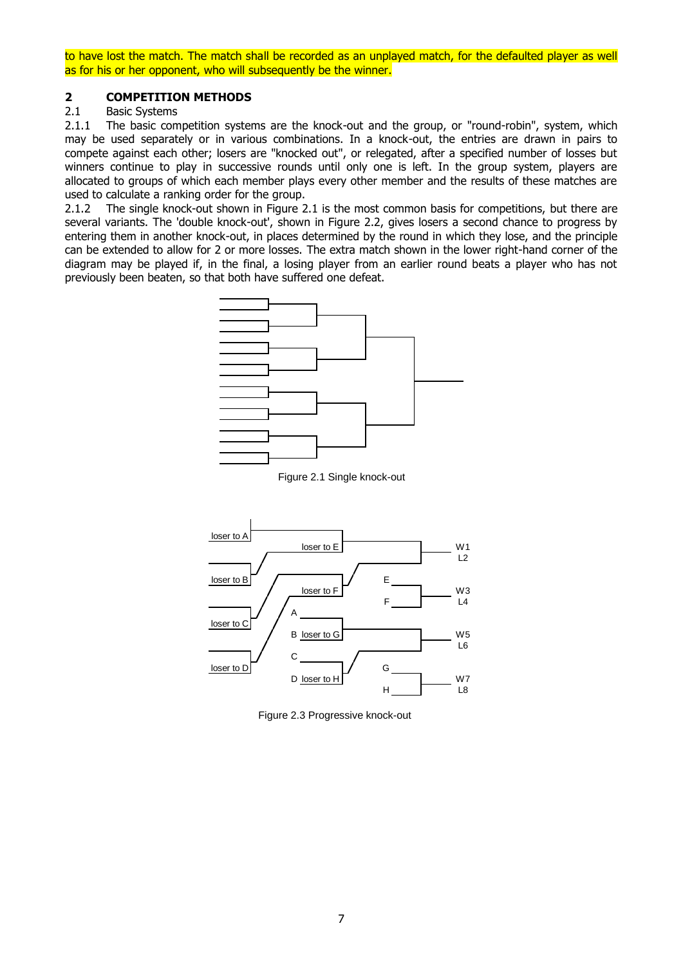to have lost the match. The match shall be recorded as an unplayed match, for the defaulted player as well as for his or her opponent, who will subsequently be the winner.

### **2 <b>COMPETITION METHODS**<br>2.1 Basic Systems

#### **Basic Systems**

2.1.1 The basic competition systems are the knock-out and the group, or "round-robin", system, which may be used separately or in various combinations. In a knock-out, the entries are drawn in pairs to compete against each other; losers are "knocked out", or relegated, after a specified number of losses but winners continue to play in successive rounds until only one is left. In the group system, players are allocated to groups of which each member plays every other member and the results of these matches are used to calculate a ranking order for the group.

2.1.2 The single knock-out shown in Figure 2.1 is the most common basis for competitions, but there are several variants. The 'double knock-out', shown in Figure 2.2, gives losers a second chance to progress by entering them in another knock-out, in places determined by the round in which they lose, and the principle can be extended to allow for 2 or more losses. The extra match shown in the lower right-hand corner of the diagram may be played if, in the final, a losing player from an earlier round beats a player who has not previously been beaten, so that both have suffered one defeat.



Figure 2.1 Single knock-out



Figure 2.3 Progressive knock-out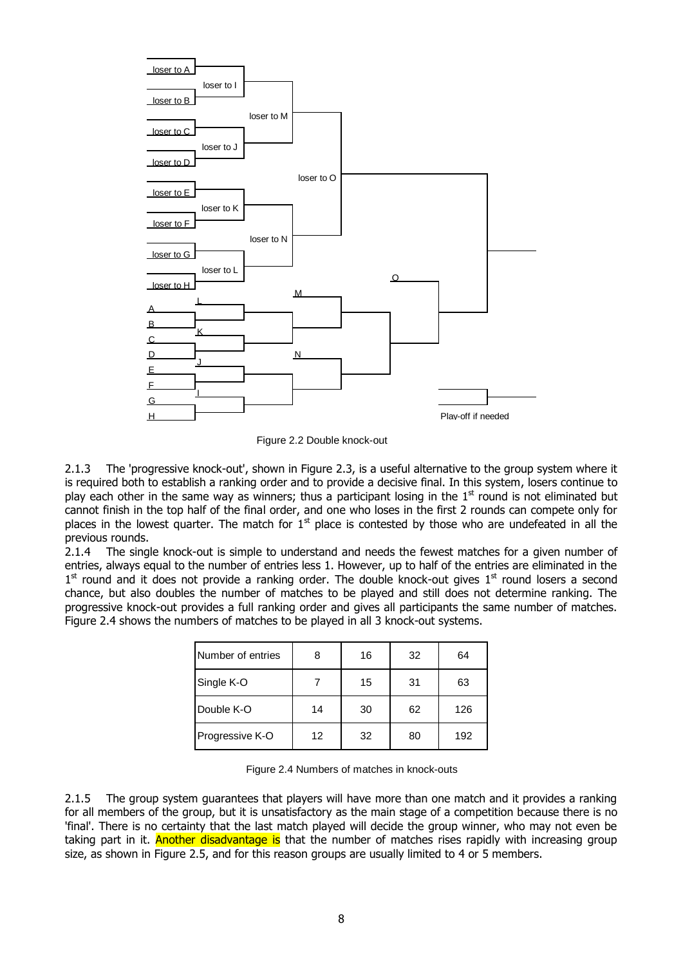

Figure 2.2 Double knock-out

2.1.3 The 'progressive knock-out', shown in Figure 2.3, is a useful alternative to the group system where it is required both to establish a ranking order and to provide a decisive final. In this system, losers continue to play each other in the same way as winners; thus a participant losing in the  $1<sup>st</sup>$  round is not eliminated but cannot finish in the top half of the final order, and one who loses in the first 2 rounds can compete only for places in the lowest quarter. The match for  $1<sup>st</sup>$  place is contested by those who are undefeated in all the previous rounds.

2.1.4 The single knock-out is simple to understand and needs the fewest matches for a given number of entries, always equal to the number of entries less 1. However, up to half of the entries are eliminated in the 1<sup>st</sup> round and it does not provide a ranking order. The double knock-out gives 1<sup>st</sup> round losers a second chance, but also doubles the number of matches to be played and still does not determine ranking. The progressive knock-out provides a full ranking order and gives all participants the same number of matches. Figure 2.4 shows the numbers of matches to be played in all 3 knock-out systems.

| <b>INumber of entries</b> | 8  | 16 | 32 | 64  |
|---------------------------|----|----|----|-----|
| Single K-O                |    | 15 | 31 | 63  |
| Double K-O                | 14 | 30 | 62 | 126 |
| Progressive K-O           | 12 | 32 | 80 | 192 |

Figure 2.4 Numbers of matches in knock-outs

2.1.5 The group system guarantees that players will have more than one match and it provides a ranking for all members of the group, but it is unsatisfactory as the main stage of a competition because there is no 'final'. There is no certainty that the last match played will decide the group winner, who may not even be taking part in it. Another disadvantage is that the number of matches rises rapidly with increasing group size, as shown in Figure 2.5, and for this reason groups are usually limited to 4 or 5 members.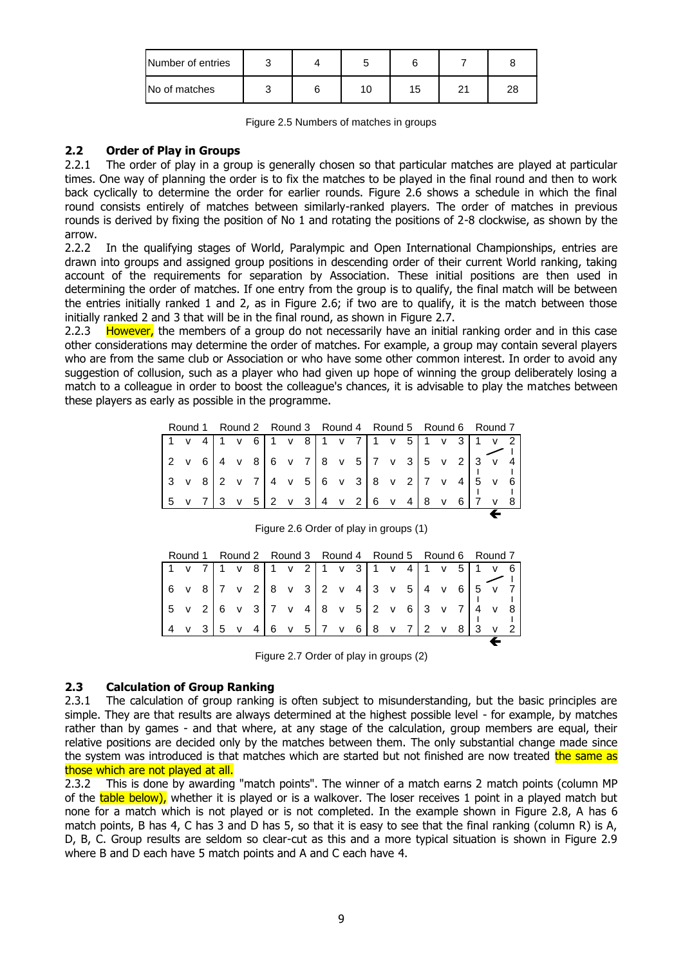| Number of entries |  |   |    |    |    |
|-------------------|--|---|----|----|----|
| No of matches     |  | C | 15 | n, | 28 |

|  | Figure 2.5 Numbers of matches in groups |
|--|-----------------------------------------|
|--|-----------------------------------------|

#### **2.2 Order of Play in Groups**

2.2.1 The order of play in a group is generally chosen so that particular matches are played at particular times. One way of planning the order is to fix the matches to be played in the final round and then to work back cyclically to determine the order for earlier rounds. Figure 2.6 shows a schedule in which the final round consists entirely of matches between similarly-ranked players. The order of matches in previous rounds is derived by fixing the position of No 1 and rotating the positions of 2-8 clockwise, as shown by the arrow.

2.2.2 In the qualifying stages of World, Paralympic and Open International Championships, entries are drawn into groups and assigned group positions in descending order of their current World ranking, taking account of the requirements for separation by Association. These initial positions are then used in determining the order of matches. If one entry from the group is to qualify, the final match will be between the entries initially ranked 1 and 2, as in Figure 2.6; if two are to qualify, it is the match between those initially ranked 2 and 3 that will be in the final round, as shown in Figure 2.7.

2.2.3 However, the members of a group do not necessarily have an initial ranking order and in this case other considerations may determine the order of matches. For example, a group may contain several players who are from the same club or Association or who have some other common interest. In order to avoid any suggestion of collusion, such as a player who had given up hope of winning the group deliberately losing a match to a colleague in order to boost the colleague's chances, it is advisable to play the matches between these players as early as possible in the programme.

|                                                                                                                   |  | Round 1 Round 2 Round 3 Round 4 Round 5 Round 6 Round 7 |  |  |  |  |  |  |  |  |  |
|-------------------------------------------------------------------------------------------------------------------|--|---------------------------------------------------------|--|--|--|--|--|--|--|--|--|
| $1 \times 41 \times 61 \times 81 \times 71 \times 51 \times 31 \times 2$                                          |  |                                                         |  |  |  |  |  |  |  |  |  |
| $2 \times 6$ 4 v 8 6 v 7 8 v 5 7 v 3 5 v 2 3 v 4                                                                  |  |                                                         |  |  |  |  |  |  |  |  |  |
| $3 \times 8$ 2 v 7 4 v 5 6 v 3 8 v 2 7 v 4 5 v 6                                                                  |  |                                                         |  |  |  |  |  |  |  |  |  |
| $\begin{bmatrix} 5 & v & 7 & 3 & v & 5 & 2 & v & 3 & 4 & v & 2 & 6 & v & 4 & 8 & v & 6 & 7 & v & 8 \end{bmatrix}$ |  |                                                         |  |  |  |  |  |  |  |  |  |
|                                                                                                                   |  |                                                         |  |  |  |  |  |  |  |  |  |

|                                                                                                                   |  |  |  |  |  |  |  |  | Round 1 Round 2 Round 3 Round 4 Round 5 Round 6 Round 7 |  |
|-------------------------------------------------------------------------------------------------------------------|--|--|--|--|--|--|--|--|---------------------------------------------------------|--|
| $1 \times 7$ 1 v 8 1 v 2 1 v 3 1 v 4 1 v 5 1 v 6                                                                  |  |  |  |  |  |  |  |  |                                                         |  |
| $6 \times 8$ 7 v 2 8 v 3 2 v 4 3 v 5 4 v 6 5 v 7                                                                  |  |  |  |  |  |  |  |  |                                                         |  |
| $\begin{bmatrix} 5 & v & 2 & 6 & v & 3 & 7 & v & 4 & 8 & v & 5 & 2 & v & 6 & 3 & v & 7 & 4 & v & 8 \end{bmatrix}$ |  |  |  |  |  |  |  |  |                                                         |  |
| $\begin{bmatrix} 4 & v & 3 & 5 & v & 4 & 6 & v & 5 & 7 & v & 6 & 8 & v & 7 & 2 & v & 8 & 3 & v & 2 \end{bmatrix}$ |  |  |  |  |  |  |  |  |                                                         |  |
|                                                                                                                   |  |  |  |  |  |  |  |  |                                                         |  |

Figure 2.6 Order of play in groups (1)

Figure 2.7 Order of play in groups (2)

#### **2.3 Calculation of Group Ranking**

2.3.1 The calculation of group ranking is often subject to misunderstanding, but the basic principles are simple. They are that results are always determined at the highest possible level - for example, by matches rather than by games - and that where, at any stage of the calculation, group members are equal, their relative positions are decided only by the matches between them. The only substantial change made since the system was introduced is that matches which are started but not finished are now treated the same as those which are not played at all.

2.3.2 This is done by awarding "match points". The winner of a match earns 2 match points (column MP of the table below), whether it is played or is a walkover. The loser receives 1 point in a played match but none for a match which is not played or is not completed. In the example shown in Figure 2.8, A has 6 match points, B has 4, C has 3 and D has 5, so that it is easy to see that the final ranking (column R) is A, D, B, C. Group results are seldom so clear-cut as this and a more typical situation is shown in Figure 2.9 where B and D each have 5 match points and A and C each have 4.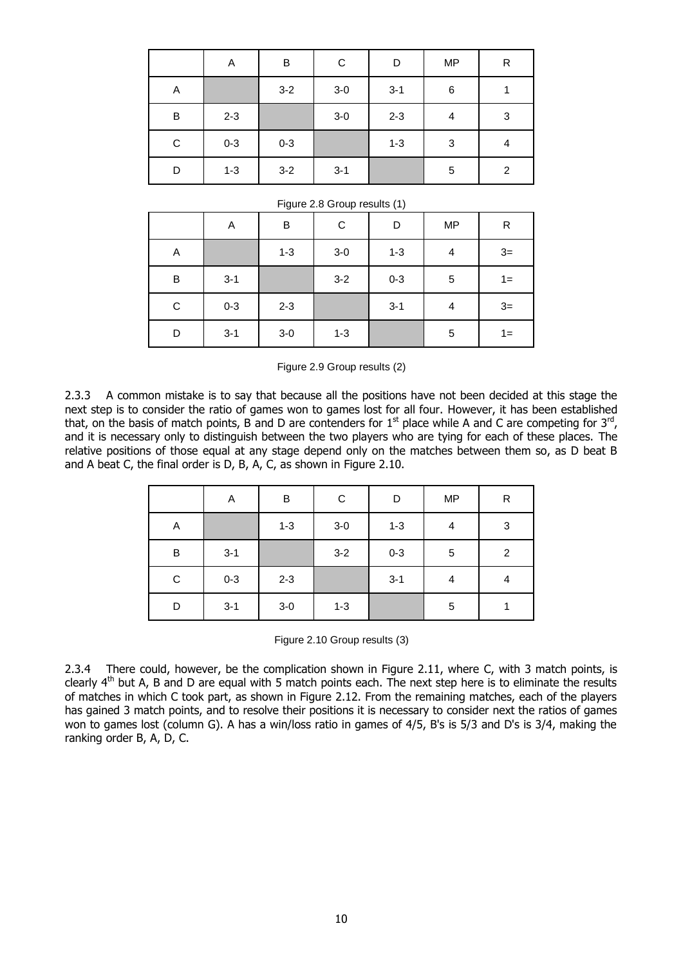|             | Α       | B       | С       | D       | <b>MP</b> | R              |
|-------------|---------|---------|---------|---------|-----------|----------------|
| Α           |         | $3 - 2$ | $3-0$   | $3 - 1$ | $\,6$     |                |
| B           | $2 - 3$ |         | $3-0$   | $2 - 3$ | 4         | 3              |
| $\mathbf C$ | $0 - 3$ | $0 - 3$ |         | $1 - 3$ | 3         | 4              |
| D           | $1 - 3$ | $3 - 2$ | $3 - 1$ |         | 5         | $\overline{2}$ |

|  |  |  | Figure 2.8 Group results (1) |  |
|--|--|--|------------------------------|--|
|--|--|--|------------------------------|--|

|             | Α       | B       | C       | D       | <b>MP</b> | R     |
|-------------|---------|---------|---------|---------|-----------|-------|
| A           |         | $1 - 3$ | $3-0$   | $1 - 3$ | 4         | $3=$  |
| B           | $3 - 1$ |         | $3-2$   | $0 - 3$ | 5         | $1 =$ |
| $\mathbf C$ | $0 - 3$ | $2 - 3$ |         | $3 - 1$ | 4         | $3=$  |
| D           | $3 - 1$ | $3-0$   | $1 - 3$ |         | 5         | $1 =$ |

Figure 2.9 Group results (2)

2.3.3 A common mistake is to say that because all the positions have not been decided at this stage the next step is to consider the ratio of games won to games lost for all four. However, it has been established that, on the basis of match points, B and D are contenders for  $1^{\text{st}}$  place while A and C are competing for  $3^{\text{rd}}$ , and it is necessary only to distinguish between the two players who are tying for each of these places. The relative positions of those equal at any stage depend only on the matches between them so, as D beat B and A beat C, the final order is D, B, A, C, as shown in Figure 2.10.

|           | Α       | $\sf B$ | $\mathbf C$ | D       | <b>MP</b> | R              |
|-----------|---------|---------|-------------|---------|-----------|----------------|
| Α         |         | $1 - 3$ | $3-0$       | $1 - 3$ | 4         | 3              |
| B         | $3 - 1$ |         | $3 - 2$     | $0 - 3$ | 5         | $\overline{c}$ |
| ${\bf C}$ | $0 - 3$ | $2 - 3$ |             | $3 - 1$ | 4         | 4              |
| D         | $3 - 1$ | $3-0$   | $1 - 3$     |         | 5         |                |

Figure 2.10 Group results (3)

2.3.4 There could, however, be the complication shown in Figure 2.11, where C, with 3 match points, is clearly  $4<sup>th</sup>$  but A, B and D are equal with 5 match points each. The next step here is to eliminate the results of matches in which C took part, as shown in Figure 2.12. From the remaining matches, each of the players has gained 3 match points, and to resolve their positions it is necessary to consider next the ratios of games won to games lost (column G). A has a win/loss ratio in games of 4/5, B's is 5/3 and D's is 3/4, making the ranking order B, A, D, C.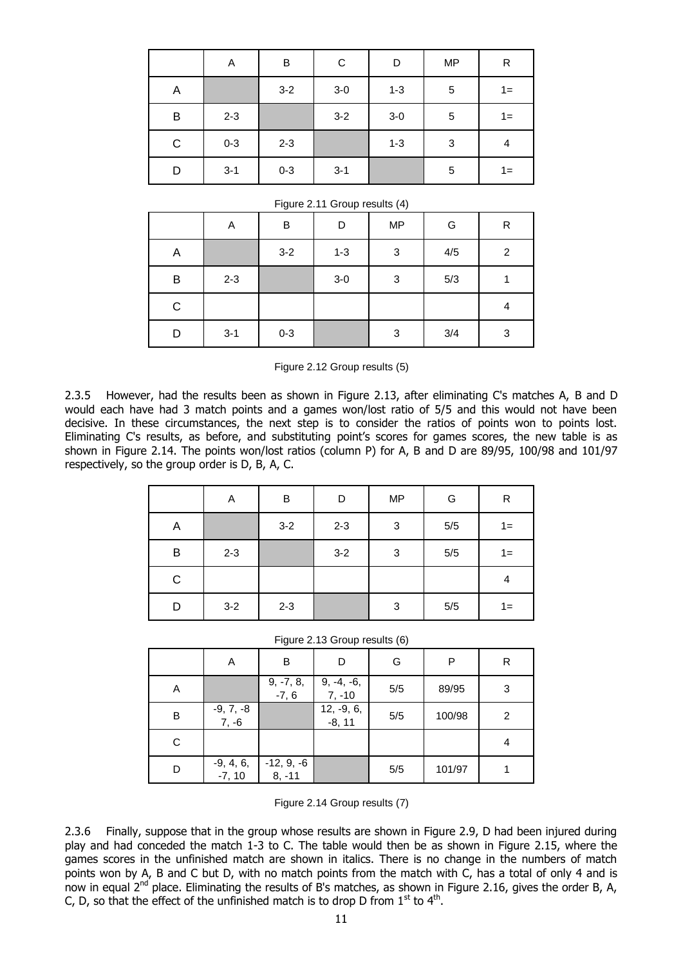|   | Α       | B       | C       | D       | <b>MP</b> | R     |
|---|---------|---------|---------|---------|-----------|-------|
| Α |         | $3 - 2$ | $3-0$   | $1 - 3$ | 5         | $1 =$ |
| B | $2 - 3$ |         | $3 - 2$ | $3-0$   | 5         | $1 =$ |
| C | $0 - 3$ | $2 - 3$ |         | $1 - 3$ | 3         | 4     |
| D | $3 - 1$ | $0 - 3$ | $3 - 1$ |         | 5         | $1 =$ |

|  |  |  | Figure 2.11 Group results (4) |  |
|--|--|--|-------------------------------|--|
|--|--|--|-------------------------------|--|

|             | A       | B       | D       | <b>MP</b>                 | G   | R              |
|-------------|---------|---------|---------|---------------------------|-----|----------------|
| A           |         | $3 - 2$ | $1 - 3$ | $\ensuremath{\mathsf{3}}$ | 4/5 | $\overline{2}$ |
| B           | $2 - 3$ |         | $3-0$   | $\ensuremath{\mathsf{3}}$ | 5/3 |                |
| $\mathsf C$ |         |         |         |                           |     | 4              |
| D           | $3 - 1$ | $0 - 3$ |         | $\ensuremath{\mathsf{3}}$ | 3/4 | 3              |

Figure 2.12 Group results (5)

2.3.5 However, had the results been as shown in Figure 2.13, after eliminating C's matches A, B and D would each have had 3 match points and a games won/lost ratio of 5/5 and this would not have been decisive. In these circumstances, the next step is to consider the ratios of points won to points lost. Eliminating C's results, as before, and substituting point's scores for games scores, the new table is as shown in Figure 2.14. The points won/lost ratios (column P) for A, B and D are 89/95, 100/98 and 101/97 respectively, so the group order is D, B, A, C.

|   | Α       | B       | D       | <b>MP</b>  | G     | R     |
|---|---------|---------|---------|------------|-------|-------|
| Α |         | $3-2$   | $2 - 3$ | $\sqrt{3}$ | $5/5$ | $1 =$ |
| B | $2 - 3$ |         | $3-2$   | 3          | $5/5$ | $1 =$ |
| C |         |         |         |            |       | 4     |
| D | $3-2$   | $2 - 3$ |         | $\sqrt{3}$ | $5/5$ | 1=    |

Figure 2.13 Group results (6)

|   | Α                       | B                        | D                      | G   | P      | R |
|---|-------------------------|--------------------------|------------------------|-----|--------|---|
| Α |                         | $9, -7, 8, -7, 6$        | $9, -4, -6,$<br>7, -10 | 5/5 | 89/95  | 3 |
| B | -9, 7, -8<br>7, -6      |                          | $12, -9, 6, -8, 11$    | 5/5 | 100/98 | 2 |
| C |                         |                          |                        |     |        | 4 |
| D | $-9, 4, 6,$<br>$-7, 10$ | $-12, 9, -6$<br>$8, -11$ |                        | 5/5 | 101/97 |   |

Figure 2.14 Group results (7)

2.3.6 Finally, suppose that in the group whose results are shown in Figure 2.9, D had been injured during play and had conceded the match 1-3 to C. The table would then be as shown in Figure 2.15, where the games scores in the unfinished match are shown in italics. There is no change in the numbers of match points won by A, B and C but D, with no match points from the match with C, has a total of only 4 and is now in equal 2<sup>nd</sup> place. Eliminating the results of B's matches, as shown in Figure 2.16, gives the order B, A, C, D, so that the effect of the unfinished match is to drop D from  $1<sup>st</sup>$  to  $4<sup>th</sup>$ .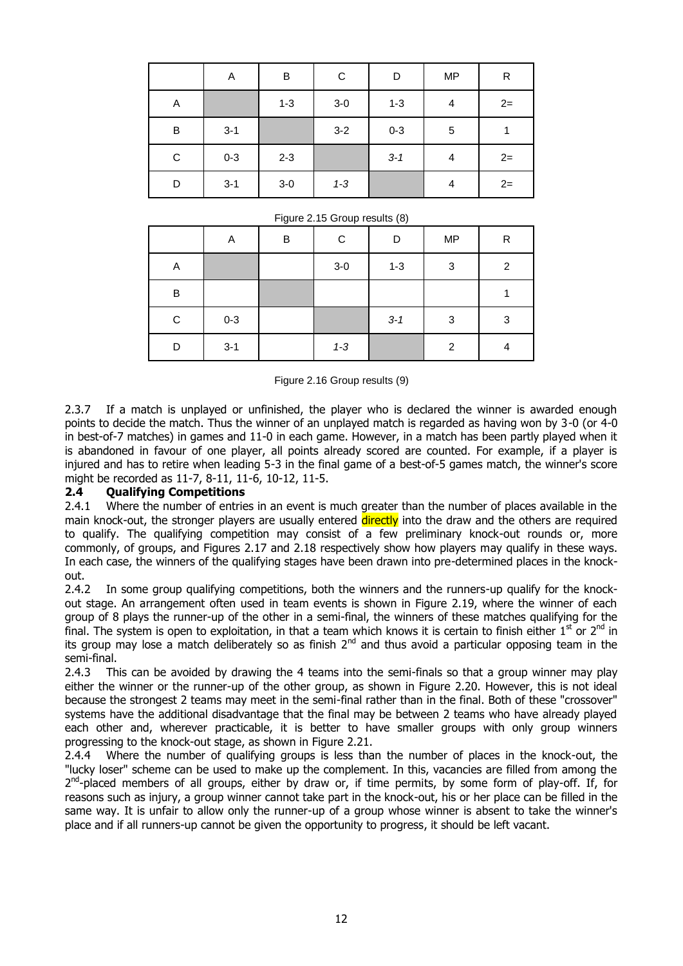|              | Α       | B       | С       | D       | <b>MP</b> | ${\sf R}$ |
|--------------|---------|---------|---------|---------|-----------|-----------|
| A            |         | $1 - 3$ | $3-0$   | $1 - 3$ | 4         | $2=$      |
| $\sf B$      | $3 - 1$ |         | $3 - 2$ | $0 - 3$ | 5         |           |
| $\mathsf{C}$ | $0 - 3$ | $2 - 3$ |         | $3 - 1$ | 4         | $2=$      |
| D            | $3 - 1$ | $3-0$   | $1 - 3$ |         | 4         | $2 =$     |

|  |  |  | Figure 2.15 Group results (8) |  |
|--|--|--|-------------------------------|--|
|--|--|--|-------------------------------|--|

|             | Α       | B | С       | D       | <b>MP</b>      | R              |
|-------------|---------|---|---------|---------|----------------|----------------|
| Α           |         |   | $3-0$   | $1 - 3$ | 3              | $\overline{2}$ |
| B           |         |   |         |         |                |                |
| $\mathbf C$ | $0 - 3$ |   |         | $3 - 1$ | 3              | 3              |
| D           | $3 - 1$ |   | $1 - 3$ |         | $\overline{c}$ | 4              |

Figure 2.16 Group results (9)

2.3.7 If a match is unplayed or unfinished, the player who is declared the winner is awarded enough points to decide the match. Thus the winner of an unplayed match is regarded as having won by 3-0 (or 4-0 in best-of-7 matches) in games and 11-0 in each game. However, in a match has been partly played when it is abandoned in favour of one player, all points already scored are counted. For example, if a player is injured and has to retire when leading 5-3 in the final game of a best-of-5 games match, the winner's score might be recorded as 11-7, 8-11, 11-6, 10-12, 11-5.

#### **2.4 Qualifying Competitions**

2.4.1 Where the number of entries in an event is much greater than the number of places available in the main knock-out, the stronger players are usually entered directly into the draw and the others are required to qualify. The qualifying competition may consist of a few preliminary knock-out rounds or, more commonly, of groups, and Figures 2.17 and 2.18 respectively show how players may qualify in these ways. In each case, the winners of the qualifying stages have been drawn into pre-determined places in the knockout.

2.4.2 In some group qualifying competitions, both the winners and the runners-up qualify for the knockout stage. An arrangement often used in team events is shown in Figure 2.19, where the winner of each group of 8 plays the runner-up of the other in a semi-final, the winners of these matches qualifying for the final. The system is open to exploitation, in that a team which knows it is certain to finish either  $1^{st}$  or  $2^{nd}$  in its group may lose a match deliberately so as finish  $2<sup>nd</sup>$  and thus avoid a particular opposing team in the semi-final.

2.4.3 This can be avoided by drawing the 4 teams into the semi-finals so that a group winner may play either the winner or the runner-up of the other group, as shown in Figure 2.20. However, this is not ideal because the strongest 2 teams may meet in the semi-final rather than in the final. Both of these "crossover" systems have the additional disadvantage that the final may be between 2 teams who have already played each other and, wherever practicable, it is better to have smaller groups with only group winners progressing to the knock-out stage, as shown in Figure 2.21.

2.4.4 Where the number of qualifying groups is less than the number of places in the knock-out, the "lucky loser" scheme can be used to make up the complement. In this, vacancies are filled from among the 2<sup>nd</sup>-placed members of all groups, either by draw or, if time permits, by some form of play-off. If, for reasons such as injury, a group winner cannot take part in the knock-out, his or her place can be filled in the same way. It is unfair to allow only the runner-up of a group whose winner is absent to take the winner's place and if all runners-up cannot be given the opportunity to progress, it should be left vacant.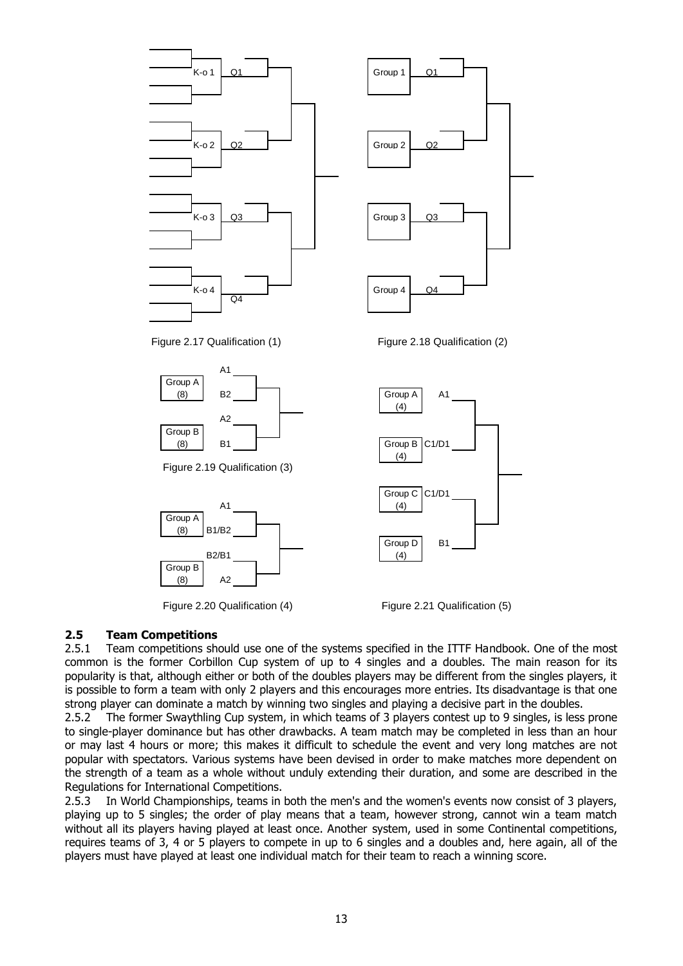

Figure 2.20 Qualification (4) Figure 2.21 Qualification (5)

#### **2.5 Team Competitions**

2.5.1 Team competitions should use one of the systems specified in the ITTF Handbook. One of the most common is the former Corbillon Cup system of up to 4 singles and a doubles. The main reason for its popularity is that, although either or both of the doubles players may be different from the singles players, it is possible to form a team with only 2 players and this encourages more entries. Its disadvantage is that one strong player can dominate a match by winning two singles and playing a decisive part in the doubles.

2.5.2 The former Swaythling Cup system, in which teams of 3 players contest up to 9 singles, is less prone to single-player dominance but has other drawbacks. A team match may be completed in less than an hour or may last 4 hours or more; this makes it difficult to schedule the event and very long matches are not popular with spectators. Various systems have been devised in order to make matches more dependent on the strength of a team as a whole without unduly extending their duration, and some are described in the Regulations for International Competitions.

2.5.3 In World Championships, teams in both the men's and the women's events now consist of 3 players, playing up to 5 singles; the order of play means that a team, however strong, cannot win a team match without all its players having played at least once. Another system, used in some Continental competitions, requires teams of 3, 4 or 5 players to compete in up to 6 singles and a doubles and, here again, all of the players must have played at least one individual match for their team to reach a winning score.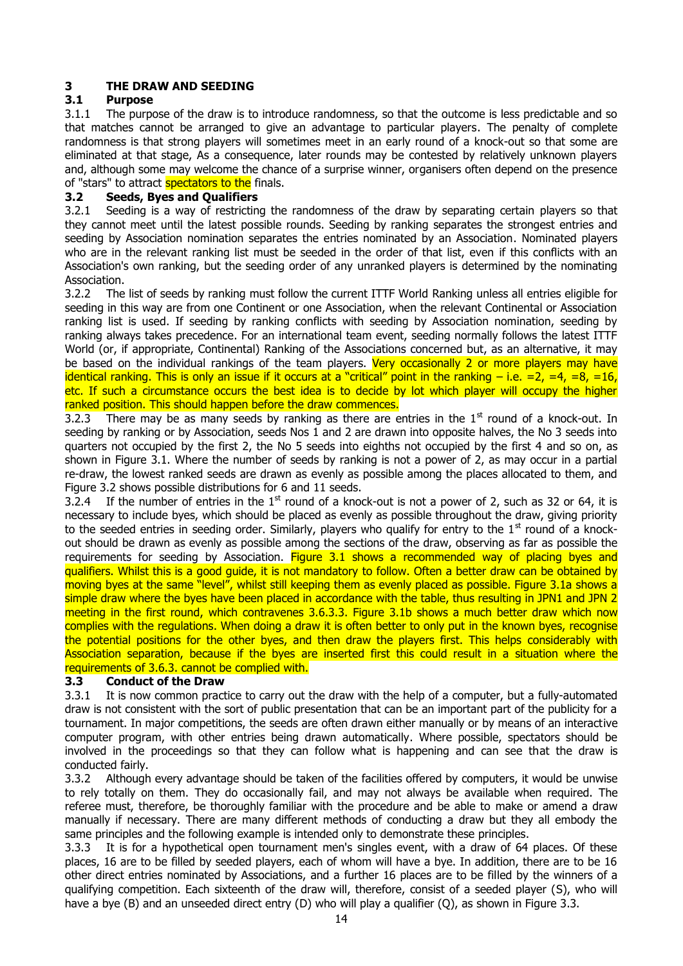#### **3 THE DRAW AND SEEDING**

#### **3.1 Purpose**

3.1.1 The purpose of the draw is to introduce randomness, so that the outcome is less predictable and so that matches cannot be arranged to give an advantage to particular players. The penalty of complete randomness is that strong players will sometimes meet in an early round of a knock-out so that some are eliminated at that stage, As a consequence, later rounds may be contested by relatively unknown players and, although some may welcome the chance of a surprise winner, organisers often depend on the presence of "stars" to attract **spectators to the** finals.

#### **3.2 Seeds, Byes and Qualifiers**

3.2.1 Seeding is a way of restricting the randomness of the draw by separating certain players so that they cannot meet until the latest possible rounds. Seeding by ranking separates the strongest entries and seeding by Association nomination separates the entries nominated by an Association. Nominated players who are in the relevant ranking list must be seeded in the order of that list, even if this conflicts with an Association's own ranking, but the seeding order of any unranked players is determined by the nominating Association.

3.2.2 The list of seeds by ranking must follow the current ITTF World Ranking unless all entries eligible for seeding in this way are from one Continent or one Association, when the relevant Continental or Association ranking list is used. If seeding by ranking conflicts with seeding by Association nomination, seeding by ranking always takes precedence. For an international team event, seeding normally follows the latest ITTF World (or, if appropriate, Continental) Ranking of the Associations concerned but, as an alternative, it may be based on the individual rankings of the team players. Very occasionally 2 or more players may have identical ranking. This is only an issue if it occurs at a "critical" point in the ranking  $-$  i.e.  $=2$ ,  $=4$ ,  $=8$ ,  $=16$ , etc. If such a circumstance occurs the best idea is to decide by lot which player will occupy the higher ranked position. This should happen before the draw commences.

3.2.3 There may be as many seeds by ranking as there are entries in the  $1<sup>st</sup>$  round of a knock-out. In seeding by ranking or by Association, seeds Nos 1 and 2 are drawn into opposite halves, the No 3 seeds into quarters not occupied by the first 2, the No 5 seeds into eighths not occupied by the first 4 and so on, as shown in Figure 3.1. Where the number of seeds by ranking is not a power of 2, as may occur in a partial re-draw, the lowest ranked seeds are drawn as evenly as possible among the places allocated to them, and Figure 3.2 shows possible distributions for 6 and 11 seeds.

3.2.4 If the number of entries in the  $1<sup>st</sup>$  round of a knock-out is not a power of 2, such as 32 or 64, it is necessary to include byes, which should be placed as evenly as possible throughout the draw, giving priority to the seeded entries in seeding order. Similarly, players who qualify for entry to the  $1<sup>st</sup>$  round of a knockout should be drawn as evenly as possible among the sections of the draw, observing as far as possible the requirements for seeding by Association. Figure 3.1 shows a recommended way of placing byes and qualifiers. Whilst this is a good guide, it is not mandatory to follow. Often a better draw can be obtained by moving byes at the same "level", whilst still keeping them as evenly placed as possible. Figure 3.1a shows a simple draw where the byes have been placed in accordance with the table, thus resulting in JPN1 and JPN 2 meeting in the first round, which contravenes 3.6.3.3. Figure 3.1b shows a much better draw which now complies with the regulations. When doing a draw it is often better to only put in the known byes, recognise the potential positions for the other byes, and then draw the players first. This helps considerably with Association separation, because if the byes are inserted first this could result in a situation where the requirements of 3.6.3. cannot be complied with.

#### **3.3 Conduct of the Draw**

3.3.1 It is now common practice to carry out the draw with the help of a computer, but a fully-automated draw is not consistent with the sort of public presentation that can be an important part of the publicity for a tournament. In major competitions, the seeds are often drawn either manually or by means of an interactive computer program, with other entries being drawn automatically. Where possible, spectators should be involved in the proceedings so that they can follow what is happening and can see that the draw is conducted fairly.

3.3.2 Although every advantage should be taken of the facilities offered by computers, it would be unwise to rely totally on them. They do occasionally fail, and may not always be available when required. The referee must, therefore, be thoroughly familiar with the procedure and be able to make or amend a draw manually if necessary. There are many different methods of conducting a draw but they all embody the same principles and the following example is intended only to demonstrate these principles.

3.3.3 It is for a hypothetical open tournament men's singles event, with a draw of 64 places. Of these places, 16 are to be filled by seeded players, each of whom will have a bye. In addition, there are to be 16 other direct entries nominated by Associations, and a further 16 places are to be filled by the winners of a qualifying competition. Each sixteenth of the draw will, therefore, consist of a seeded player (S), who will have a bye (B) and an unseeded direct entry (D) who will play a qualifier (Q), as shown in Figure 3.3.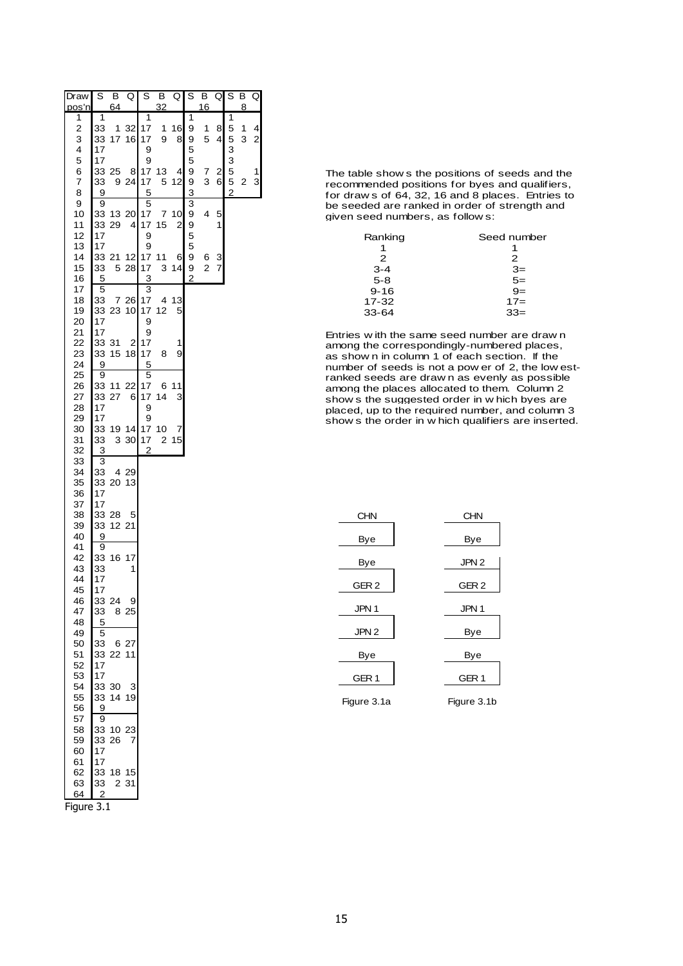| Draw                                   | $\overline{s}$                   | B              | Ō                    | S                                    | $\overline{\mathsf{B}}$ | Q                             | $\overline{s}$                | B                   | Q      | $\overline{s}$   | В      | Q                            |
|----------------------------------------|----------------------------------|----------------|----------------------|--------------------------------------|-------------------------|-------------------------------|-------------------------------|---------------------|--------|------------------|--------|------------------------------|
| pos'n                                  | 1                                | 64             |                      | $\overline{1}$                       | 32                      |                               | $\overline{\mathbf{1}}$       | 16                  |        | 1                | 8      |                              |
| 1<br>$\overline{\mathbf{c}}$<br>3<br>4 | 33<br>33<br>17                   | 1<br>17        | 32<br>16             | 17<br>17<br>9                        | 1<br>9                  | 16<br>8                       | 9<br>9<br>5                   | 1<br>5              | 8<br>4 | 5<br>5<br>3      | 1<br>3 | 4<br>$\overline{\mathbf{c}}$ |
| 5<br>6<br>7<br>8                       | 17<br>33<br>9                    | 33 25<br>9     | 8<br>24              | 9<br>17<br>17<br>5                   | 13<br>5                 | 4<br>12                       | 5<br>9<br>9                   | 7<br>3              | 2<br>6 | 3<br>5<br>5<br>2 | 2      | 1<br>3                       |
| 9<br>10<br>11<br>12                    | 9<br>33<br>33<br>17              | 13<br>29       | 20<br>4              | 5<br>17<br>17<br>9                   | 7<br>15                 | 10<br>$\overline{\mathbf{c}}$ | $\frac{3}{3}$<br>9<br>9<br>5  | 4                   | 5<br>1 |                  |        |                              |
| 13<br>14<br>15<br>16                   | 17<br>33 21<br>33                | 5              | 12<br>28             | 9<br>17<br>17                        | 11<br>3                 | 6<br>14                       | 5<br>9<br>9<br>$\overline{c}$ | 6<br>$\overline{c}$ | 3<br>7 |                  |        |                              |
| 17<br>18<br>19                         | 5<br>5<br>33                     | 7<br>33 23     | 26<br>10             | $\overline{3}$<br>3<br>17<br>17      | 4<br>12                 | 13<br>5                       |                               |                     |        |                  |        |                              |
| 20<br>21<br>22<br>23                   | 17<br>17<br>33<br>33             | 31<br>15       | $\overline{c}$<br>18 | 9<br>9<br>17<br>17                   | 8                       | 1<br>9                        |                               |                     |        |                  |        |                              |
| 24<br>25<br>26<br>27                   | 9<br>$\overline{9}$<br>33<br>33  | 11<br>27       | 22<br>6              | 5<br>5<br>17<br>17                   | 6<br>14                 | 11<br>3                       |                               |                     |        |                  |        |                              |
| 28<br>29<br>30<br>31<br>32             | 17<br>17<br>33<br>33<br>3        | 3              | 19 14<br>30          | 9<br>9<br>17<br>17<br>$\overline{c}$ | 10<br>2                 | 7<br>15                       |                               |                     |        |                  |        |                              |
| 33<br>34<br>35<br>36                   | 3<br>33<br>17                    | 4<br>33 20     | 29<br>13             |                                      |                         |                               |                               |                     |        |                  |        |                              |
| 37<br>38<br>39<br>40                   | 17<br>33<br>9                    | 33 28<br>12 21 | 5                    |                                      |                         |                               |                               |                     |        |                  |        |                              |
| 41<br>42<br>43<br>44                   | 9<br>33<br>33<br>17              | 16             | 17<br>1              |                                      |                         |                               |                               |                     |        |                  |        |                              |
| 45<br>46<br>47<br>48                   | 17<br>33<br>33<br>5              | 24             | 9<br>8 25            |                                      |                         |                               |                               |                     |        |                  |        |                              |
| 49<br>50<br>51<br>52                   | 5<br>33<br>17                    | 6<br>33 22     | 27<br>11             |                                      |                         |                               |                               |                     |        |                  |        |                              |
| 53<br>54<br>55<br>56                   | 17<br>33<br>33<br>9              | 30<br>14 19    | 3                    |                                      |                         |                               |                               |                     |        |                  |        |                              |
| 57<br>58<br>59<br>60                   | 9<br>33<br>33<br>17              | 10<br>26       | 23<br>7              |                                      |                         |                               |                               |                     |        |                  |        |                              |
| 61<br>62<br>63<br>64                   | 17<br>33<br>33<br>$\overline{2}$ | 18 15<br>2     | 31                   |                                      |                         |                               |                               |                     |        |                  |        |                              |



The table show s the positions of seeds and the recommended positions for byes and qualifiers, for draw s of 64, 32, 16 and 8 places. Entries to be seeded are ranked in order of strength and given seed numbers, as follow s:

| Ranking   | Seed number |
|-----------|-------------|
|           |             |
| 2         | 2           |
| $3 - 4$   | $3=$        |
| $5 - 8$   | $\bar{5}$ = |
| $9 - 16$  | $9=$        |
| $17 - 32$ | $17=$       |
| $33 - 64$ | $33 =$      |
|           |             |

Entries w ith the same seed number are draw n Entries with the same seed number are drawn<br>among the correspondingly-numbered places,<br>as show n in column 1 of each section. If the as show n in column 1 of each section. If the number of seeds is not a pow er of 2, the low estranked seeds are draw n as evenly as possible ranked seeds are drawn as evenly as possible<br>among the places allocated to them. Column 2<br>show s the suggested order in w hich byes are show s the suggested order in w hich byes are<br>placed, up to the required number, and column 3<br>show s the order in w hich qualifiers are inserted.

| <b>CHN</b>       | <b>CHN</b>       |
|------------------|------------------|
| Bye              | Bye              |
| Bye              | JPN <sub>2</sub> |
| GER <sub>2</sub> | GER <sub>2</sub> |
| JPN 1            | JPN 1            |
| JPN <sub>2</sub> | Bye              |
| Bye              | Bye              |
| GER <sub>1</sub> | GER <sub>1</sub> |
| Figure 3.1a      | Figure 3.1b      |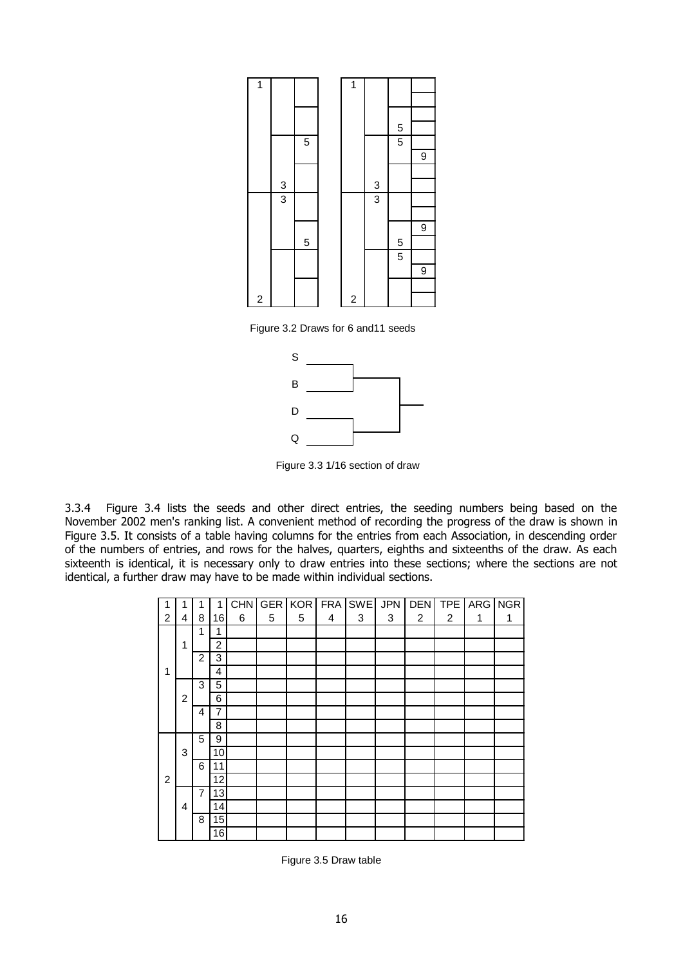

Figure 3.2 Draws for 6 and11 seeds



Figure 3.3 1/16 section of draw

3.3.4 Figure 3.4 lists the seeds and other direct entries, the seeding numbers being based on the November 2002 men's ranking list. A convenient method of recording the progress of the draw is shown in Figure 3.5. It consists of a table having columns for the entries from each Association, in descending order of the numbers of entries, and rows for the halves, quarters, eighths and sixteenths of the draw. As each sixteenth is identical, it is necessary only to draw entries into these sections; where the sections are not identical, a further draw may have to be made within individual sections.

|                |                |                | 1  | <b>CHN</b> |   | <b>GER KOR</b> |   | FRA SWE | <b>JPN</b> | <b>DEN</b> | TPE <sup>1</sup> | ARG NGR |   |
|----------------|----------------|----------------|----|------------|---|----------------|---|---------|------------|------------|------------------|---------|---|
| $\overline{2}$ | 4              | 8              | 16 | 6          | 5 | 5              | 4 | 3       | 3          | 2          | $\overline{c}$   | 1       | 1 |
|                |                | 1              | 1  |            |   |                |   |         |            |            |                  |         |   |
|                | 1              |                | 2  |            |   |                |   |         |            |            |                  |         |   |
|                |                | 2              | 3  |            |   |                |   |         |            |            |                  |         |   |
| 1              |                |                | 4  |            |   |                |   |         |            |            |                  |         |   |
|                |                | 3              | 5  |            |   |                |   |         |            |            |                  |         |   |
|                | $\overline{2}$ |                | 6  |            |   |                |   |         |            |            |                  |         |   |
|                |                | 4              | 7  |            |   |                |   |         |            |            |                  |         |   |
|                |                |                | 8  |            |   |                |   |         |            |            |                  |         |   |
|                |                | 5              | 9  |            |   |                |   |         |            |            |                  |         |   |
|                | 3              |                | 10 |            |   |                |   |         |            |            |                  |         |   |
|                |                | 6              | 11 |            |   |                |   |         |            |            |                  |         |   |
| 2              |                |                | 12 |            |   |                |   |         |            |            |                  |         |   |
|                |                | $\overline{7}$ | 13 |            |   |                |   |         |            |            |                  |         |   |
|                | 4              |                | 14 |            |   |                |   |         |            |            |                  |         |   |
|                |                | 8              | 15 |            |   |                |   |         |            |            |                  |         |   |
|                |                |                | 16 |            |   |                |   |         |            |            |                  |         |   |

Figure 3.5 Draw table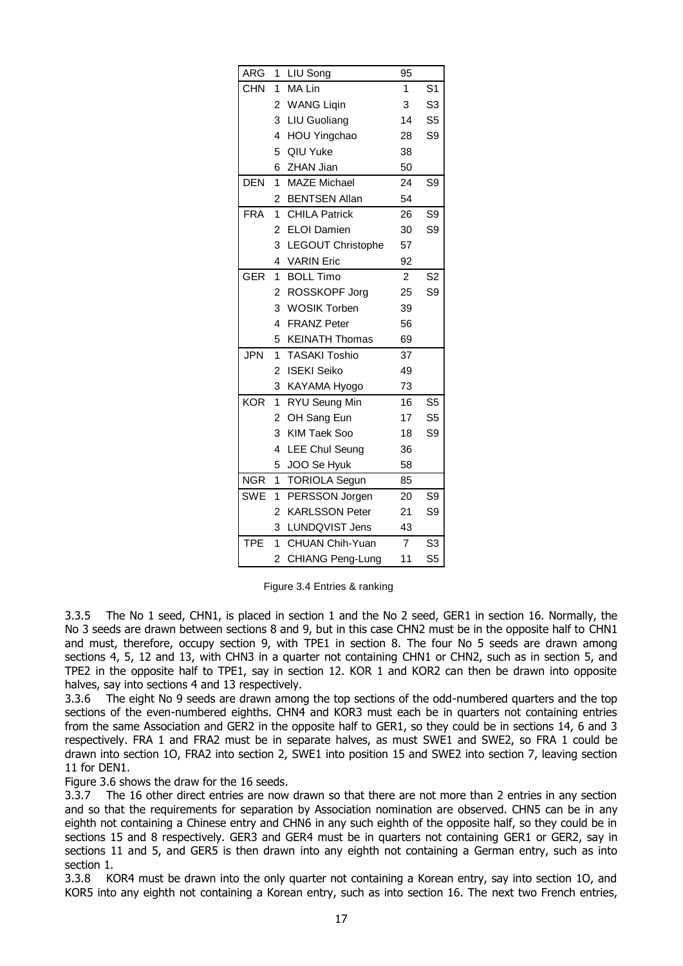| ARG        | 1                       | LIU Song              | 95             |                |
|------------|-------------------------|-----------------------|----------------|----------------|
| <b>CHN</b> | 1                       | MA Lin                | 1              | S <sub>1</sub> |
|            | 2                       | <b>WANG Liqin</b>     | 3              | S <sub>3</sub> |
|            | 3                       | LIU Guoliang          | 14             | S <sub>5</sub> |
|            | 4                       | HOU Yingchao          | 28             | S9             |
|            | 5                       | QIU Yuke              | 38             |                |
|            | 6                       | ZHAN Jian             | 50             |                |
| <b>DEN</b> | 1                       | <b>MAZE Michael</b>   | 24             | S <sub>9</sub> |
|            | 2                       | <b>BENTSEN Allan</b>  | 54             |                |
| <b>FRA</b> | $\mathbf{1}$            | <b>CHILA Patrick</b>  | 26             | S <sub>9</sub> |
|            | $\overline{2}$          | <b>ELOI</b> Damien    | 30             | S9             |
|            | 3                       | LEGOUT Christophe     | 57             |                |
|            | 4                       | <b>VARIN Eric</b>     | 92             |                |
| <b>GER</b> | 1                       | <b>BOLL Timo</b>      | $\overline{2}$ | S <sub>2</sub> |
|            | 2                       | ROSSKOPF Jorg         | 25             | S9             |
|            | 3                       | <b>WOSIK Torben</b>   | 39             |                |
|            | $\overline{\mathbf{4}}$ | <b>FRANZ Peter</b>    | 56             |                |
|            | 5                       | <b>KEINATH Thomas</b> | 69             |                |
| <b>JPN</b> | $\mathbf{1}$            | <b>TASAKI Toshio</b>  | 37             |                |
|            | $\overline{2}$          | <b>ISEKI Seiko</b>    | 49             |                |
|            | 3                       | KAYAMA Hyogo          | 73             |                |
| <b>KOR</b> | 1                       | RYU Seung Min         | 16             | S <sub>5</sub> |
|            | 2                       | OH Sang Eun           | 17             | S <sub>5</sub> |
|            | 3                       | <b>KIM Taek Soo</b>   | 18             | S9             |
|            | 4                       | <b>LEE Chul Seung</b> | 36             |                |
|            | 5                       | JOO Se Hyuk           | 58             |                |
| <b>NGR</b> | 1                       | <b>TORIOLA Segun</b>  | 85             |                |
| <b>SWE</b> | 1                       | PERSSON Jorgen        | 20             | S <sub>9</sub> |
|            | $\overline{c}$          | <b>KARLSSON Peter</b> | 21             | S <sub>9</sub> |
|            | 3                       | LUNDQVIST Jens        | 43             |                |
| <b>TPE</b> | 1                       | CHUAN Chih-Yuan       | $\overline{7}$ | S <sub>3</sub> |
|            | 2                       | CHIANG Peng-Lung      | 11             | S <sub>5</sub> |

Figure 3.4 Entries & ranking

3.3.5 The No 1 seed, CHN1, is placed in section 1 and the No 2 seed, GER1 in section 16. Normally, the No 3 seeds are drawn between sections 8 and 9, but in this case CHN2 must be in the opposite half to CHN1 and must, therefore, occupy section 9, with TPE1 in section 8. The four No 5 seeds are drawn among sections 4, 5, 12 and 13, with CHN3 in a quarter not containing CHN1 or CHN2, such as in section 5, and TPE2 in the opposite half to TPE1, say in section 12. KOR 1 and KOR2 can then be drawn into opposite halves, say into sections 4 and 13 respectively.

3.3.6 The eight No 9 seeds are drawn among the top sections of the odd-numbered quarters and the top sections of the even-numbered eighths. CHN4 and KOR3 must each be in quarters not containing entries from the same Association and GER2 in the opposite half to GER1, so they could be in sections 14, 6 and 3 respectively. FRA 1 and FRA2 must be in separate halves, as must SWE1 and SWE2, so FRA 1 could be drawn into section 1O, FRA2 into section 2, SWE1 into position 15 and SWE2 into section 7, leaving section 11 for DEN1.

Figure 3.6 shows the draw for the 16 seeds.

3.3.7 The 16 other direct entries are now drawn so that there are not more than 2 entries in any section and so that the requirements for separation by Association nomination are observed. CHN5 can be in any eighth not containing a Chinese entry and CHN6 in any such eighth of the opposite half, so they could be in sections 15 and 8 respectively. GER3 and GER4 must be in quarters not containing GER1 or GER2, say in sections 11 and 5, and GER5 is then drawn into any eighth not containing a German entry, such as into section 1.

3.3.8 KOR4 must be drawn into the only quarter not containing a Korean entry, say into section 1O, and KOR5 into any eighth not containing a Korean entry, such as into section 16. The next two French entries,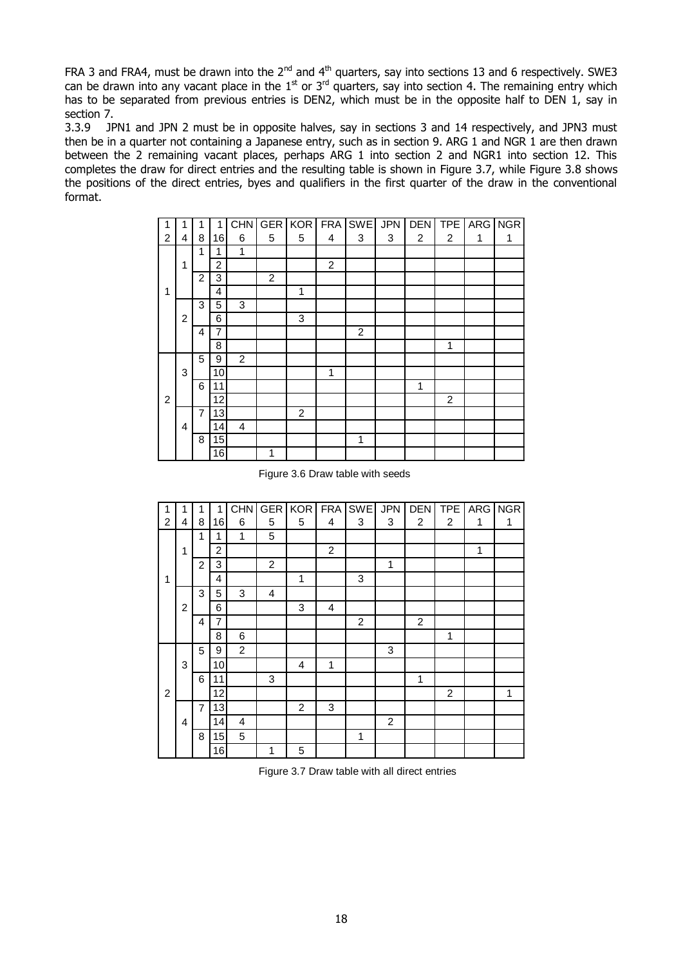FRA 3 and FRA4, must be drawn into the  $2^{nd}$  and  $4^{th}$  quarters, say into sections 13 and 6 respectively. SWE3 can be drawn into any vacant place in the  $1<sup>st</sup>$  or  $3<sup>rd</sup>$  quarters, say into section 4. The remaining entry which has to be separated from previous entries is DEN2, which must be in the opposite half to DEN 1, say in section 7.

3.3.9 JPN1 and JPN 2 must be in opposite halves, say in sections 3 and 14 respectively, and JPN3 must then be in a quarter not containing a Japanese entry, such as in section 9. ARG 1 and NGR 1 are then drawn between the 2 remaining vacant places, perhaps ARG 1 into section 2 and NGR1 into section 12. This completes the draw for direct entries and the resulting table is shown in Figure 3.7, while Figure 3.8 shows the positions of the direct entries, byes and qualifiers in the first quarter of the draw in the conventional format.

|                |                |                | 1               | CHN            | <b>GER</b>     | <b>KOR</b> | FRA            | <b>SWE</b> | <b>JPN</b> | <b>DEN</b> | <b>TPE</b>     |   | ARG NGR |
|----------------|----------------|----------------|-----------------|----------------|----------------|------------|----------------|------------|------------|------------|----------------|---|---------|
| $\overline{2}$ | 4              | 8              | 16              | 6              | 5              | 5          | 4              | 3          | 3          | 2          | 2              | 1 | 1       |
|                |                | 1              | 1               | 1              |                |            |                |            |            |            |                |   |         |
|                | 1              |                | $\overline{2}$  |                |                |            | $\overline{c}$ |            |            |            |                |   |         |
|                |                | $\overline{2}$ | 3               |                | $\overline{c}$ |            |                |            |            |            |                |   |         |
| 1              |                |                | 4               |                |                | 1          |                |            |            |            |                |   |         |
|                |                | 3              | 5               | 3              |                |            |                |            |            |            |                |   |         |
|                | $\overline{c}$ |                | 6               |                |                | 3          |                |            |            |            |                |   |         |
|                |                | 4              | 7               |                |                |            |                | 2          |            |            |                |   |         |
|                |                |                | 8               |                |                |            |                |            |            |            | 1              |   |         |
|                |                | 5              | 9               | $\overline{2}$ |                |            |                |            |            |            |                |   |         |
|                | 3              |                | 10              |                |                |            | 1              |            |            |            |                |   |         |
|                |                | 6              | 11              |                |                |            |                |            |            | 1          |                |   |         |
| $\overline{2}$ |                |                | 12              |                |                |            |                |            |            |            | $\overline{c}$ |   |         |
|                |                | $\overline{7}$ | 13              |                |                | 2          |                |            |            |            |                |   |         |
|                | $\overline{4}$ |                | 14              | 4              |                |            |                |            |            |            |                |   |         |
|                |                | 8              | 15              |                |                |            |                | 1          |            |            |                |   |         |
|                |                |                | $\overline{16}$ |                | 1              |            |                |            |            |            |                |   |         |

Figure 3.6 Draw table with seeds

| 1              | 1              | 1              | 1  | <b>CHN</b> | <b>GER</b>     | <b>KOR</b> |   | FRA SWE | <b>JPN</b>     | <b>DEN</b>     | <b>TPE</b>     | <b>ARG</b> | <b>NGR</b> |
|----------------|----------------|----------------|----|------------|----------------|------------|---|---------|----------------|----------------|----------------|------------|------------|
| $\overline{2}$ | 4              | 8              | 16 | 6          | 5              | 5          | 4 | 3       | 3              | $\overline{2}$ | $\overline{2}$ | 1          | 1          |
|                |                | 1              | 1  | 1          | 5              |            |   |         |                |                |                |            |            |
|                | 1              |                | 2  |            |                |            | 2 |         |                |                |                | 1          |            |
|                |                | $\overline{2}$ | 3  |            | $\overline{c}$ |            |   |         | 1              |                |                |            |            |
| 1              |                |                | 4  |            |                | 1          |   | 3       |                |                |                |            |            |
|                |                | 3              | 5  | 3          | 4              |            |   |         |                |                |                |            |            |
|                | $\overline{c}$ |                | 6  |            |                | 3          | 4 |         |                |                |                |            |            |
|                |                | 4              | 7  |            |                |            |   | 2       |                | 2              |                |            |            |
|                |                |                | 8  | 6          |                |            |   |         |                |                | 1              |            |            |
|                |                | 5              | 9  | 2          |                |            |   |         | 3              |                |                |            |            |
|                | 3              |                | 10 |            |                | 4          | 1 |         |                |                |                |            |            |
|                |                | 6              | 11 |            | 3              |            |   |         |                | 1              |                |            |            |
| $\overline{2}$ |                |                | 12 |            |                |            |   |         |                |                | $\overline{2}$ |            | 1          |
|                |                | $\overline{7}$ | 13 |            |                | 2          | 3 |         |                |                |                |            |            |
|                | 4              |                | 14 | 4          |                |            |   |         | $\overline{2}$ |                |                |            |            |
|                |                | 8              | 15 | 5          |                |            |   | 1       |                |                |                |            |            |
|                |                |                | 16 |            | 1              | 5          |   |         |                |                |                |            |            |

Figure 3.7 Draw table with all direct entries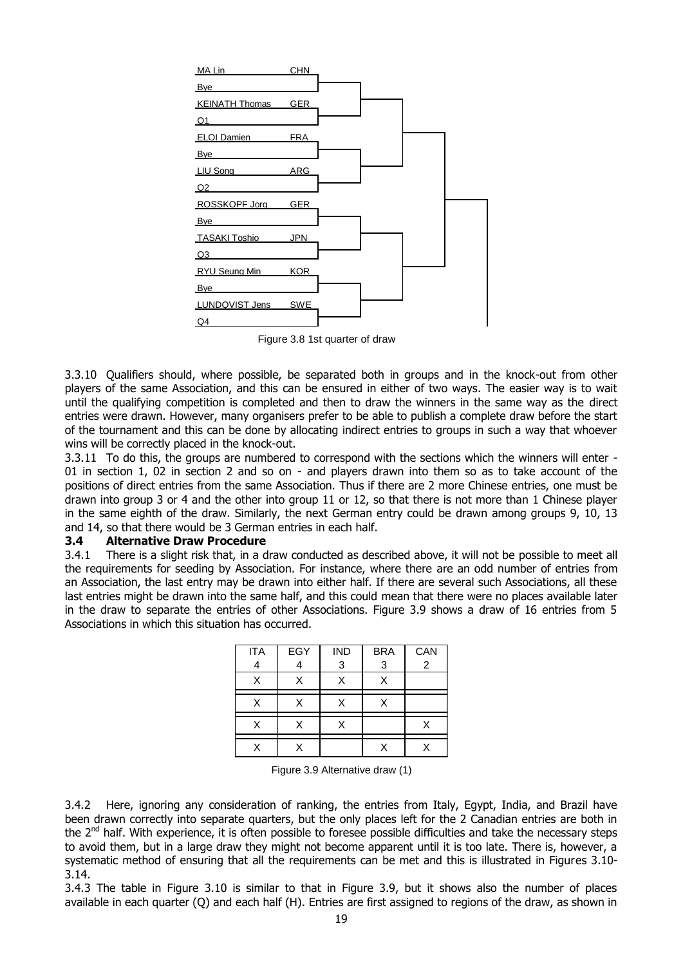

Figure 3.8 1st quarter of draw

3.3.10 Qualifiers should, where possible, be separated both in groups and in the knock-out from other players of the same Association, and this can be ensured in either of two ways. The easier way is to wait until the qualifying competition is completed and then to draw the winners in the same way as the direct entries were drawn. However, many organisers prefer to be able to publish a complete draw before the start of the tournament and this can be done by allocating indirect entries to groups in such a way that whoever wins will be correctly placed in the knock-out.

3.3.11 To do this, the groups are numbered to correspond with the sections which the winners will enter - 01 in section 1, 02 in section 2 and so on - and players drawn into them so as to take account of the positions of direct entries from the same Association. Thus if there are 2 more Chinese entries, one must be drawn into group 3 or 4 and the other into group 11 or 12, so that there is not more than 1 Chinese player in the same eighth of the draw. Similarly, the next German entry could be drawn among groups 9, 10, 13 and 14, so that there would be 3 German entries in each half.

#### **3.4 Alternative Draw Procedure**

3.4.1 There is a slight risk that, in a draw conducted as described above, it will not be possible to meet all the requirements for seeding by Association. For instance, where there are an odd number of entries from an Association, the last entry may be drawn into either half. If there are several such Associations, all these last entries might be drawn into the same half, and this could mean that there were no places available later in the draw to separate the entries of other Associations. Figure 3.9 shows a draw of 16 entries from 5 Associations in which this situation has occurred.

| <b>ITA</b> | EGY | <b>IND</b> | <b>BRA</b> | CAN |
|------------|-----|------------|------------|-----|
|            |     | 3          | 3          | 2   |
| X          | X   | X          | X          |     |
| X          | x   | X          | Χ          |     |
| X          | χ   | x          |            |     |
|            |     |            |            |     |

Figure 3.9 Alternative draw (1)

3.4.2 Here, ignoring any consideration of ranking, the entries from Italy, Egypt, India, and Brazil have been drawn correctly into separate quarters, but the only places left for the 2 Canadian entries are both in the  $2<sup>nd</sup>$  half. With experience, it is often possible to foresee possible difficulties and take the necessary steps to avoid them, but in a large draw they might not become apparent until it is too late. There is, however, a systematic method of ensuring that all the requirements can be met and this is illustrated in Figures 3.10- 3.14.

3.4.3 The table in Figure 3.10 is similar to that in Figure 3.9, but it shows also the number of places available in each quarter (Q) and each half (H). Entries are first assigned to regions of the draw, as shown in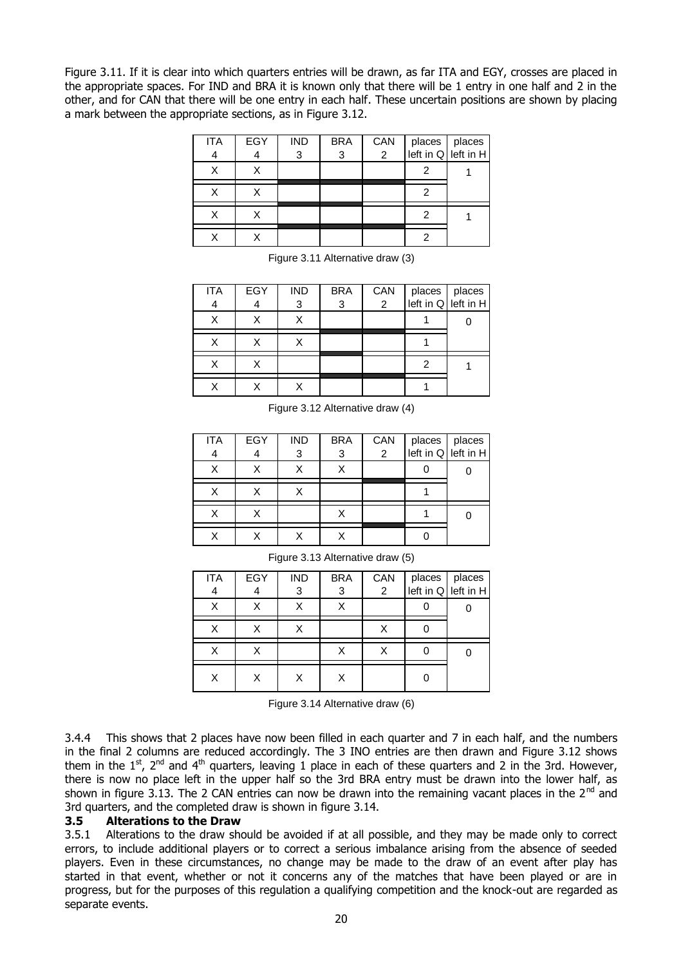Figure 3.11. If it is clear into which quarters entries will be drawn, as far ITA and EGY, crosses are placed in the appropriate spaces. For IND and BRA it is known only that there will be 1 entry in one half and 2 in the other, and for CAN that there will be one entry in each half. These uncertain positions are shown by placing a mark between the appropriate sections, as in Figure 3.12.

| <b>ITA</b> | EGY | <b>IND</b> | <b>BRA</b> | CAN         | places places |  |
|------------|-----|------------|------------|-------------|---------------|--|
| 4          |     | 3          | 3          | $2^{\circ}$ |               |  |
| v          |     |            |            |             |               |  |
|            |     |            |            |             |               |  |
|            |     |            |            |             |               |  |
|            |     |            |            |             |               |  |

Figure 3.11 Alternative draw (3)

| <b>ITA</b> | EGY | <b>IND</b> | <b>BRA</b> | CAN            | places places<br>left in $Q$ left in H |
|------------|-----|------------|------------|----------------|----------------------------------------|
| 4          |     | 3          | 3          | $\overline{2}$ |                                        |
| X          |     |            |            |                |                                        |
|            |     |            |            |                |                                        |
|            |     |            |            |                |                                        |
|            |     |            |            |                |                                        |

Figure 3.12 Alternative draw (4)

| <b>ITA</b> | EGY | <b>IND</b> | <b>BRA</b> | CAN            | places places<br>left in $Q$ left in H |  |
|------------|-----|------------|------------|----------------|----------------------------------------|--|
| 4          |     | 3          | 3          | $\overline{2}$ |                                        |  |
| Χ          |     |            | X          |                |                                        |  |
| Χ          |     |            |            |                |                                        |  |
| x          |     |            |            |                |                                        |  |
|            |     |            |            |                |                                        |  |

| <b>ITA</b> | EGY | <b>IND</b> | <b>BRA</b> | CAN            |                                      |  |
|------------|-----|------------|------------|----------------|--------------------------------------|--|
| 4          | 4   | 3          | 3          | $\overline{2}$ | places places<br>left in Q left in H |  |
|            | Х   |            |            |                |                                      |  |
| x          | X   |            |            |                |                                      |  |
|            |     |            |            |                |                                      |  |
|            |     |            |            |                |                                      |  |

Figure 3.13 Alternative draw (5)

Figure 3.14 Alternative draw (6)

3.4.4 This shows that 2 places have now been filled in each quarter and 7 in each half, and the numbers in the final 2 columns are reduced accordingly. The 3 INO entries are then drawn and Figure 3.12 shows them in the  $1<sup>st</sup>$ ,  $2<sup>nd</sup>$  and  $4<sup>th</sup>$  quarters, leaving 1 place in each of these quarters and 2 in the 3rd. However, there is now no place left in the upper half so the 3rd BRA entry must be drawn into the lower half, as shown in figure 3.13. The 2 CAN entries can now be drawn into the remaining vacant places in the 2<sup>nd</sup> and 3rd quarters, and the completed draw is shown in figure 3.14.

#### **3.5 Alterations to the Draw**

3.5.1 Alterations to the draw should be avoided if at all possible, and they may be made only to correct errors, to include additional players or to correct a serious imbalance arising from the absence of seeded players. Even in these circumstances, no change may be made to the draw of an event after play has started in that event, whether or not it concerns any of the matches that have been played or are in progress, but for the purposes of this regulation a qualifying competition and the knock-out are regarded as separate events.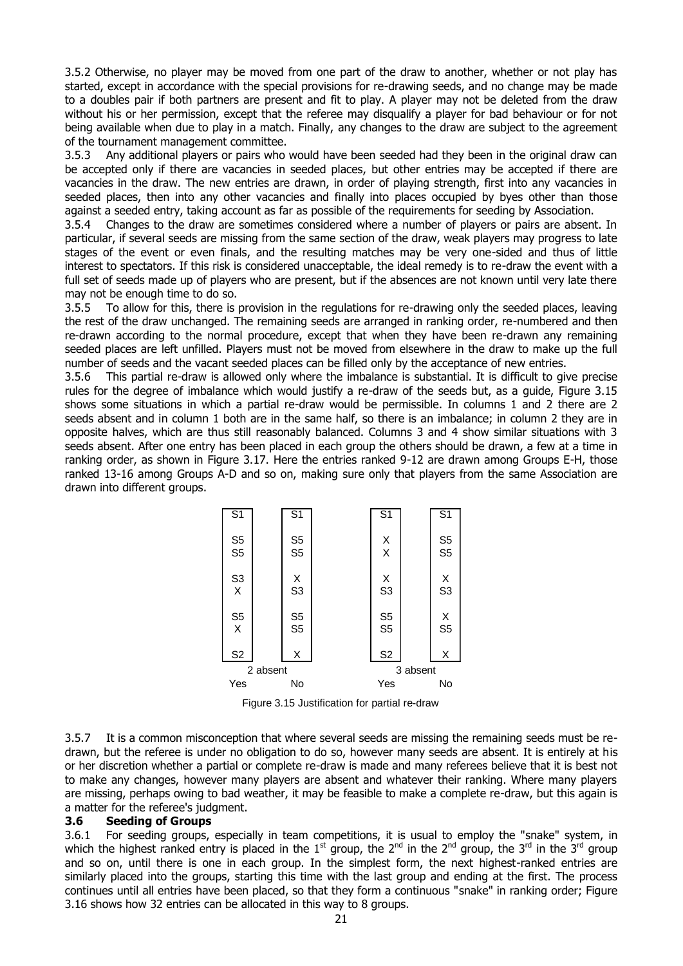3.5.2 Otherwise, no player may be moved from one part of the draw to another, whether or not play has started, except in accordance with the special provisions for re-drawing seeds, and no change may be made to a doubles pair if both partners are present and fit to play. A player may not be deleted from the draw without his or her permission, except that the referee may disqualify a player for bad behaviour or for not being available when due to play in a match. Finally, any changes to the draw are subject to the agreement of the tournament management committee.

3.5.3 Any additional players or pairs who would have been seeded had they been in the original draw can be accepted only if there are vacancies in seeded places, but other entries may be accepted if there are vacancies in the draw. The new entries are drawn, in order of playing strength, first into any vacancies in seeded places, then into any other vacancies and finally into places occupied by byes other than those against a seeded entry, taking account as far as possible of the requirements for seeding by Association.

3.5.4 Changes to the draw are sometimes considered where a number of players or pairs are absent. In particular, if several seeds are missing from the same section of the draw, weak players may progress to late stages of the event or even finals, and the resulting matches may be very one-sided and thus of little interest to spectators. If this risk is considered unacceptable, the ideal remedy is to re-draw the event with a full set of seeds made up of players who are present, but if the absences are not known until very late there may not be enough time to do so.

3.5.5 To allow for this, there is provision in the regulations for re-drawing only the seeded places, leaving the rest of the draw unchanged. The remaining seeds are arranged in ranking order, re-numbered and then re-drawn according to the normal procedure, except that when they have been re-drawn any remaining seeded places are left unfilled. Players must not be moved from elsewhere in the draw to make up the full number of seeds and the vacant seeded places can be filled only by the acceptance of new entries.

3.5.6 This partial re-draw is allowed only where the imbalance is substantial. It is difficult to give precise rules for the degree of imbalance which would justify a re-draw of the seeds but, as a guide, Figure 3.15 shows some situations in which a partial re-draw would be permissible. In columns 1 and 2 there are 2 seeds absent and in column 1 both are in the same half, so there is an imbalance; in column 2 they are in opposite halves, which are thus still reasonably balanced. Columns 3 and 4 show similar situations with 3 seeds absent. After one entry has been placed in each group the others should be drawn, a few at a time in ranking order, as shown in Figure 3.17. Here the entries ranked 9-12 are drawn among Groups E-H, those ranked 13-16 among Groups A-D and so on, making sure only that players from the same Association are drawn into different groups.



Figure 3.15 Justification for partial re-draw

3.5.7 It is a common misconception that where several seeds are missing the remaining seeds must be redrawn, but the referee is under no obligation to do so, however many seeds are absent. It is entirely at his or her discretion whether a partial or complete re-draw is made and many referees believe that it is best not to make any changes, however many players are absent and whatever their ranking. Where many players are missing, perhaps owing to bad weather, it may be feasible to make a complete re-draw, but this again is a matter for the referee's judgment.

#### **3.6 Seeding of Groups**

3.6.1 For seeding groups, especially in team competitions, it is usual to employ the "snake" system, in which the highest ranked entry is placed in the  $1^{st}$  group, the  $2^{nd}$  in the  $2^{nd}$  group, the  $3^{rd}$  in the  $3^{rd}$  group and so on, until there is one in each group. In the simplest form, the next highest-ranked entries are similarly placed into the groups, starting this time with the last group and ending at the first. The process continues until all entries have been placed, so that they form a continuous "snake" in ranking order; Figure 3.16 shows how 32 entries can be allocated in this way to 8 groups.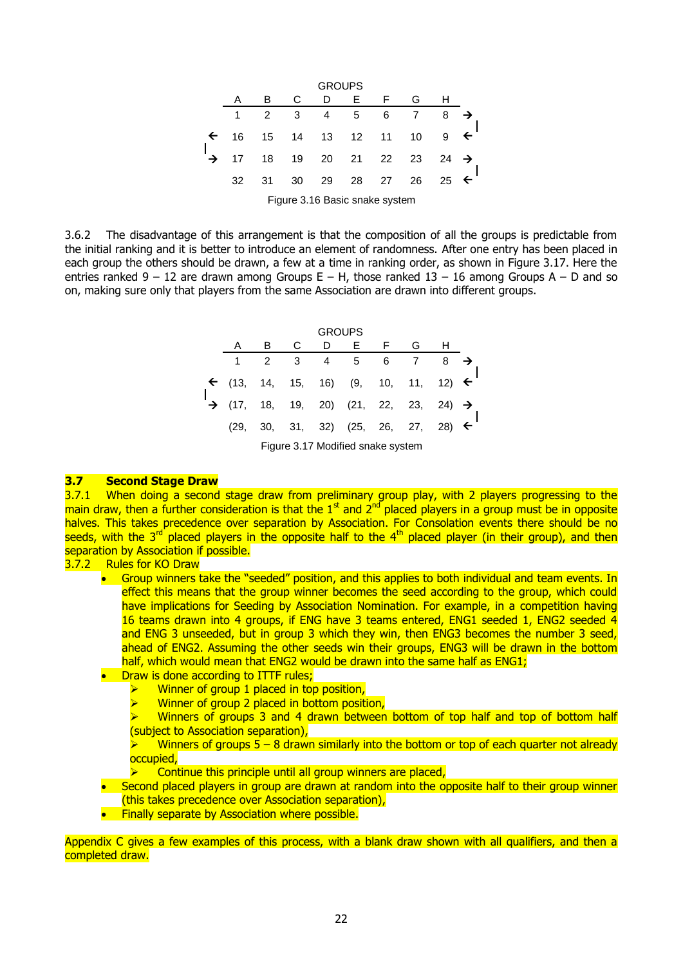

3.6.2 The disadvantage of this arrangement is that the composition of all the groups is predictable from the initial ranking and it is better to introduce an element of randomness. After one entry has been placed in each group the others should be drawn, a few at a time in ranking order, as shown in Figure 3.17. Here the entries ranked  $9 - 12$  are drawn among Groups E – H, those ranked  $13 - 16$  among Groups A – D and so on, making sure only that players from the same Association are drawn into different groups.

|         |               |                | <b>GROUPS</b> |                                                               |   |                |   |              |
|---------|---------------|----------------|---------------|---------------------------------------------------------------|---|----------------|---|--------------|
| A       | B             | - C            | D             | E F                                                           |   | G              | н |              |
|         | $\mathcal{P}$ | 3 <sup>3</sup> |               | 4 5                                                           | 6 | $\overline{7}$ | 8 |              |
|         |               |                |               | $\leftarrow$ (13, 14, 15, 16) (9, 10, 11, 12)                 |   |                |   | $\leftarrow$ |
|         |               |                |               | $\rightarrow$ (17, 18, 19, 20) (21, 22, 23, 24) $\rightarrow$ |   |                |   |              |
| (29, 1) |               |                |               | 30, 31, 32) (25, 26, 27, 28)                                  |   |                |   | $\leftarrow$ |
|         |               |                |               | Figure 3.17 Modified snake system                             |   |                |   |              |

#### **3.7 Second Stage Draw**

3.7.1 When doing a second stage draw from preliminary group play, with 2 players progressing to the main draw, then a further consideration is that the  $1<sup>st</sup>$  and  $2<sup>nd</sup>$  placed players in a group must be in opposite halves. This takes precedence over separation by Association. For Consolation events there should be no seeds, with the 3<sup>rd</sup> placed players in the opposite half to the  $4<sup>th</sup>$  placed player (in their group), and then separation by Association if possible.

3.7.2 Rules for KO Draw

- Group winners take the "seeded" position, and this applies to both individual and team events. In effect this means that the group winner becomes the seed according to the group, which could have implications for Seeding by Association Nomination. For example, in a competition having 16 teams drawn into 4 groups, if ENG have 3 teams entered, ENG1 seeded 1, ENG2 seeded 4 and ENG 3 unseeded, but in group 3 which they win, then ENG3 becomes the number 3 seed, ahead of ENG2. Assuming the other seeds win their groups, ENG3 will be drawn in the bottom half, which would mean that ENG2 would be drawn into the same half as ENG1;
- Draw is done according to ITTF rules;
	- $\triangleright$  Winner of group 1 placed in top position,<br>  $\triangleright$  Winner of group 2 placed in bottom position
	- Winner of group 2 placed in bottom position,
	- $\triangleright$  Winners of groups 3 and 4 drawn between bottom of top half and top of bottom half (subject to Association separation),
	- Winners of groups  $5 8$  drawn similarly into the bottom or top of each quarter not already occupied,
	- Continue this principle until all group winners are placed,
- Second placed players in group are drawn at random into the opposite half to their group winner (this takes precedence over Association separation),
- Finally separate by Association where possible.

Appendix C gives a few examples of this process, with a blank draw shown with all qualifiers, and then a completed draw.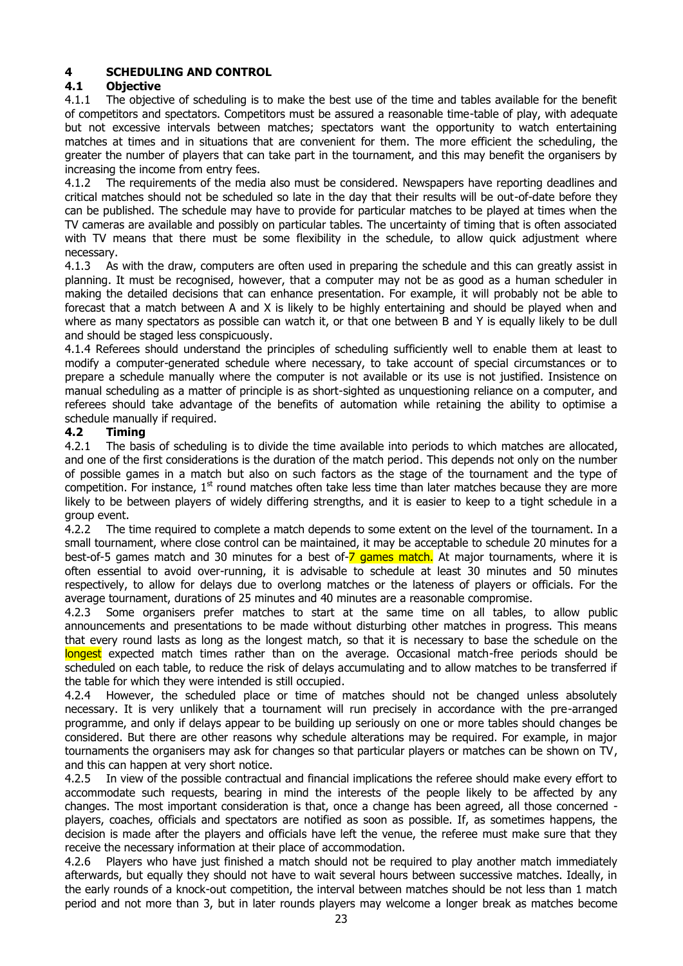## **4 SCHEDULING AND CONTROL**

#### **4.1 Objective**

4.1.1 The objective of scheduling is to make the best use of the time and tables available for the benefit of competitors and spectators. Competitors must be assured a reasonable time-table of play, with adequate but not excessive intervals between matches; spectators want the opportunity to watch entertaining matches at times and in situations that are convenient for them. The more efficient the scheduling, the greater the number of players that can take part in the tournament, and this may benefit the organisers by increasing the income from entry fees.

4.1.2 The requirements of the media also must be considered. Newspapers have reporting deadlines and critical matches should not be scheduled so late in the day that their results will be out-of-date before they can be published. The schedule may have to provide for particular matches to be played at times when the TV cameras are available and possibly on particular tables. The uncertainty of timing that is often associated with TV means that there must be some flexibility in the schedule, to allow quick adjustment where necessary.

4.1.3 As with the draw, computers are often used in preparing the schedule and this can greatly assist in planning. It must be recognised, however, that a computer may not be as good as a human scheduler in making the detailed decisions that can enhance presentation. For example, it will probably not be able to forecast that a match between A and X is likely to be highly entertaining and should be played when and where as many spectators as possible can watch it, or that one between B and Y is equally likely to be dull and should be staged less conspicuously.

4.1.4 Referees should understand the principles of scheduling sufficiently well to enable them at least to modify a computer-generated schedule where necessary, to take account of special circumstances or to prepare a schedule manually where the computer is not available or its use is not justified. Insistence on manual scheduling as a matter of principle is as short-sighted as unquestioning reliance on a computer, and referees should take advantage of the benefits of automation while retaining the ability to optimise a schedule manually if required.

#### **4.2 Timing**

4.2.1 The basis of scheduling is to divide the time available into periods to which matches are allocated, and one of the first considerations is the duration of the match period. This depends not only on the number of possible games in a match but also on such factors as the stage of the tournament and the type of competition. For instance,  $1<sup>st</sup>$  round matches often take less time than later matches because they are more likely to be between players of widely differing strengths, and it is easier to keep to a tight schedule in a group event.

4.2.2 The time required to complete a match depends to some extent on the level of the tournament. In a small tournament, where close control can be maintained, it may be acceptable to schedule 20 minutes for a best-of-5 games match and 30 minutes for a best of-7 games match. At major tournaments, where it is often essential to avoid over-running, it is advisable to schedule at least 30 minutes and 50 minutes respectively, to allow for delays due to overlong matches or the lateness of players or officials. For the average tournament, durations of 25 minutes and 40 minutes are a reasonable compromise.

4.2.3 Some organisers prefer matches to start at the same time on all tables, to allow public announcements and presentations to be made without disturbing other matches in progress. This means that every round lasts as long as the longest match, so that it is necessary to base the schedule on the longest expected match times rather than on the average. Occasional match-free periods should be scheduled on each table, to reduce the risk of delays accumulating and to allow matches to be transferred if the table for which they were intended is still occupied.

4.2.4 However, the scheduled place or time of matches should not be changed unless absolutely necessary. It is very unlikely that a tournament will run precisely in accordance with the pre-arranged programme, and only if delays appear to be building up seriously on one or more tables should changes be considered. But there are other reasons why schedule alterations may be required. For example, in major tournaments the organisers may ask for changes so that particular players or matches can be shown on TV, and this can happen at very short notice.

4.2.5 In view of the possible contractual and financial implications the referee should make every effort to accommodate such requests, bearing in mind the interests of the people likely to be affected by any changes. The most important consideration is that, once a change has been agreed, all those concerned players, coaches, officials and spectators are notified as soon as possible. If, as sometimes happens, the decision is made after the players and officials have left the venue, the referee must make sure that they receive the necessary information at their place of accommodation.

4.2.6 Players who have just finished a match should not be required to play another match immediately afterwards, but equally they should not have to wait several hours between successive matches. Ideally, in the early rounds of a knock-out competition, the interval between matches should be not less than 1 match period and not more than 3, but in later rounds players may welcome a longer break as matches become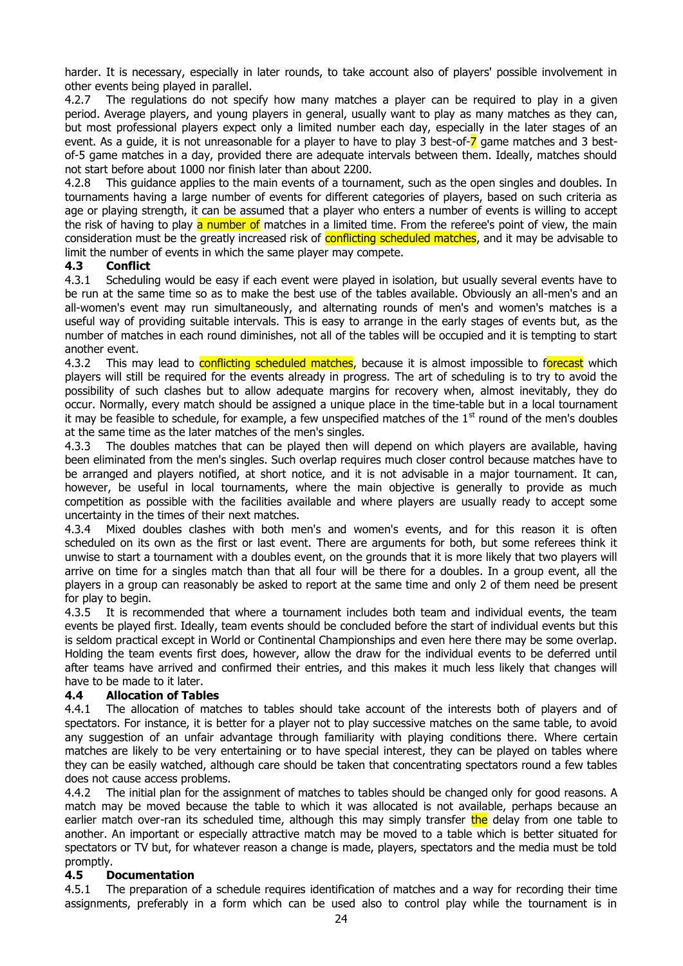harder. It is necessary, especially in later rounds, to take account also of players' possible involvement in other events being played in parallel.

4.2.7 The regulations do not specify how many matches a player can be required to play in a given period. Average players, and young players in general, usually want to play as many matches as they can, but most professional players expect only a limited number each day, especially in the later stages of an event. As a guide, it is not unreasonable for a player to have to play 3 best-of- $\overline{\phantom{a}}$  game matches and 3 bestof-5 game matches in a day, provided there are adequate intervals between them. Ideally, matches should not start before about 1000 nor finish later than about 2200.

4.2.8 This guidance applies to the main events of a tournament, such as the open singles and doubles. In tournaments having a large number of events for different categories of players, based on such criteria as age or playing strength, it can be assumed that a player who enters a number of events is willing to accept the risk of having to play a number of matches in a limited time. From the referee's point of view, the main consideration must be the greatly increased risk of conflicting scheduled matches, and it may be advisable to limit the number of events in which the same player may compete.

#### **4.3 Conflict**

4.3.1 Scheduling would be easy if each event were played in isolation, but usually several events have to be run at the same time so as to make the best use of the tables available. Obviously an all-men's and an all-women's event may run simultaneously, and alternating rounds of men's and women's matches is a useful way of providing suitable intervals. This is easy to arrange in the early stages of events but, as the number of matches in each round diminishes, not all of the tables will be occupied and it is tempting to start another event.

4.3.2 This may lead to **conflicting scheduled matches**, because it is almost impossible to forecast which players will still be required for the events already in progress. The art of scheduling is to try to avoid the possibility of such clashes but to allow adequate margins for recovery when, almost inevitably, they do occur. Normally, every match should be assigned a unique place in the time-table but in a local tournament it may be feasible to schedule, for example, a few unspecified matches of the  $1<sup>st</sup>$  round of the men's doubles at the same time as the later matches of the men's singles.

4.3.3 The doubles matches that can be played then will depend on which players are available, having been eliminated from the men's singles. Such overlap requires much closer control because matches have to be arranged and players notified, at short notice, and it is not advisable in a major tournament. It can, however, be useful in local tournaments, where the main objective is generally to provide as much competition as possible with the facilities available and where players are usually ready to accept some uncertainty in the times of their next matches.

4.3.4 Mixed doubles clashes with both men's and women's events, and for this reason it is often scheduled on its own as the first or last event. There are arguments for both, but some referees think it unwise to start a tournament with a doubles event, on the grounds that it is more likely that two players will arrive on time for a singles match than that all four will be there for a doubles. In a group event, all the players in a group can reasonably be asked to report at the same time and only 2 of them need be present for play to begin.

4.3.5 It is recommended that where a tournament includes both team and individual events, the team events be played first. Ideally, team events should be concluded before the start of individual events but this is seldom practical except in World or Continental Championships and even here there may be some overlap. Holding the team events first does, however, allow the draw for the individual events to be deferred until after teams have arrived and confirmed their entries, and this makes it much less likely that changes will have to be made to it later.

#### **4.4 Allocation of Tables**

4.4.1 The allocation of matches to tables should take account of the interests both of players and of spectators. For instance, it is better for a player not to play successive matches on the same table, to avoid any suggestion of an unfair advantage through familiarity with playing conditions there. Where certain matches are likely to be very entertaining or to have special interest, they can be played on tables where they can be easily watched, although care should be taken that concentrating spectators round a few tables does not cause access problems.

4.4.2 The initial plan for the assignment of matches to tables should be changed only for good reasons. A match may be moved because the table to which it was allocated is not available, perhaps because an earlier match over-ran its scheduled time, although this may simply transfer the delay from one table to another. An important or especially attractive match may be moved to a table which is better situated for spectators or TV but, for whatever reason a change is made, players, spectators and the media must be told promptly.

#### **4.5 Documentation**

4.5.1 The preparation of a schedule requires identification of matches and a way for recording their time assignments, preferably in a form which can be used also to control play while the tournament is in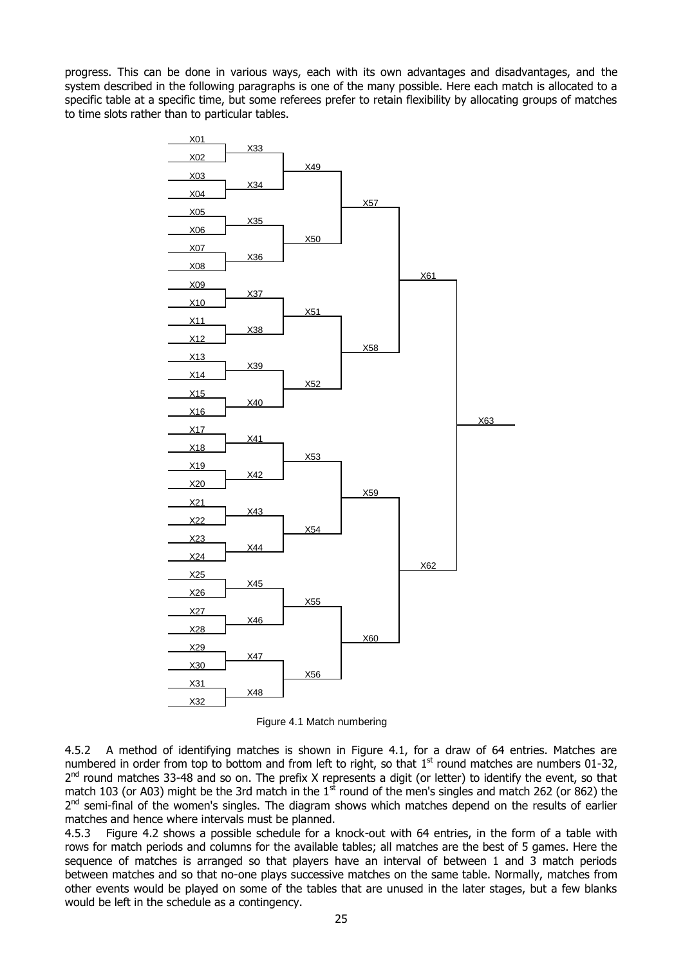progress. This can be done in various ways, each with its own advantages and disadvantages, and the system described in the following paragraphs is one of the many possible. Here each match is allocated to a specific table at a specific time, but some referees prefer to retain flexibility by allocating groups of matches to time slots rather than to particular tables.



Figure 4.1 Match numbering

4.5.2 A method of identifying matches is shown in Figure 4.1, for a draw of 64 entries. Matches are numbered in order from top to bottom and from left to right, so that  $1<sup>st</sup>$  round matches are numbers 01-32, 2<sup>nd</sup> round matches 33-48 and so on. The prefix X represents a digit (or letter) to identify the event, so that match 103 (or A03) might be the 3rd match in the  $1<sup>st</sup>$  round of the men's singles and match 262 (or 862) the 2<sup>nd</sup> semi-final of the women's singles. The diagram shows which matches depend on the results of earlier matches and hence where intervals must be planned.

4.5.3 Figure 4.2 shows a possible schedule for a knock-out with 64 entries, in the form of a table with rows for match periods and columns for the available tables; all matches are the best of 5 games. Here the sequence of matches is arranged so that players have an interval of between 1 and 3 match periods between matches and so that no-one plays successive matches on the same table. Normally, matches from other events would be played on some of the tables that are unused in the later stages, but a few blanks would be left in the schedule as a contingency.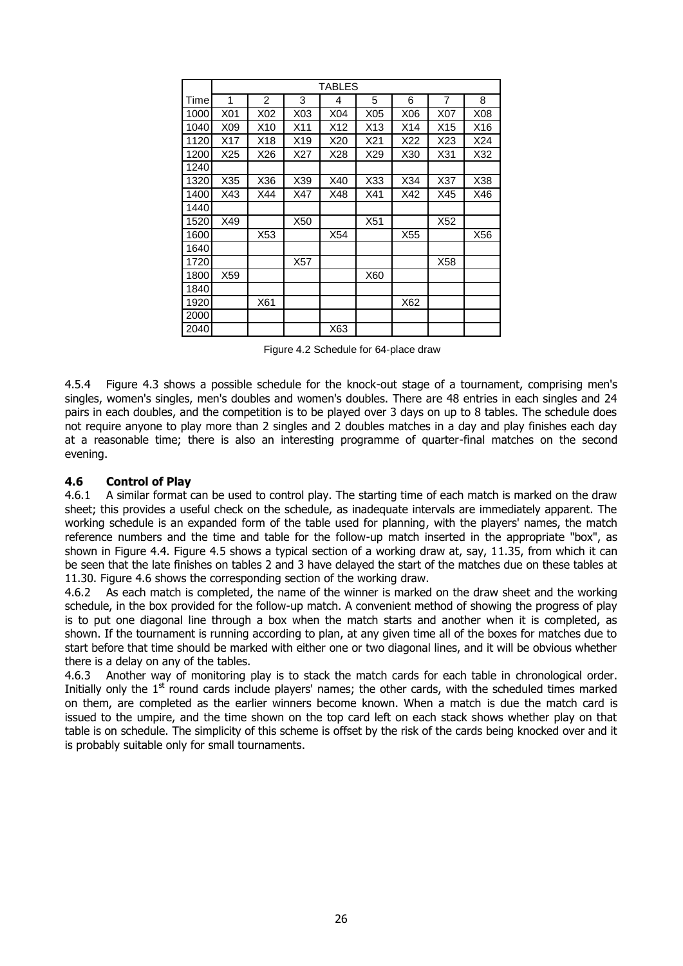|      |     | <b>TABLES</b>  |     |     |                 |     |     |     |  |  |  |
|------|-----|----------------|-----|-----|-----------------|-----|-----|-----|--|--|--|
| Time | 1   | $\overline{2}$ | 3   | 4   | 5               | 6   | 7   | 8   |  |  |  |
| 1000 | X01 | X02            | X03 | X04 | X05             | X06 | X07 | X08 |  |  |  |
| 1040 | X09 | X10            | X11 | X12 | X <sub>13</sub> | X14 | X15 | X16 |  |  |  |
| 1120 | X17 | X18            | X19 | X20 | X21             | X22 | X23 | X24 |  |  |  |
| 1200 | X25 | X26            | X27 | X28 | X29             | X30 | X31 | X32 |  |  |  |
| 1240 |     |                |     |     |                 |     |     |     |  |  |  |
| 1320 | X35 | X36            | X39 | X40 | X33             | X34 | X37 | X38 |  |  |  |
| 1400 | X43 | X44            | X47 | X48 | X41             | X42 | X45 | X46 |  |  |  |
| 1440 |     |                |     |     |                 |     |     |     |  |  |  |
| 1520 | X49 |                | X50 |     | X51             |     | X52 |     |  |  |  |
| 1600 |     | X53            |     | X54 |                 | X55 |     | X56 |  |  |  |
| 1640 |     |                |     |     |                 |     |     |     |  |  |  |
| 1720 |     |                | X57 |     |                 |     | X58 |     |  |  |  |
| 1800 | X59 |                |     |     | X60             |     |     |     |  |  |  |
| 1840 |     |                |     |     |                 |     |     |     |  |  |  |
| 1920 |     | X61            |     |     |                 | X62 |     |     |  |  |  |
| 2000 |     |                |     |     |                 |     |     |     |  |  |  |
| 2040 |     |                |     | X63 |                 |     |     |     |  |  |  |

Figure 4.2 Schedule for 64-place draw

4.5.4 Figure 4.3 shows a possible schedule for the knock-out stage of a tournament, comprising men's singles, women's singles, men's doubles and women's doubles. There are 48 entries in each singles and 24 pairs in each doubles, and the competition is to be played over 3 days on up to 8 tables. The schedule does not require anyone to play more than 2 singles and 2 doubles matches in a day and play finishes each day at a reasonable time; there is also an interesting programme of quarter-final matches on the second evening.

#### **4.6 Control of Play**

4.6.1 A similar format can be used to control play. The starting time of each match is marked on the draw sheet; this provides a useful check on the schedule, as inadequate intervals are immediately apparent. The working schedule is an expanded form of the table used for planning, with the players' names, the match reference numbers and the time and table for the follow-up match inserted in the appropriate "box", as shown in Figure 4.4. Figure 4.5 shows a typical section of a working draw at, say, 11.35, from which it can be seen that the late finishes on tables 2 and 3 have delayed the start of the matches due on these tables at 11.30. Figure 4.6 shows the corresponding section of the working draw.

4.6.2 As each match is completed, the name of the winner is marked on the draw sheet and the working schedule, in the box provided for the follow-up match. A convenient method of showing the progress of play is to put one diagonal line through a box when the match starts and another when it is completed, as shown. If the tournament is running according to plan, at any given time all of the boxes for matches due to start before that time should be marked with either one or two diagonal lines, and it will be obvious whether there is a delay on any of the tables.

4.6.3 Another way of monitoring play is to stack the match cards for each table in chronological order. Initially only the  $1<sup>st</sup>$  round cards include players' names; the other cards, with the scheduled times marked on them, are completed as the earlier winners become known. When a match is due the match card is issued to the umpire, and the time shown on the top card left on each stack shows whether play on that table is on schedule. The simplicity of this scheme is offset by the risk of the cards being knocked over and it is probably suitable only for small tournaments.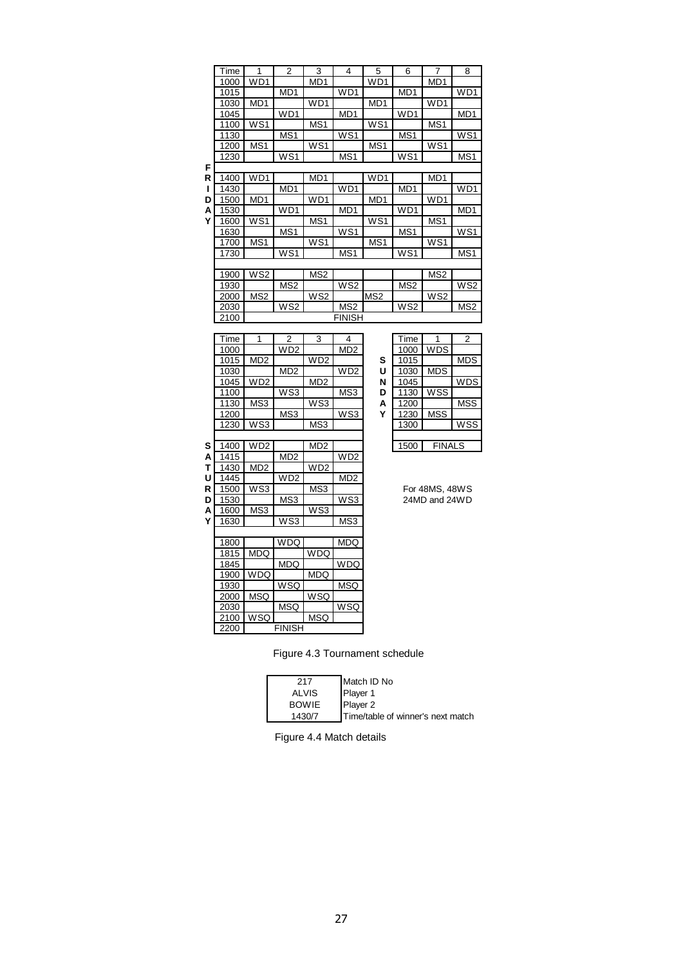|   | Time | 1               | 2               | 3               | 4               | 5               | 6               | 7               | 8                |
|---|------|-----------------|-----------------|-----------------|-----------------|-----------------|-----------------|-----------------|------------------|
|   | 1000 | WD1             |                 | MD <sub>1</sub> |                 | W <sub>D1</sub> |                 | MD <sub>1</sub> |                  |
|   | 1015 |                 | MD <sub>1</sub> |                 | WD1             |                 | MD <sub>1</sub> |                 | W <sub>D1</sub>  |
|   | 1030 | MD <sub>1</sub> |                 | WD1             |                 | MD <sub>1</sub> |                 | WD1             |                  |
|   | 1045 |                 | W <sub>D1</sub> |                 | MD <sub>1</sub> |                 | WD1             |                 | MD <sub>1</sub>  |
|   | 1100 | WS <sub>1</sub> |                 | MS1             |                 | WS <sub>1</sub> |                 | MS1             |                  |
|   | 1130 |                 | MS <sub>1</sub> |                 | WS <sub>1</sub> |                 | MS <sub>1</sub> |                 | WS <sub>1</sub>  |
|   | 1200 | MS1             |                 | WS <sub>1</sub> |                 | MS1             |                 | WS1             |                  |
|   | 1230 |                 | WS <sub>1</sub> |                 | MS1             |                 | WS1             |                 | MS <sub>1</sub>  |
| F |      |                 |                 |                 |                 |                 |                 |                 |                  |
| R | 1400 | WD1             |                 | MD <sub>1</sub> |                 | W <sub>D1</sub> |                 | MD <sub>1</sub> |                  |
| ш | 1430 |                 | MD1             |                 | WD <sub>1</sub> |                 | MD <sub>1</sub> |                 | W <sub>D</sub> 1 |
| D | 1500 | MD <sub>1</sub> |                 | WD <sub>1</sub> |                 | MD <sub>1</sub> |                 | WD <sub>1</sub> |                  |
| А | 1530 |                 | W <sub>D1</sub> |                 | MD <sub>1</sub> |                 | WD1             |                 | MD <sub>1</sub>  |
| Υ | 1600 | WS <sub>1</sub> |                 | MS <sub>1</sub> |                 | WS <sub>1</sub> |                 | MS <sub>1</sub> |                  |
|   | 1630 |                 | MS <sub>1</sub> |                 | WS <sub>1</sub> |                 | MS <sub>1</sub> |                 | WS <sub>1</sub>  |
|   | 1700 | MS1             |                 | WS1             |                 | MS1             |                 | WS1             |                  |
|   | 1730 |                 | WS <sub>1</sub> |                 | MS <sub>1</sub> |                 | WS1             |                 | MS <sub>1</sub>  |
|   |      |                 |                 |                 |                 |                 |                 |                 |                  |
|   | 1900 | WS <sub>2</sub> |                 | MS <sub>2</sub> |                 |                 |                 | MS <sub>2</sub> |                  |
|   | 1930 |                 | MS <sub>2</sub> |                 | WS <sub>2</sub> |                 | MS <sub>2</sub> |                 | WS <sub>2</sub>  |
|   | 2000 | MS <sub>2</sub> |                 | WS <sub>2</sub> |                 | MS <sub>2</sub> |                 | WS <sub>2</sub> |                  |
|   | 2030 |                 | WS <sub>2</sub> |                 | MS <sub>2</sub> |                 | WS <sub>2</sub> |                 | MS <sub>2</sub>  |
|   | 2100 |                 |                 |                 | FINISH          |                 |                 |                 |                  |

|   | Time | 1               | 2               | 3               | 4               |   | Time | 1              | 2          |
|---|------|-----------------|-----------------|-----------------|-----------------|---|------|----------------|------------|
|   | 1000 |                 | W <sub>D2</sub> |                 | MD <sub>2</sub> |   | 1000 | <b>WDS</b>     |            |
|   | 1015 | MD <sub>2</sub> |                 | WD <sub>2</sub> |                 | S | 1015 |                | <b>MDS</b> |
|   | 1030 |                 | MD <sub>2</sub> |                 | WD <sub>2</sub> | U | 1030 | <b>MDS</b>     |            |
|   | 1045 | WD <sub>2</sub> |                 | MD <sub>2</sub> |                 | N | 1045 |                | WDS        |
|   | 1100 |                 | WS3             |                 | MS3             | D | 1130 | WSS            |            |
|   | 1130 | MS3             |                 | WS3             |                 | A | 1200 |                | <b>MSS</b> |
|   | 1200 |                 | MS3             |                 | WS3             | Υ | 1230 | <b>MSS</b>     |            |
|   | 1230 | WS3             |                 | MS3             |                 |   | 1300 |                | WSS        |
|   |      |                 |                 |                 |                 |   |      |                |            |
| S | 1400 | WD <sub>2</sub> |                 | MD <sub>2</sub> |                 |   | 1500 | <b>FINALS</b>  |            |
| А | 1415 |                 | MD <sub>2</sub> |                 | WD <sub>2</sub> |   |      |                |            |
| т | 1430 | MD <sub>2</sub> |                 | WD <sub>2</sub> |                 |   |      |                |            |
| U | 1445 |                 | W <sub>D2</sub> |                 | MD <sub>2</sub> |   |      |                |            |
| R | 1500 | WS3             |                 | MS3             |                 |   |      | For 48MS, 48WS |            |
| D | 1530 |                 | MS3             |                 | WS3             |   |      | 24MD and 24WD  |            |
| А | 1600 | MS3             |                 | WS3             |                 |   |      |                |            |
| Υ | 1630 |                 | WS3             |                 | MS3             |   |      |                |            |
|   |      |                 |                 |                 |                 |   |      |                |            |
|   | 1800 |                 | <b>WDQ</b>      |                 | <b>MDQ</b>      |   |      |                |            |
|   | 1815 | <b>MDQ</b>      |                 | <b>WDQ</b>      |                 |   |      |                |            |
|   | 1845 |                 | MDQ             |                 | <b>WDQ</b>      |   |      |                |            |
|   | 1900 | <b>WDQ</b>      |                 | <b>MDQ</b>      |                 |   |      |                |            |
|   | 1930 |                 | <b>WSQ</b>      |                 | <b>MSQ</b>      |   |      |                |            |
|   | 2000 | <b>MSQ</b>      |                 | WSQ             |                 |   |      |                |            |
|   | 2030 |                 | <b>MSQ</b>      |                 | <b>WSQ</b>      |   |      |                |            |
|   | 2100 | <b>WSQ</b>      |                 | <b>MSQ</b>      |                 |   |      |                |            |
|   | 2200 |                 | <b>FINISH</b>   |                 |                 |   |      |                |            |

|   | Time |               | 2          |
|---|------|---------------|------------|
|   | 1000 | <b>WDS</b>    |            |
| ì | 1015 |               | <b>MDS</b> |
| J | 1030 | <b>MDS</b>    |            |
| √ | 1045 |               | <b>WDS</b> |
| ້ | 1130 | <b>WSS</b>    |            |
| ١ | 1200 |               | <b>MSS</b> |
|   | 1230 | <b>MSS</b>    |            |
|   | 1300 |               | <b>WSS</b> |
|   |      |               |            |
|   | 1500 | <b>FINALS</b> |            |

Figure 4.3 Tournament schedule

| 217          | Match ID No                       |
|--------------|-----------------------------------|
| <b>ALVIS</b> | Player 1                          |
| <b>BOWIE</b> | Player 2                          |
| 1430/7       | Time/table of winner's next match |

Figure 4.4 Match details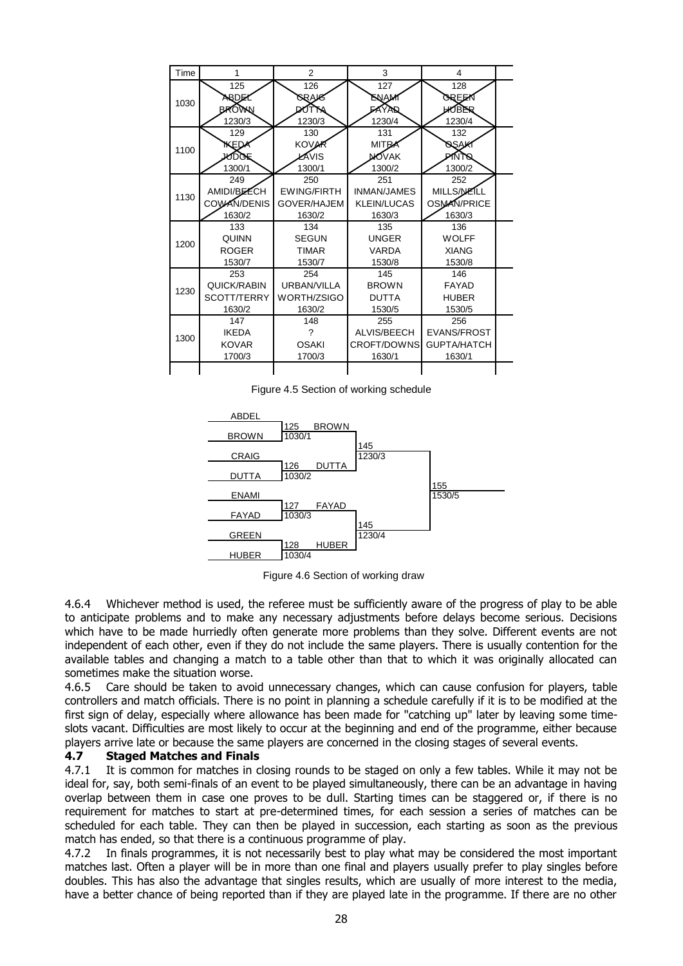| Time | 1                                             | $\overline{2}$                                     | 3                                                         | 4                                                  |  |
|------|-----------------------------------------------|----------------------------------------------------|-----------------------------------------------------------|----------------------------------------------------|--|
| 1030 | 125<br>ARDEY<br>BROWN                         | 126<br>SRAK<br>17                                  | 127<br>ENAM<br><b>FAYA</b>                                | 128<br>OREEX<br>HAQBER                             |  |
|      | 1230/3                                        | 1230/3                                             | 1230/4                                                    | 1230/4                                             |  |
| 1100 | 129<br>KED≁<br><b>NOOK</b><br>1300/1          | 130<br><b>KOVAR</b><br>ŁAVIS<br>1300/1             | 131<br>MIT <sub>R</sub><br><b>NO</b> VAK<br>1300/2        | 132<br>७६७४<br><b>PINTS</b><br>1300/2              |  |
| 1130 | 249<br>AMIDI/BEECH<br>COWAN/DENIS<br>1630/2   | 250<br><b>EWING/FIRTH</b><br>GOVER/HAJEM<br>1630/2 | 251<br><b>INMAN/JAMES</b><br><b>KLEIN/LUCAS</b><br>1630/3 | 252<br>MILLS/NEILL<br>OSMAN/PRICE<br>1630/3        |  |
| 1200 | 133<br>QUINN<br><b>ROGER</b><br>1530/7        | 134<br><b>SEGUN</b><br><b>TIMAR</b><br>1530/7      | 135<br><b>UNGER</b><br><b>VARDA</b><br>1530/8             | 136<br><b>WOLFF</b><br><b>XIANG</b><br>1530/8      |  |
| 1230 | 253<br>QUICK/RABIN<br>SCOTT/TERRY<br>1630/2   | 254<br>URBAN/VILLA<br>WORTH/ZSIGO<br>1630/2        | 145<br><b>BROWN</b><br><b>DUTTA</b><br>1530/5             | 146<br>FAYAD<br><b>HUBER</b><br>1530/5             |  |
| 1300 | 147<br><b>IKEDA</b><br><b>KOVAR</b><br>1700/3 | 148<br>?<br><b>OSAKI</b><br>1700/3                 | 255<br>ALVIS/BEECH<br>CROFT/DOWNS<br>1630/1               | 256<br><b>EVANS/FROST</b><br>GUPTA/HATCH<br>1630/1 |  |
|      |                                               |                                                    |                                                           |                                                    |  |

Figure 4.5 Section of working schedule



Figure 4.6 Section of working draw

4.6.4 Whichever method is used, the referee must be sufficiently aware of the progress of play to be able to anticipate problems and to make any necessary adjustments before delays become serious. Decisions which have to be made hurriedly often generate more problems than they solve. Different events are not independent of each other, even if they do not include the same players. There is usually contention for the available tables and changing a match to a table other than that to which it was originally allocated can sometimes make the situation worse.

4.6.5 Care should be taken to avoid unnecessary changes, which can cause confusion for players, table controllers and match officials. There is no point in planning a schedule carefully if it is to be modified at the first sign of delay, especially where allowance has been made for "catching up" later by leaving some timeslots vacant. Difficulties are most likely to occur at the beginning and end of the programme, either because players arrive late or because the same players are concerned in the closing stages of several events.

#### **4.7 Staged Matches and Finals**

4.7.1 It is common for matches in closing rounds to be staged on only a few tables. While it may not be ideal for, say, both semi-finals of an event to be played simultaneously, there can be an advantage in having overlap between them in case one proves to be dull. Starting times can be staggered or, if there is no requirement for matches to start at pre-determined times, for each session a series of matches can be scheduled for each table. They can then be played in succession, each starting as soon as the previous match has ended, so that there is a continuous programme of play.

4.7.2 In finals programmes, it is not necessarily best to play what may be considered the most important matches last. Often a player will be in more than one final and players usually prefer to play singles before doubles. This has also the advantage that singles results, which are usually of more interest to the media, have a better chance of being reported than if they are played late in the programme. If there are no other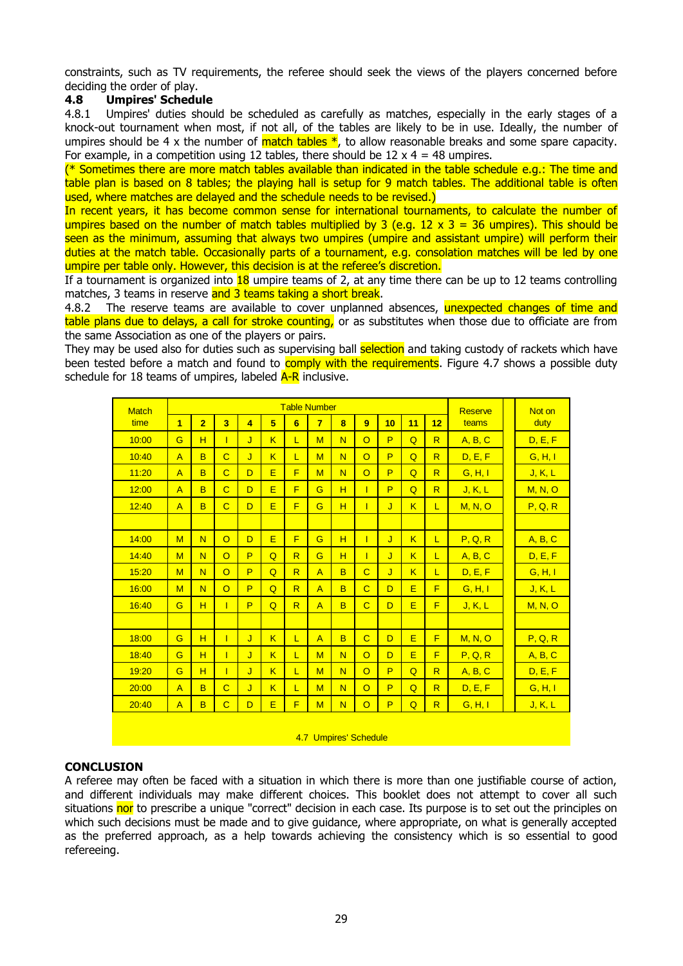constraints, such as TV requirements, the referee should seek the views of the players concerned before deciding the order of play.

#### **4.8 Umpires' Schedule**

4.8.1 Umpires' duties should be scheduled as carefully as matches, especially in the early stages of a knock-out tournament when most, if not all, of the tables are likely to be in use. Ideally, the number of umpires should be 4 x the number of  $match$  tables  $*$ , to allow reasonable breaks and some spare capacity. For example, in a competition using 12 tables, there should be  $12 \times 4 = 48$  umpires.

(\* Sometimes there are more match tables available than indicated in the table schedule e.g.: The time and table plan is based on 8 tables; the playing hall is setup for 9 match tables. The additional table is often used, where matches are delayed and the schedule needs to be revised.)

In recent years, it has become common sense for international tournaments, to calculate the number of umpires based on the number of match tables multiplied by 3 (e.g.  $12 \times 3 = 36$  umpires). This should be seen as the minimum, assuming that always two umpires (umpire and assistant umpire) will perform their duties at the match table. Occasionally parts of a tournament, e.g. consolation matches will be led by one umpire per table only. However, this decision is at the referee's discretion.

If a tournament is organized into  $18$  umpire teams of 2, at any time there can be up to 12 teams controlling matches, 3 teams in reserve and 3 teams taking a short break.

4.8.2 The reserve teams are available to cover unplanned absences, unexpected changes of time and table plans due to delays, a call for stroke counting, or as substitutes when those due to officiate are from the same Association as one of the players or pairs.

They may be used also for duties such as supervising ball selection and taking custody of rackets which have been tested before a match and found to comply with the requirements. Figure 4.7 shows a possible duty schedule for 18 teams of umpires, labeled  $A-R$  inclusive.

| <b>Match</b> | <b>Table Number</b> |                               |                         |                         |                         |                         |                |                |                       |    |                |                         | <b>Reserve</b> | Not on         |
|--------------|---------------------|-------------------------------|-------------------------|-------------------------|-------------------------|-------------------------|----------------|----------------|-----------------------|----|----------------|-------------------------|----------------|----------------|
| time         | $\overline{1}$      | $\overline{2}$                | $\overline{\mathbf{3}}$ | $\overline{4}$          | 5                       | $6\phantom{a}$          | $\overline{7}$ | 8              | 9                     | 10 | 11             | 12                      | teams          | duty           |
| 10:00        | G                   | H                             | Т                       | J                       | K                       | L                       | M              | N              | $\Omega$              | P  | $\overline{Q}$ | $\overline{R}$          | A, B, C        | D, E, F        |
| 10:40        | $\overline{A}$      | B                             | $\overline{C}$          | J                       | K                       | L                       | M              | $\overline{N}$ | $\overline{O}$        | P  | $\overline{Q}$ | $\overline{R}$          | D, E, F        | G, H, I        |
| 11:20        | $\overline{A}$      | B                             | $\overline{C}$          | D                       | E                       | F                       | M              | N              | $\circ$               | P  | $\overline{Q}$ | $\overline{\mathsf{R}}$ | G, H, I        | J, K, L        |
| 12:00        | $\overline{A}$      | B                             | $\overline{C}$          | D                       | Ē                       | F                       | G              | H              | T                     | P  | $\overline{Q}$ | $\overline{R}$          | J, K, L        | <b>M, N, O</b> |
| 12:40        | $\overline{A}$      | B                             | $\overline{C}$          | D                       | E                       | F                       | G              | H              | ī                     | J  | K              | L.                      | M, N, O        | P, Q, R        |
|              |                     |                               |                         |                         |                         |                         |                |                |                       |    |                |                         |                |                |
| 14:00        | M                   | N                             | $\overline{O}$          | D                       | E                       | F                       | G              | H              | T                     | J  | K              | L                       | P, Q, R        | A, B, C        |
| 14:40        | M                   | N                             | $\circ$                 | P                       | $\overline{Q}$          | $\overline{\mathsf{R}}$ | G              | H              | T                     | J  | K              | L.                      | A, B, C        | D, E, F        |
| 15:20        | M                   | N                             | $\overline{O}$          | P                       | Q                       | $\overline{\mathsf{R}}$ | $\overline{A}$ | B              | $\overline{C}$        | J  | K              | L                       | D, E, F        | G, H, I        |
| 16:00        | M                   | N                             | $\circ$                 | P                       | $\overline{Q}$          | $\overline{\mathsf{R}}$ | $\overline{A}$ | B              | $\overline{C}$        | D  | E              | F                       | G, H, I        | J, K, L        |
| 16:40        | G                   | H<br>T<br>P<br>$\overline{Q}$ |                         | $\overline{\mathsf{R}}$ | $\overline{A}$          | B                       | $\overline{C}$ | D              | E                     | F  | J, K, L        | <b>M. N. O</b>          |                |                |
|              |                     |                               |                         |                         |                         |                         |                |                |                       |    |                |                         |                |                |
| 18:00        | G                   | H                             | T                       | J                       | K                       | L                       | $\overline{A}$ | B              | $\overline{C}$        | D  | E              | F                       | M, N, O        | P, Q, R        |
| 18:40        | G                   | H                             | T                       | J                       | K                       | L                       | M              | N              | $\overline{O}$        | D  | E              | F                       | P, Q, R        | A, B, C        |
| 19:20        | G                   | H                             | ī                       | J                       | $\overline{\mathsf{K}}$ | L                       | M              | N              | $\overline{O}$        | P  | $\Omega$       | $\overline{R}$          | A, B, C        | D, E, F        |
| 20:00        | $\overline{A}$      | B                             | $\overline{C}$          | J                       | K                       | L                       | M              | N              | $\overline{O}$        | P  | $\overline{Q}$ | $\overline{\mathsf{R}}$ | D, E, F        | G, H, I        |
| 20:40        | $\overline{A}$      | B                             | $\overline{C}$          | D                       | E                       | F                       | M              | N              | $\overline{O}$        | P  | $\overline{Q}$ | R                       | G, H, I        | J, K, L        |
|              |                     |                               |                         |                         |                         |                         |                |                |                       |    |                |                         |                |                |
|              |                     |                               |                         |                         |                         |                         |                |                | 4.7 Umpires' Schedule |    |                |                         |                |                |

#### **CONCLUSION**

A referee may often be faced with a situation in which there is more than one justifiable course of action, and different individuals may make different choices. This booklet does not attempt to cover all such situations nor to prescribe a unique "correct" decision in each case. Its purpose is to set out the principles on which such decisions must be made and to give guidance, where appropriate, on what is generally accepted as the preferred approach, as a help towards achieving the consistency which is so essential to good refereeing.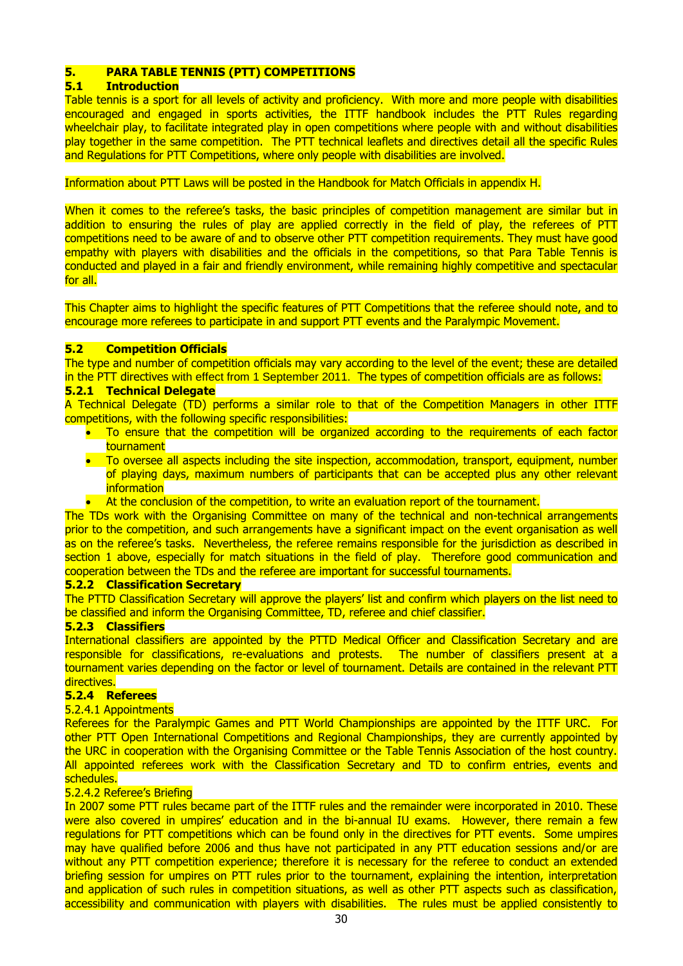## **5. PARA TABLE TENNIS (PTT) COMPETITIONS**

#### **5.1 Introduction**

Table tennis is a sport for all levels of activity and proficiency. With more and more people with disabilities encouraged and engaged in sports activities, the ITTF handbook includes the PTT Rules regarding wheelchair play, to facilitate integrated play in open competitions where people with and without disabilities play together in the same competition. The PTT technical leaflets and directives detail all the specific Rules and Regulations for PTT Competitions, where only people with disabilities are involved.

#### Information about PTT Laws will be posted in the Handbook for Match Officials in appendix H.

When it comes to the referee's tasks, the basic principles of competition management are similar but in addition to ensuring the rules of play are applied correctly in the field of play, the referees of PTT competitions need to be aware of and to observe other PTT competition requirements. They must have good empathy with players with disabilities and the officials in the competitions, so that Para Table Tennis is conducted and played in a fair and friendly environment, while remaining highly competitive and spectacular for all.

This Chapter aims to highlight the specific features of PTT Competitions that the referee should note, and to encourage more referees to participate in and support PTT events and the Paralympic Movement.

#### **5.2 Competition Officials**

The type and number of competition officials may vary according to the level of the event; these are detailed in the PTT directives with effect from 1 September 2011. The types of competition officials are as follows:

#### **5.2.1 Technical Delegate**

A Technical Delegate (TD) performs a similar role to that of the Competition Managers in other ITTF competitions, with the following specific responsibilities:

- To ensure that the competition will be organized according to the requirements of each factor tournament
- To oversee all aspects including the site inspection, accommodation, transport, equipment, number of playing days, maximum numbers of participants that can be accepted plus any other relevant **information**
- At the conclusion of the competition, to write an evaluation report of the tournament.

The TDs work with the Organising Committee on many of the technical and non-technical arrangements prior to the competition, and such arrangements have a significant impact on the event organisation as well as on the referee's tasks. Nevertheless, the referee remains responsible for the jurisdiction as described in section 1 above, especially for match situations in the field of play. Therefore good communication and cooperation between the TDs and the referee are important for successful tournaments.

#### **5.2.2 Classification Secretary**

The PTTD Classification Secretary will approve the players' list and confirm which players on the list need to be classified and inform the Organising Committee, TD, referee and chief classifier.

#### **5.2.3 Classifiers**

International classifiers are appointed by the PTTD Medical Officer and Classification Secretary and are responsible for classifications, re-evaluations and protests. The number of classifiers present at a tournament varies depending on the factor or level of tournament. Details are contained in the relevant PTT directives.

#### **5.2.4 Referees**

#### 5.2.4.1 Appointments

Referees for the Paralympic Games and PTT World Championships are appointed by the ITTF URC. For other PTT Open International Competitions and Regional Championships, they are currently appointed by the URC in cooperation with the Organising Committee or the Table Tennis Association of the host country. All appointed referees work with the Classification Secretary and TD to confirm entries, events and schedules.

#### 5.2.4.2 Referee's Briefing

In 2007 some PTT rules became part of the ITTF rules and the remainder were incorporated in 2010. These were also covered in umpires' education and in the bi-annual IU exams. However, there remain a few regulations for PTT competitions which can be found only in the directives for PTT events. Some umpires may have qualified before 2006 and thus have not participated in any PTT education sessions and/or are without any PTT competition experience; therefore it is necessary for the referee to conduct an extended briefing session for umpires on PTT rules prior to the tournament, explaining the intention, interpretation and application of such rules in competition situations, as well as other PTT aspects such as classification, accessibility and communication with players with disabilities. The rules must be applied consistently to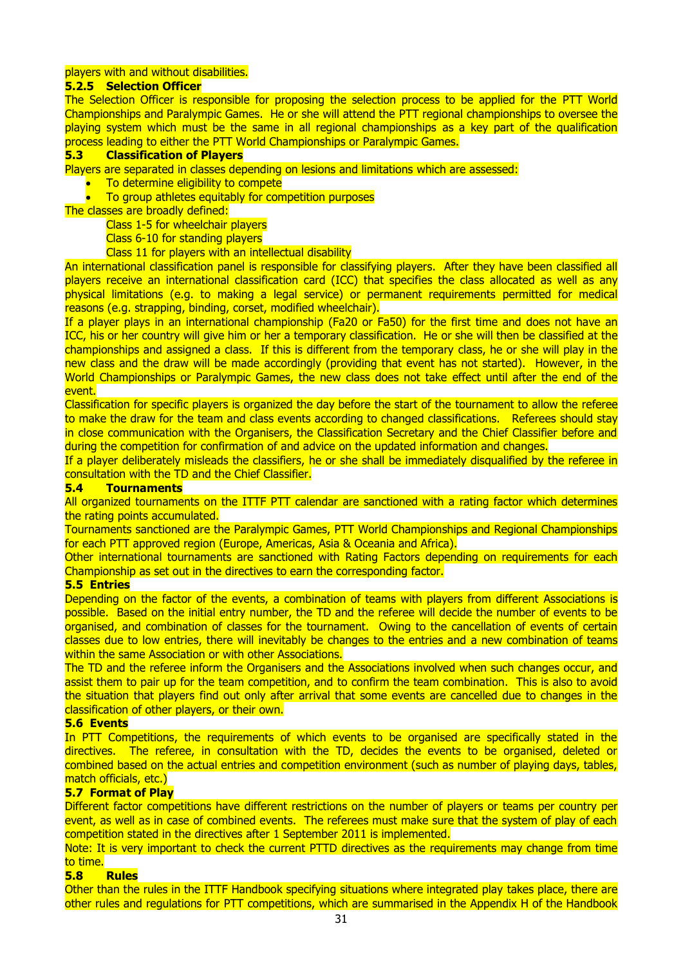#### players with and without disabilities.

#### **5.2.5 Selection Officer**

The Selection Officer is responsible for proposing the selection process to be applied for the PTT World Championships and Paralympic Games. He or she will attend the PTT regional championships to oversee the playing system which must be the same in all regional championships as a key part of the qualification process leading to either the PTT World Championships or Paralympic Games.

#### **5.3 Classification of Players**

Players are separated in classes depending on lesions and limitations which are assessed:

- To determine eligibility to compete
- To group athletes equitably for competition purposes
- The classes are broadly defined:

Class 1-5 for wheelchair players

Class 6-10 for standing players

Class 11 for players with an intellectual disability

An international classification panel is responsible for classifying players. After they have been classified all players receive an international classification card (ICC) that specifies the class allocated as well as any physical limitations (e.g. to making a legal service) or permanent requirements permitted for medical reasons (e.g. strapping, binding, corset, modified wheelchair).

If a player plays in an international championship (Fa20 or Fa50) for the first time and does not have an ICC, his or her country will give him or her a temporary classification. He or she will then be classified at the championships and assigned a class. If this is different from the temporary class, he or she will play in the new class and the draw will be made accordingly (providing that event has not started). However, in the World Championships or Paralympic Games, the new class does not take effect until after the end of the event.

Classification for specific players is organized the day before the start of the tournament to allow the referee to make the draw for the team and class events according to changed classifications. Referees should stay in close communication with the Organisers, the Classification Secretary and the Chief Classifier before and during the competition for confirmation of and advice on the updated information and changes.

If a player deliberately misleads the classifiers, he or she shall be immediately disqualified by the referee in consultation with the TD and the Chief Classifier.

#### **5.4 Tournaments**

All organized tournaments on the ITTF PTT calendar are sanctioned with a rating factor which determines the rating points accumulated.

Tournaments sanctioned are the Paralympic Games, PTT World Championships and Regional Championships for each PTT approved region (Europe, Americas, Asia & Oceania and Africa).

Other international tournaments are sanctioned with Rating Factors depending on requirements for each Championship as set out in the directives to earn the corresponding factor.

#### **5.5 Entries**

Depending on the factor of the events, a combination of teams with players from different Associations is possible. Based on the initial entry number, the TD and the referee will decide the number of events to be organised, and combination of classes for the tournament. Owing to the cancellation of events of certain classes due to low entries, there will inevitably be changes to the entries and a new combination of teams within the same Association or with other Associations.

The TD and the referee inform the Organisers and the Associations involved when such changes occur, and assist them to pair up for the team competition, and to confirm the team combination. This is also to avoid the situation that players find out only after arrival that some events are cancelled due to changes in the classification of other players, or their own.

#### **5.6 Events**

In PTT Competitions, the requirements of which events to be organised are specifically stated in the directives. The referee, in consultation with the TD, decides the events to be organised, deleted or combined based on the actual entries and competition environment (such as number of playing days, tables, match officials, etc.)

#### **5.7 Format of Play**

Different factor competitions have different restrictions on the number of players or teams per country per event, as well as in case of combined events. The referees must make sure that the system of play of each competition stated in the directives after 1 September 2011 is implemented.

Note: It is very important to check the current PTTD directives as the requirements may change from time to time.

#### **5.8 Rules**

Other than the rules in the ITTF Handbook specifying situations where integrated play takes place, there are other rules and regulations for PTT competitions, which are summarised in the Appendix H of the Handbook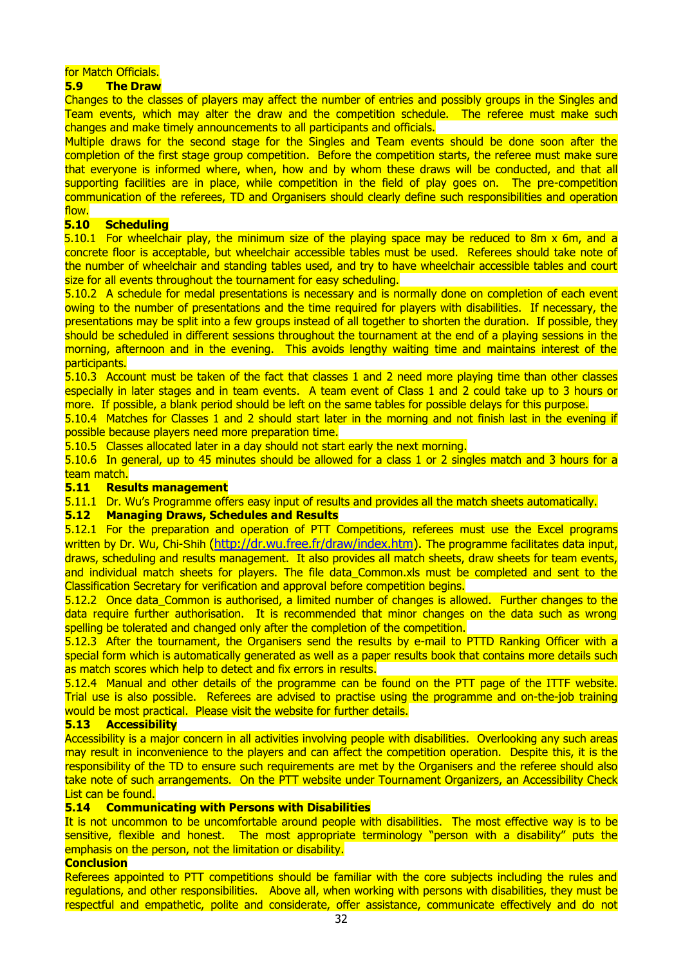#### for Match Officials.

#### **5.9 The Draw**

Changes to the classes of players may affect the number of entries and possibly groups in the Singles and Team events, which may alter the draw and the competition schedule. The referee must make such changes and make timely announcements to all participants and officials.

Multiple draws for the second stage for the Singles and Team events should be done soon after the completion of the first stage group competition. Before the competition starts, the referee must make sure that everyone is informed where, when, how and by whom these draws will be conducted, and that all supporting facilities are in place, while competition in the field of play goes on. The pre-competition communication of the referees, TD and Organisers should clearly define such responsibilities and operation

#### <mark>flow.</mark><br>5.10 **5.10 Scheduling**

5.10.1 For wheelchair play, the minimum size of the playing space may be reduced to 8m x 6m, and a concrete floor is acceptable, but wheelchair accessible tables must be used. Referees should take note of the number of wheelchair and standing tables used, and try to have wheelchair accessible tables and court size for all events throughout the tournament for easy scheduling.

5.10.2 A schedule for medal presentations is necessary and is normally done on completion of each event owing to the number of presentations and the time required for players with disabilities. If necessary, the presentations may be split into a few groups instead of all together to shorten the duration. If possible, they should be scheduled in different sessions throughout the tournament at the end of a playing sessions in the morning, afternoon and in the evening. This avoids lengthy waiting time and maintains interest of the participants.

5.10.3 Account must be taken of the fact that classes 1 and 2 need more playing time than other classes especially in later stages and in team events. A team event of Class 1 and 2 could take up to 3 hours or more. If possible, a blank period should be left on the same tables for possible delays for this purpose.

5.10.4 Matches for Classes 1 and 2 should start later in the morning and not finish last in the evening if possible because players need more preparation time.

5.10.5 Classes allocated later in a day should not start early the next morning.

5.10.6 In general, up to 45 minutes should be allowed for a class 1 or 2 singles match and 3 hours for a team match.

#### **5.11 Results management**

5.11.1 Dr. Wu's Programme offers easy input of results and provides all the match sheets automatically.

#### **5.12 Managing Draws, Schedules and Results**

5.12.1 For the preparation and operation of PTT Competitions, referees must use the [Excel programs](http://dr.wu.free.fr/draw/index.htm) written by Dr. Wu, Chi-Shih [\(http://dr.wu.free.fr/draw/index.htm\)](http://dr.wu.free.fr/draw/index.htm). The programme facilitates data input, draws, scheduling and results management. It also provides all match sheets, draw sheets for team events, and individual match sheets for players. The file data Common.xls must be completed and sent to the Classification Secretary for verification and approval before competition begins.

5.12.2 Once data\_Common is authorised, a limited number of changes is allowed. Further changes to the data require further authorisation. It is recommended that minor changes on the data such as wrong spelling be tolerated and changed only after the completion of the competition.

5.12.3 After the tournament, the Organisers send the results by e-mail to PTTD Ranking Officer with a special form which is automatically generated as well as a paper results book that contains more details such as match scores which help to detect and fix errors in results.

5.12.4 Manual and other details of the programme can be found on the PTT page of the ITTF website. Trial use is also possible. Referees are advised to practise using the programme and on-the-job training would be most practical. Please visit the website for further details.

#### **5.13 Accessibility**

Accessibility is a major concern in all activities involving people with disabilities. Overlooking any such areas may result in inconvenience to the players and can affect the competition operation. Despite this, it is the responsibility of the TD to ensure such requirements are met by the Organisers and the referee should also take note of such arrangements. On the PTT website under Tournament Organizers, an Accessibility Check List can be found.

#### **5.14 Communicating with Persons with Disabilities**

It is not uncommon to be uncomfortable around people with disabilities. The most effective way is to be sensitive, flexible and honest. The most appropriate terminology "person with a disability" puts the emphasis on the person, not the limitation or disability.

#### **Conclusion**

Referees appointed to PTT competitions should be familiar with the core subjects including the rules and regulations, and other responsibilities. Above all, when working with persons with disabilities, they must be respectful and empathetic, polite and considerate, offer assistance, communicate effectively and do not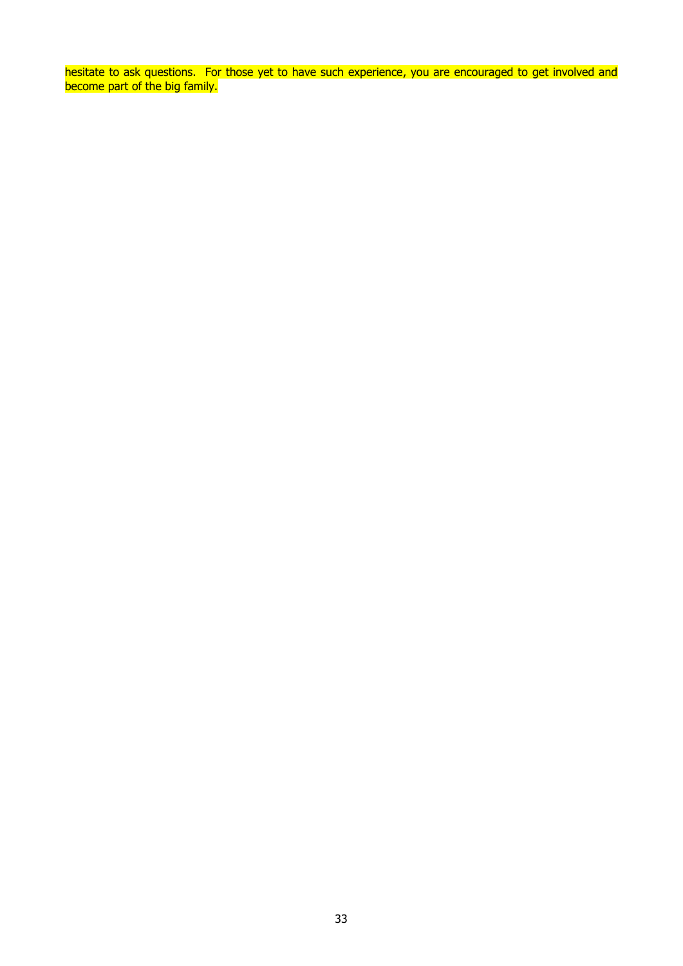hesitate to ask questions. For those yet to have such experience, you are encouraged to get involved and become part of the big family.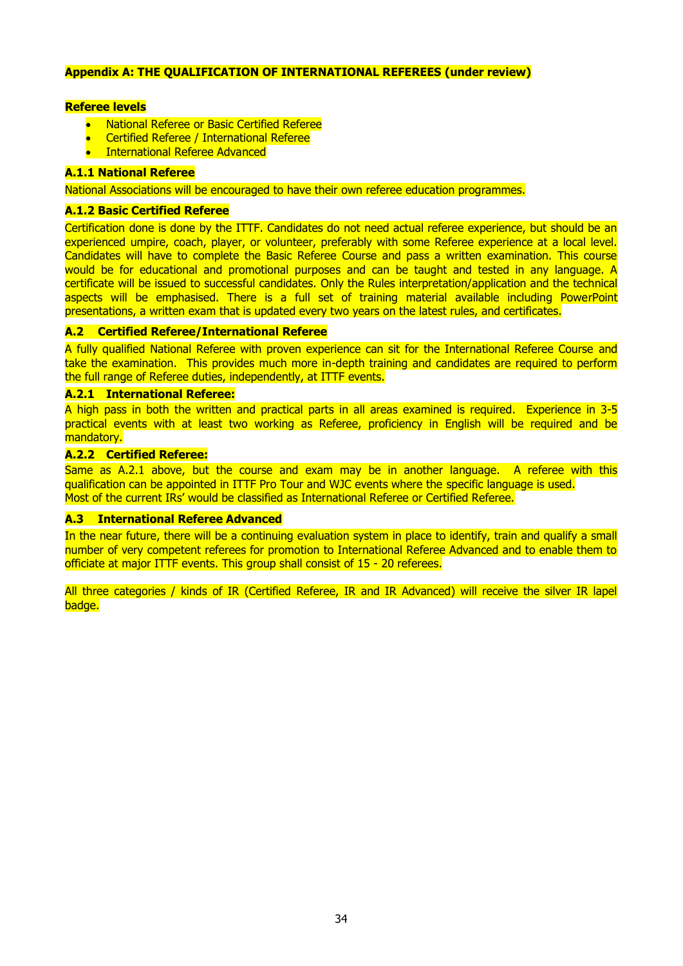#### **Appendix A: THE QUALIFICATION OF INTERNATIONAL REFEREES (under review)**

#### **Referee levels**

- National Referee or Basic Certified Referee
- Certified Referee / International Referee
- International Referee Advanced

#### **A.1.1 National Referee**

National Associations will be encouraged to have their own referee education programmes.

#### **A.1.2 Basic Certified Referee**

Certification done is done by the ITTF. Candidates do not need actual referee experience, but should be an experienced umpire, coach, player, or volunteer, preferably with some Referee experience at a local level. Candidates will have to complete the Basic Referee Course and pass a written examination. This course would be for educational and promotional purposes and can be taught and tested in any language. A certificate will be issued to successful candidates. Only the Rules interpretation/application and the technical aspects will be emphasised. There is a full set of training material available including PowerPoint presentations, a written exam that is updated every two years on the latest rules, and certificates.

#### **A.2 Certified Referee/International Referee**

A fully qualified National Referee with proven experience can sit for the International Referee Course and take the examination. This provides much more in-depth training and candidates are required to perform the full range of Referee duties, independently, at ITTF events.

#### **A.2.1 International Referee:**

A high pass in both the written and practical parts in all areas examined is required. Experience in 3-5 practical events with at least two working as Referee, proficiency in English will be required and be mandatory.

#### **A.2.2 Certified Referee:**

Same as A.2.1 above, but the course and exam may be in another language. A referee with this qualification can be appointed in ITTF Pro Tour and WJC events where the specific language is used. Most of the current IRs' would be classified as International Referee or Certified Referee.

#### **A.3 International Referee Advanced**

In the near future, there will be a continuing evaluation system in place to identify, train and qualify a small number of very competent referees for promotion to International Referee Advanced and to enable them to officiate at major ITTF events. This group shall consist of 15 - 20 referees.

All three categories / kinds of IR (Certified Referee, IR and IR Advanced) will receive the silver IR lapel badge.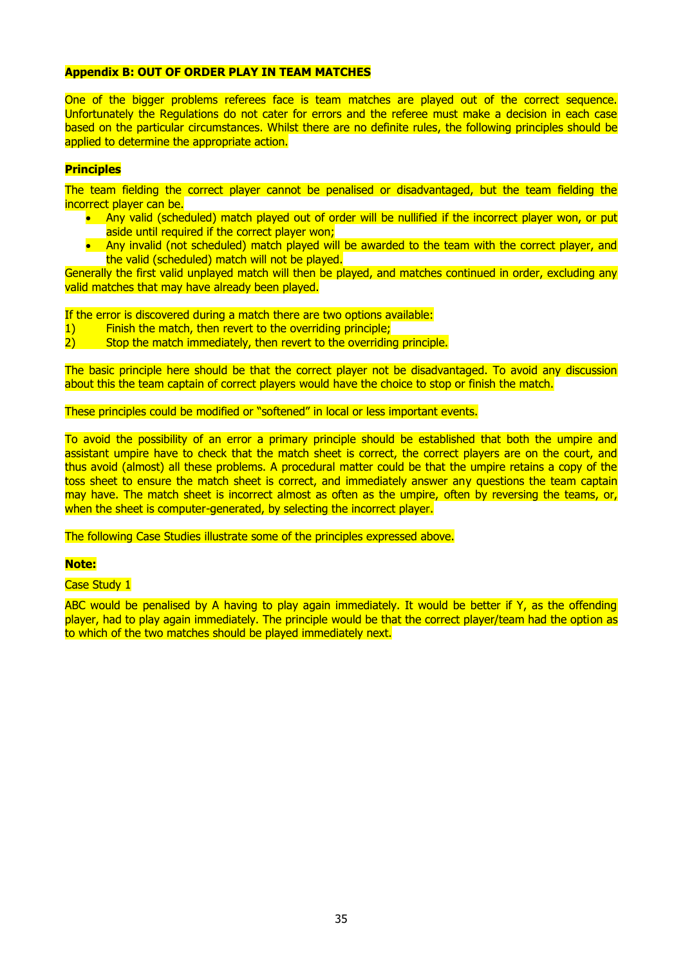#### **Appendix B: OUT OF ORDER PLAY IN TEAM MATCHES**

One of the bigger problems referees face is team matches are played out of the correct sequence. Unfortunately the Regulations do not cater for errors and the referee must make a decision in each case based on the particular circumstances. Whilst there are no definite rules, the following principles should be applied to determine the appropriate action.

#### **Principles**

The team fielding the correct player cannot be penalised or disadvantaged, but the team fielding the incorrect player can be.

- Any valid (scheduled) match played out of order will be nullified if the incorrect player won, or put aside until required if the correct player won;
- Any invalid (not scheduled) match played will be awarded to the team with the correct player, and the valid (scheduled) match will not be played.

Generally the first valid unplayed match will then be played, and matches continued in order, excluding any valid matches that may have already been played.

If the error is discovered during a match there are two options available:

1) Finish the match, then revert to the overriding principle;

2) Stop the match immediately, then revert to the overriding principle.

The basic principle here should be that the correct player not be disadvantaged. To avoid any discussion about this the team captain of correct players would have the choice to stop or finish the match.

These principles could be modified or "softened" in local or less important events.

To avoid the possibility of an error a primary principle should be established that both the umpire and assistant umpire have to check that the match sheet is correct, the correct players are on the court, and thus avoid (almost) all these problems. A procedural matter could be that the umpire retains a copy of the toss sheet to ensure the match sheet is correct, and immediately answer any questions the team captain may have. The match sheet is incorrect almost as often as the umpire, often by reversing the teams, or, when the sheet is computer-generated, by selecting the incorrect player.

The following Case Studies illustrate some of the principles expressed above.

#### **Note:**

Case Study 1

ABC would be penalised by A having to play again immediately. It would be better if Y, as the offending player, had to play again immediately. The principle would be that the correct player/team had the option as to which of the two matches should be played immediately next.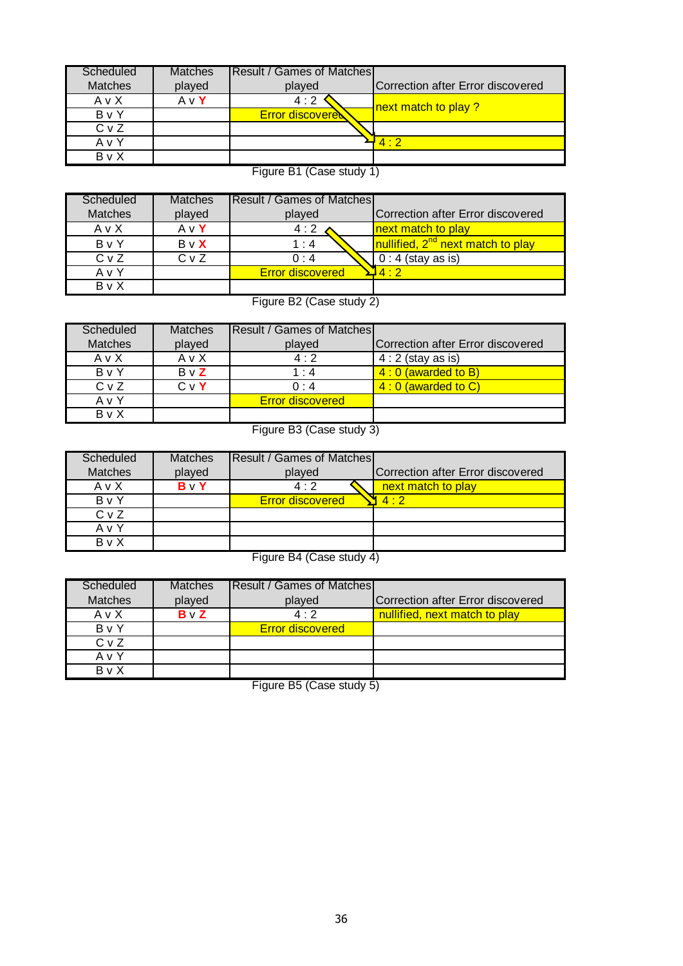| Scheduled      | <b>Matches</b> | IResult / Games of Matches I |                                   |
|----------------|----------------|------------------------------|-----------------------------------|
| <b>Matches</b> | played         | played                       | Correction after Error discovered |
| AvX            | AvY            | 4:2                          | next match to play ?              |
| ByY            |                | <b>Error discovered</b>      |                                   |
| CvZ            |                |                              |                                   |
| AvY            |                |                              | 4.2                               |
| $B \vee X$     |                |                              |                                   |

Figure B1 (Case study 1)

| Scheduled        | <b>Matches</b> | <b>Result / Games of Matches</b> |                                               |
|------------------|----------------|----------------------------------|-----------------------------------------------|
| <b>Matches</b>   | played         | played                           | Correction after Error discovered             |
| AvX              | $A \vee Y$     | 4:2                              | next match to play                            |
| ByY              | BvX            | 1:4                              | nullified, 2 <sup>nd</sup> next match to play |
| C <sub>v</sub> Z | $Cv$ Z         | 0:4                              | $0:4$ (stay as is)                            |
| AvY              |                | <b>Error discovered</b>          | $1 \cdot 2$                                   |
| B v X            |                |                                  |                                               |

Figure B2 (Case study 2)

| Scheduled      | <b>Matches</b> | <b>Result / Games of Matches</b> |                                   |
|----------------|----------------|----------------------------------|-----------------------------------|
| <b>Matches</b> | played         | played                           | Correction after Error discovered |
| AvX            | AvX            | 4:2                              | $4:2$ (stay as is)                |
| B v Y          | $B \vee Z$     | $1 \cdot 4$                      | $4:0$ (awarded to B)              |
| $Cv$ Z         | $C \vee Y$     | $0 \cdot 4$                      | $4:0$ (awarded to C)              |
| AvY            |                | <b>Error discovered</b>          |                                   |
| <b>B</b> v X   |                |                                  |                                   |

Figure B3 (Case study 3)

| Scheduled        | <b>Matches</b> | <b>Result / Games of Matches</b> |                                   |
|------------------|----------------|----------------------------------|-----------------------------------|
| <b>Matches</b>   | played         | played                           | Correction after Error discovered |
| AvX              | $B \vee Y$     | 4:2                              | next match to play                |
| ByY              |                | <b>Error discovered</b>          | 4.2                               |
| C <sub>v</sub> Z |                |                                  |                                   |
| AvY              |                |                                  |                                   |
| <b>B</b> v X     |                |                                  |                                   |
|                  |                |                                  |                                   |

Figure B4 (Case study 4)

| Scheduled      | <b>Matches</b> | <b>Result / Games of Matches</b> |                                           |
|----------------|----------------|----------------------------------|-------------------------------------------|
| <b>Matches</b> | played         | played                           | <b>ICorrection after Error discovered</b> |
| A v X          | $B \vee Z$     | $4 \cdot 2$                      | nullified, next match to play             |
| B v Y          |                | <b>Error discovered</b>          |                                           |
| $Cv$ Z         |                |                                  |                                           |
| A v Y          |                |                                  |                                           |
| B v X          |                |                                  |                                           |

Figure B5 (Case study 5)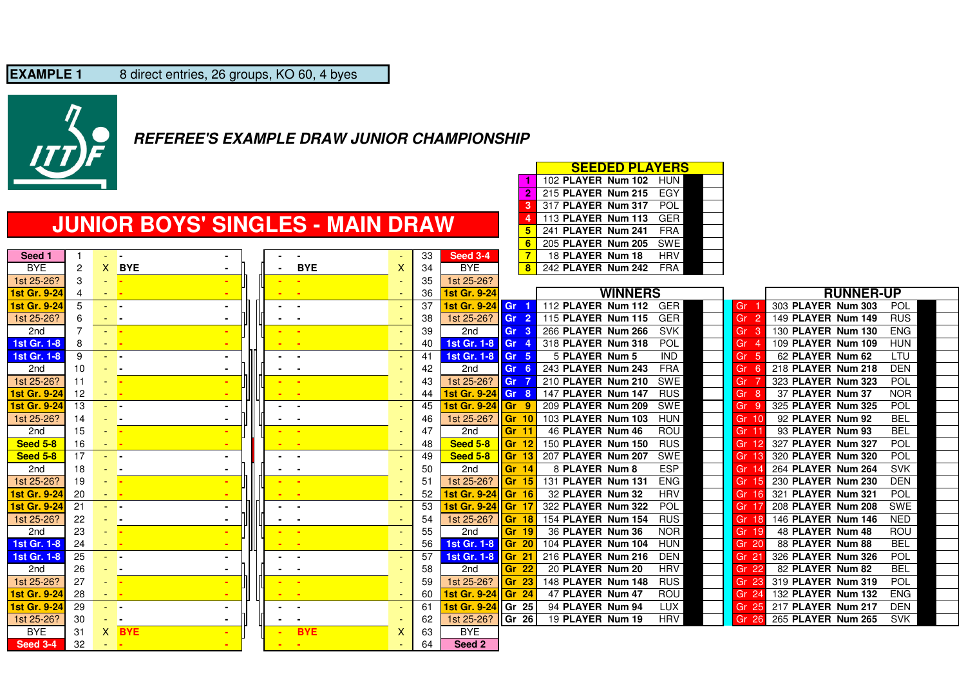

BYE 2 X BYE

**Seed 1**

### **REFEREE'S EXAMPLE DRAW JUNIOR CHAMPIONSHIP**

### **JUNIOR BOYS' SINGLES - MAIN DRAW**

|                                              | <b>SEEDED PLAYERS</b><br>102 PLAYER Num 102 HUN<br>215 PLAYER Num 215<br>EGY |
|----------------------------------------------|------------------------------------------------------------------------------|
|                                              | 317 PLAYER Num 317<br>POL.                                                   |
| <b>JUNIOR BOYS' SINGLES - MAIN DRAW</b>      | 113 PLAYER Num 113<br><b>GER</b>                                             |
|                                              | 241 PLAYER Num 241<br>FRA                                                    |
|                                              | <b>SWE</b><br>205 PLAYER Num 205                                             |
| Seed 3-4<br>33                               | HRV<br>18 PLAYER Num 18                                                      |
| <b>BYE</b><br><b>BYE</b><br><b>BYE</b><br>34 | 242 PLAYER Num 242<br>FRA                                                    |
|                                              |                                                                              |

| <b>WINNERS</b><br><b>RUNNER-UP</b><br>1st Gr. 9-24<br>1st Gr. 9-24<br>36<br>4<br>and the<br>303 PLAYER Num 303<br>POL<br>1st Gr. 9-24<br>5<br>37<br>1st Gr. 9-24<br>112 PLAYER Num 112<br><b>GER</b><br>Gr<br>Gr<br><b>Contract Contract</b><br>$\sim$<br>$\blacksquare$<br>1st 25-26?<br>115 PLAYER Num 115<br><b>GER</b><br>149 PLAYER Num 149<br><b>RUS</b><br>1st 25-26?<br>38<br>Gr<br>Gr <sub>2</sub><br>6<br>$-1$<br>$\sim$<br>$\overline{\phantom{a}}$<br>۰<br><b>SVK</b><br><b>ENG</b><br>39<br>266 PLAYER Num 266<br>130 PLAYER Num 130<br>2nd<br>2nd<br>Gr <sub>3</sub><br>Gr<br>3<br>a la<br>- -<br>POL<br>1st Gr. 1-8<br>318 PLAYER Num 318<br>109 PLAYER Num 109<br><b>HUN</b><br>1st Gr. 1-8<br>8<br>Gr 4<br>Gr<br>40<br><b>- -</b><br>- -<br><b>IND</b><br>62 PLAYER Num 62<br>9<br>1st Gr. 1-8 Gr 5<br>5 PLAYER Num 5<br>LTU<br><b>1st Gr. 1-8</b><br>Gr<br>-41<br>-5<br>- -<br>$\sim$<br><b>.</b><br>243 PLAYER Num 243<br><b>FRA</b><br>218 PLAYER Num 218<br><b>DEN</b><br>42<br>10<br>2nd<br>Gr<br>2nd<br>Gr <sub>6</sub><br>- -<br>$\blacksquare$<br>$\sim$<br>POL<br>1st 25-26?<br>11<br>1st 25-26?<br>210 PLAYER Num 210<br>SWE<br>323 PLAYER Num 323<br>43<br>Gr<br>Gr<br>- 14<br>- -<br>147 PLAYER Num 147<br>37 PLAYER Num 37<br>1st Gr. 9-24<br><b>RUS</b><br>Gr<br><b>NOR</b><br>12<br>1st Gr. 9-24 Gr 8<br>44<br>-8<br>e e<br>POL<br>1st Gr. 9-24<br><b>Ist Gr. 9-24</b><br>209 PLAYER Num 209<br>SWE<br>325 PLAYER Num 325<br>13<br>45<br><b>Gr</b> 9<br>Gr<br>-9<br>- -<br>$\sim$<br>103 PLAYER Num 103<br><b>HUN</b><br>92 PLAYER Num 92<br><b>BEL</b><br>1st 25-26?<br>1st 25-26?<br><b>Gr 10</b><br>Gr 10<br>14<br>46<br>- -<br>$\sim$<br>$\sim$<br>ROU<br><b>BEL</b><br>15<br>47<br>Gr 11<br>46 PLAYER Num 46<br>93 PLAYER Num 93<br>2nd<br>2nd<br>Gr 11<br><b>College</b><br><b><i><u>ALCOHOL: 40</u></i></b><br><b>Seed 5-8</b><br><b>Seed 5-8</b><br>150 PLAYER Num 150<br><b>RUS</b><br>327 PLAYER Num 327<br><b>POL</b><br>Gr 12<br>Gr<br>16<br>48<br>All Car<br>POL<br>17<br>49<br><b>Seed 5-8</b><br>207 PLAYER Num 207<br>SWE<br>320 PLAYER Num 320<br>Seed 5-8<br>Gr 13<br>Gr<br>$\sim$ 100 $\pm$<br>$\sim$<br><b>ESP</b><br>50<br>8 PLAYER Num 8<br>264 PLAYER Num 264<br><b>SVK</b><br>2nd<br>18<br>2nd<br>Gr 14<br>Gr<br>. .<br>٠<br>$\sim$<br><b>ENG</b><br>1st 25-26?<br>131 PLAYER Num 131<br><b>DEN</b><br>19<br>51<br>1st 25-26?<br><b>Gr 15</b><br>230 PLAYER Num 230<br>Gr<br><b><i><u>ALCO</u></i></b><br>- -<br>52<br>POL<br>1st Gr. 9-24<br><b>Ist Gr. 9-24</b><br>32 PLAYER Num 32<br><b>HRV</b><br>321 PLAYER Num 321<br>-20<br><b>Gr 16</b><br>Gr<br><b>All Service</b><br>-<br>53<br><b>POL</b><br>1st Gr. 9-24<br>21<br>1st Gr. 9-24<br><b>Gr</b> 17<br>322 PLAYER Num 322<br>208 PLAYER Num 208<br><b>SWE</b><br>Gr<br>- -<br>$\sim$<br>$\blacksquare$<br><b>RUS</b><br>1st 25-26?<br>154 PLAYER Num 154<br>146 PLAYER Num 146<br><b>NED</b><br>1st 25-26?<br>22<br>54<br>Gr<br>Gr 18<br>- -<br>$\sim$<br>$\sim$<br>$\sim$<br>23<br>55<br><b>NOR</b><br>36 PLAYER Num 36<br>48 PLAYER Num 48<br><b>ROU</b><br>l Gr 19<br>2nd<br>2nd<br>Gr 19<br><b>State</b><br>- -<br>$\sim$<br>24<br>1st Gr. 1-8<br>104 PLAYER Num 104<br>88 PLAYER Num 88<br>1st Gr. 1-8<br>56<br>Gr 20<br><b>HUN</b><br>Gr 20<br><b>BEL</b><br>$\sim 100$<br>-<br>57<br><b>DEN</b><br><b>POL</b><br>1st Gr. 1-8<br>25<br>1st Gr. 1-8<br>$\textsf{Gr} \, 21$<br>216 PLAYER Num 216<br>326 PLAYER Num 326<br>Gr 21<br><b>All Additional Properties</b><br>$\sim$<br><b>BEL</b><br>26<br>58<br>2 <sub>nd</sub><br>Gr <sub>22</sub><br>20 PLAYER Num 20<br><b>HRV</b><br>Gr 22<br>82 PLAYER Num 82<br>2nd<br><b>All Street</b><br>$\sim$<br>۰<br>27<br><b>RUS</b><br><b>POL</b><br>1st 25-26?<br>59<br>Gr 23<br>148 PLAYER Num 148<br>319 PLAYER Num 319<br>1st 25-26?<br>Gr 23<br><b>CONTRACT</b><br>- 1<br>1st Gr. 9-24<br>1st Gr. 9-24<br>47 PLAYER Num 47<br>ROU<br>132 PLAYER Num 132<br><b>ENG</b><br>28<br>Gr 24<br>60<br>$\textsf{Gr} \quad 24$<br><b>All Service</b><br>- -<br>$\overline{\phantom{a}}$<br>1st Gr. 9-24<br>29<br><b>Ist Gr. 9-24</b><br><b>IGr 25</b><br>94 PLAYER Num 94<br><b>LUX</b><br>217 PLAYER Num 217<br><b>DEN</b><br>-61<br>Gr 25<br>- -<br>$\sim$<br><b>.</b><br><b>HRV</b><br>1st 25-26?<br>1st 25-26?<br>19 PLAYER Num 19<br>265 PLAYER Num 265<br><b>SVK</b><br>Gr 26<br>Gr<br>30<br>62<br>$-26$<br>- -<br>$\sim$<br><b>BYE</b><br><b>BYE</b><br>X.<br><b>BYE</b><br><b>BYE</b><br>31<br>63<br>х<br>۰.<br>Seed 3-4<br>32<br>64<br>Seed 2<br><b>State</b> | 1st 25-26? | 3 | - <mark>-</mark> |  |  | 35 | 1st 25-26? |  |  |  |
|---------------------------------------------------------------------------------------------------------------------------------------------------------------------------------------------------------------------------------------------------------------------------------------------------------------------------------------------------------------------------------------------------------------------------------------------------------------------------------------------------------------------------------------------------------------------------------------------------------------------------------------------------------------------------------------------------------------------------------------------------------------------------------------------------------------------------------------------------------------------------------------------------------------------------------------------------------------------------------------------------------------------------------------------------------------------------------------------------------------------------------------------------------------------------------------------------------------------------------------------------------------------------------------------------------------------------------------------------------------------------------------------------------------------------------------------------------------------------------------------------------------------------------------------------------------------------------------------------------------------------------------------------------------------------------------------------------------------------------------------------------------------------------------------------------------------------------------------------------------------------------------------------------------------------------------------------------------------------------------------------------------------------------------------------------------------------------------------------------------------------------------------------------------------------------------------------------------------------------------------------------------------------------------------------------------------------------------------------------------------------------------------------------------------------------------------------------------------------------------------------------------------------------------------------------------------------------------------------------------------------------------------------------------------------------------------------------------------------------------------------------------------------------------------------------------------------------------------------------------------------------------------------------------------------------------------------------------------------------------------------------------------------------------------------------------------------------------------------------------------------------------------------------------------------------------------------------------------------------------------------------------------------------------------------------------------------------------------------------------------------------------------------------------------------------------------------------------------------------------------------------------------------------------------------------------------------------------------------------------------------------------------------------------------------------------------------------------------------------------------------------------------------------------------------------------------------------------------------------------------------------------------------------------------------------------------------------------------------------------------------------------------------------------------------------------------------------------------------------------------------------------------------------------------------------------------------------------------------------------------------------------------------------------------------------------------------------------------------------------------------------------------------------------------------------------------------------------------------------------------------------------------------------|------------|---|------------------|--|--|----|------------|--|--|--|
|                                                                                                                                                                                                                                                                                                                                                                                                                                                                                                                                                                                                                                                                                                                                                                                                                                                                                                                                                                                                                                                                                                                                                                                                                                                                                                                                                                                                                                                                                                                                                                                                                                                                                                                                                                                                                                                                                                                                                                                                                                                                                                                                                                                                                                                                                                                                                                                                                                                                                                                                                                                                                                                                                                                                                                                                                                                                                                                                                                                                                                                                                                                                                                                                                                                                                                                                                                                                                                                                                                                                                                                                                                                                                                                                                                                                                                                                                                                                                                                                                                                                                                                                                                                                                                                                                                                                                                                                                                                                                                                                 |            |   |                  |  |  |    |            |  |  |  |
|                                                                                                                                                                                                                                                                                                                                                                                                                                                                                                                                                                                                                                                                                                                                                                                                                                                                                                                                                                                                                                                                                                                                                                                                                                                                                                                                                                                                                                                                                                                                                                                                                                                                                                                                                                                                                                                                                                                                                                                                                                                                                                                                                                                                                                                                                                                                                                                                                                                                                                                                                                                                                                                                                                                                                                                                                                                                                                                                                                                                                                                                                                                                                                                                                                                                                                                                                                                                                                                                                                                                                                                                                                                                                                                                                                                                                                                                                                                                                                                                                                                                                                                                                                                                                                                                                                                                                                                                                                                                                                                                 |            |   |                  |  |  |    |            |  |  |  |
|                                                                                                                                                                                                                                                                                                                                                                                                                                                                                                                                                                                                                                                                                                                                                                                                                                                                                                                                                                                                                                                                                                                                                                                                                                                                                                                                                                                                                                                                                                                                                                                                                                                                                                                                                                                                                                                                                                                                                                                                                                                                                                                                                                                                                                                                                                                                                                                                                                                                                                                                                                                                                                                                                                                                                                                                                                                                                                                                                                                                                                                                                                                                                                                                                                                                                                                                                                                                                                                                                                                                                                                                                                                                                                                                                                                                                                                                                                                                                                                                                                                                                                                                                                                                                                                                                                                                                                                                                                                                                                                                 |            |   |                  |  |  |    |            |  |  |  |
|                                                                                                                                                                                                                                                                                                                                                                                                                                                                                                                                                                                                                                                                                                                                                                                                                                                                                                                                                                                                                                                                                                                                                                                                                                                                                                                                                                                                                                                                                                                                                                                                                                                                                                                                                                                                                                                                                                                                                                                                                                                                                                                                                                                                                                                                                                                                                                                                                                                                                                                                                                                                                                                                                                                                                                                                                                                                                                                                                                                                                                                                                                                                                                                                                                                                                                                                                                                                                                                                                                                                                                                                                                                                                                                                                                                                                                                                                                                                                                                                                                                                                                                                                                                                                                                                                                                                                                                                                                                                                                                                 |            |   |                  |  |  |    |            |  |  |  |
|                                                                                                                                                                                                                                                                                                                                                                                                                                                                                                                                                                                                                                                                                                                                                                                                                                                                                                                                                                                                                                                                                                                                                                                                                                                                                                                                                                                                                                                                                                                                                                                                                                                                                                                                                                                                                                                                                                                                                                                                                                                                                                                                                                                                                                                                                                                                                                                                                                                                                                                                                                                                                                                                                                                                                                                                                                                                                                                                                                                                                                                                                                                                                                                                                                                                                                                                                                                                                                                                                                                                                                                                                                                                                                                                                                                                                                                                                                                                                                                                                                                                                                                                                                                                                                                                                                                                                                                                                                                                                                                                 |            |   |                  |  |  |    |            |  |  |  |
|                                                                                                                                                                                                                                                                                                                                                                                                                                                                                                                                                                                                                                                                                                                                                                                                                                                                                                                                                                                                                                                                                                                                                                                                                                                                                                                                                                                                                                                                                                                                                                                                                                                                                                                                                                                                                                                                                                                                                                                                                                                                                                                                                                                                                                                                                                                                                                                                                                                                                                                                                                                                                                                                                                                                                                                                                                                                                                                                                                                                                                                                                                                                                                                                                                                                                                                                                                                                                                                                                                                                                                                                                                                                                                                                                                                                                                                                                                                                                                                                                                                                                                                                                                                                                                                                                                                                                                                                                                                                                                                                 |            |   |                  |  |  |    |            |  |  |  |
|                                                                                                                                                                                                                                                                                                                                                                                                                                                                                                                                                                                                                                                                                                                                                                                                                                                                                                                                                                                                                                                                                                                                                                                                                                                                                                                                                                                                                                                                                                                                                                                                                                                                                                                                                                                                                                                                                                                                                                                                                                                                                                                                                                                                                                                                                                                                                                                                                                                                                                                                                                                                                                                                                                                                                                                                                                                                                                                                                                                                                                                                                                                                                                                                                                                                                                                                                                                                                                                                                                                                                                                                                                                                                                                                                                                                                                                                                                                                                                                                                                                                                                                                                                                                                                                                                                                                                                                                                                                                                                                                 |            |   |                  |  |  |    |            |  |  |  |
|                                                                                                                                                                                                                                                                                                                                                                                                                                                                                                                                                                                                                                                                                                                                                                                                                                                                                                                                                                                                                                                                                                                                                                                                                                                                                                                                                                                                                                                                                                                                                                                                                                                                                                                                                                                                                                                                                                                                                                                                                                                                                                                                                                                                                                                                                                                                                                                                                                                                                                                                                                                                                                                                                                                                                                                                                                                                                                                                                                                                                                                                                                                                                                                                                                                                                                                                                                                                                                                                                                                                                                                                                                                                                                                                                                                                                                                                                                                                                                                                                                                                                                                                                                                                                                                                                                                                                                                                                                                                                                                                 |            |   |                  |  |  |    |            |  |  |  |
|                                                                                                                                                                                                                                                                                                                                                                                                                                                                                                                                                                                                                                                                                                                                                                                                                                                                                                                                                                                                                                                                                                                                                                                                                                                                                                                                                                                                                                                                                                                                                                                                                                                                                                                                                                                                                                                                                                                                                                                                                                                                                                                                                                                                                                                                                                                                                                                                                                                                                                                                                                                                                                                                                                                                                                                                                                                                                                                                                                                                                                                                                                                                                                                                                                                                                                                                                                                                                                                                                                                                                                                                                                                                                                                                                                                                                                                                                                                                                                                                                                                                                                                                                                                                                                                                                                                                                                                                                                                                                                                                 |            |   |                  |  |  |    |            |  |  |  |
|                                                                                                                                                                                                                                                                                                                                                                                                                                                                                                                                                                                                                                                                                                                                                                                                                                                                                                                                                                                                                                                                                                                                                                                                                                                                                                                                                                                                                                                                                                                                                                                                                                                                                                                                                                                                                                                                                                                                                                                                                                                                                                                                                                                                                                                                                                                                                                                                                                                                                                                                                                                                                                                                                                                                                                                                                                                                                                                                                                                                                                                                                                                                                                                                                                                                                                                                                                                                                                                                                                                                                                                                                                                                                                                                                                                                                                                                                                                                                                                                                                                                                                                                                                                                                                                                                                                                                                                                                                                                                                                                 |            |   |                  |  |  |    |            |  |  |  |
|                                                                                                                                                                                                                                                                                                                                                                                                                                                                                                                                                                                                                                                                                                                                                                                                                                                                                                                                                                                                                                                                                                                                                                                                                                                                                                                                                                                                                                                                                                                                                                                                                                                                                                                                                                                                                                                                                                                                                                                                                                                                                                                                                                                                                                                                                                                                                                                                                                                                                                                                                                                                                                                                                                                                                                                                                                                                                                                                                                                                                                                                                                                                                                                                                                                                                                                                                                                                                                                                                                                                                                                                                                                                                                                                                                                                                                                                                                                                                                                                                                                                                                                                                                                                                                                                                                                                                                                                                                                                                                                                 |            |   |                  |  |  |    |            |  |  |  |
|                                                                                                                                                                                                                                                                                                                                                                                                                                                                                                                                                                                                                                                                                                                                                                                                                                                                                                                                                                                                                                                                                                                                                                                                                                                                                                                                                                                                                                                                                                                                                                                                                                                                                                                                                                                                                                                                                                                                                                                                                                                                                                                                                                                                                                                                                                                                                                                                                                                                                                                                                                                                                                                                                                                                                                                                                                                                                                                                                                                                                                                                                                                                                                                                                                                                                                                                                                                                                                                                                                                                                                                                                                                                                                                                                                                                                                                                                                                                                                                                                                                                                                                                                                                                                                                                                                                                                                                                                                                                                                                                 |            |   |                  |  |  |    |            |  |  |  |
|                                                                                                                                                                                                                                                                                                                                                                                                                                                                                                                                                                                                                                                                                                                                                                                                                                                                                                                                                                                                                                                                                                                                                                                                                                                                                                                                                                                                                                                                                                                                                                                                                                                                                                                                                                                                                                                                                                                                                                                                                                                                                                                                                                                                                                                                                                                                                                                                                                                                                                                                                                                                                                                                                                                                                                                                                                                                                                                                                                                                                                                                                                                                                                                                                                                                                                                                                                                                                                                                                                                                                                                                                                                                                                                                                                                                                                                                                                                                                                                                                                                                                                                                                                                                                                                                                                                                                                                                                                                                                                                                 |            |   |                  |  |  |    |            |  |  |  |
|                                                                                                                                                                                                                                                                                                                                                                                                                                                                                                                                                                                                                                                                                                                                                                                                                                                                                                                                                                                                                                                                                                                                                                                                                                                                                                                                                                                                                                                                                                                                                                                                                                                                                                                                                                                                                                                                                                                                                                                                                                                                                                                                                                                                                                                                                                                                                                                                                                                                                                                                                                                                                                                                                                                                                                                                                                                                                                                                                                                                                                                                                                                                                                                                                                                                                                                                                                                                                                                                                                                                                                                                                                                                                                                                                                                                                                                                                                                                                                                                                                                                                                                                                                                                                                                                                                                                                                                                                                                                                                                                 |            |   |                  |  |  |    |            |  |  |  |
|                                                                                                                                                                                                                                                                                                                                                                                                                                                                                                                                                                                                                                                                                                                                                                                                                                                                                                                                                                                                                                                                                                                                                                                                                                                                                                                                                                                                                                                                                                                                                                                                                                                                                                                                                                                                                                                                                                                                                                                                                                                                                                                                                                                                                                                                                                                                                                                                                                                                                                                                                                                                                                                                                                                                                                                                                                                                                                                                                                                                                                                                                                                                                                                                                                                                                                                                                                                                                                                                                                                                                                                                                                                                                                                                                                                                                                                                                                                                                                                                                                                                                                                                                                                                                                                                                                                                                                                                                                                                                                                                 |            |   |                  |  |  |    |            |  |  |  |
|                                                                                                                                                                                                                                                                                                                                                                                                                                                                                                                                                                                                                                                                                                                                                                                                                                                                                                                                                                                                                                                                                                                                                                                                                                                                                                                                                                                                                                                                                                                                                                                                                                                                                                                                                                                                                                                                                                                                                                                                                                                                                                                                                                                                                                                                                                                                                                                                                                                                                                                                                                                                                                                                                                                                                                                                                                                                                                                                                                                                                                                                                                                                                                                                                                                                                                                                                                                                                                                                                                                                                                                                                                                                                                                                                                                                                                                                                                                                                                                                                                                                                                                                                                                                                                                                                                                                                                                                                                                                                                                                 |            |   |                  |  |  |    |            |  |  |  |
|                                                                                                                                                                                                                                                                                                                                                                                                                                                                                                                                                                                                                                                                                                                                                                                                                                                                                                                                                                                                                                                                                                                                                                                                                                                                                                                                                                                                                                                                                                                                                                                                                                                                                                                                                                                                                                                                                                                                                                                                                                                                                                                                                                                                                                                                                                                                                                                                                                                                                                                                                                                                                                                                                                                                                                                                                                                                                                                                                                                                                                                                                                                                                                                                                                                                                                                                                                                                                                                                                                                                                                                                                                                                                                                                                                                                                                                                                                                                                                                                                                                                                                                                                                                                                                                                                                                                                                                                                                                                                                                                 |            |   |                  |  |  |    |            |  |  |  |
|                                                                                                                                                                                                                                                                                                                                                                                                                                                                                                                                                                                                                                                                                                                                                                                                                                                                                                                                                                                                                                                                                                                                                                                                                                                                                                                                                                                                                                                                                                                                                                                                                                                                                                                                                                                                                                                                                                                                                                                                                                                                                                                                                                                                                                                                                                                                                                                                                                                                                                                                                                                                                                                                                                                                                                                                                                                                                                                                                                                                                                                                                                                                                                                                                                                                                                                                                                                                                                                                                                                                                                                                                                                                                                                                                                                                                                                                                                                                                                                                                                                                                                                                                                                                                                                                                                                                                                                                                                                                                                                                 |            |   |                  |  |  |    |            |  |  |  |
|                                                                                                                                                                                                                                                                                                                                                                                                                                                                                                                                                                                                                                                                                                                                                                                                                                                                                                                                                                                                                                                                                                                                                                                                                                                                                                                                                                                                                                                                                                                                                                                                                                                                                                                                                                                                                                                                                                                                                                                                                                                                                                                                                                                                                                                                                                                                                                                                                                                                                                                                                                                                                                                                                                                                                                                                                                                                                                                                                                                                                                                                                                                                                                                                                                                                                                                                                                                                                                                                                                                                                                                                                                                                                                                                                                                                                                                                                                                                                                                                                                                                                                                                                                                                                                                                                                                                                                                                                                                                                                                                 |            |   |                  |  |  |    |            |  |  |  |
|                                                                                                                                                                                                                                                                                                                                                                                                                                                                                                                                                                                                                                                                                                                                                                                                                                                                                                                                                                                                                                                                                                                                                                                                                                                                                                                                                                                                                                                                                                                                                                                                                                                                                                                                                                                                                                                                                                                                                                                                                                                                                                                                                                                                                                                                                                                                                                                                                                                                                                                                                                                                                                                                                                                                                                                                                                                                                                                                                                                                                                                                                                                                                                                                                                                                                                                                                                                                                                                                                                                                                                                                                                                                                                                                                                                                                                                                                                                                                                                                                                                                                                                                                                                                                                                                                                                                                                                                                                                                                                                                 |            |   |                  |  |  |    |            |  |  |  |
|                                                                                                                                                                                                                                                                                                                                                                                                                                                                                                                                                                                                                                                                                                                                                                                                                                                                                                                                                                                                                                                                                                                                                                                                                                                                                                                                                                                                                                                                                                                                                                                                                                                                                                                                                                                                                                                                                                                                                                                                                                                                                                                                                                                                                                                                                                                                                                                                                                                                                                                                                                                                                                                                                                                                                                                                                                                                                                                                                                                                                                                                                                                                                                                                                                                                                                                                                                                                                                                                                                                                                                                                                                                                                                                                                                                                                                                                                                                                                                                                                                                                                                                                                                                                                                                                                                                                                                                                                                                                                                                                 |            |   |                  |  |  |    |            |  |  |  |
|                                                                                                                                                                                                                                                                                                                                                                                                                                                                                                                                                                                                                                                                                                                                                                                                                                                                                                                                                                                                                                                                                                                                                                                                                                                                                                                                                                                                                                                                                                                                                                                                                                                                                                                                                                                                                                                                                                                                                                                                                                                                                                                                                                                                                                                                                                                                                                                                                                                                                                                                                                                                                                                                                                                                                                                                                                                                                                                                                                                                                                                                                                                                                                                                                                                                                                                                                                                                                                                                                                                                                                                                                                                                                                                                                                                                                                                                                                                                                                                                                                                                                                                                                                                                                                                                                                                                                                                                                                                                                                                                 |            |   |                  |  |  |    |            |  |  |  |
|                                                                                                                                                                                                                                                                                                                                                                                                                                                                                                                                                                                                                                                                                                                                                                                                                                                                                                                                                                                                                                                                                                                                                                                                                                                                                                                                                                                                                                                                                                                                                                                                                                                                                                                                                                                                                                                                                                                                                                                                                                                                                                                                                                                                                                                                                                                                                                                                                                                                                                                                                                                                                                                                                                                                                                                                                                                                                                                                                                                                                                                                                                                                                                                                                                                                                                                                                                                                                                                                                                                                                                                                                                                                                                                                                                                                                                                                                                                                                                                                                                                                                                                                                                                                                                                                                                                                                                                                                                                                                                                                 |            |   |                  |  |  |    |            |  |  |  |
|                                                                                                                                                                                                                                                                                                                                                                                                                                                                                                                                                                                                                                                                                                                                                                                                                                                                                                                                                                                                                                                                                                                                                                                                                                                                                                                                                                                                                                                                                                                                                                                                                                                                                                                                                                                                                                                                                                                                                                                                                                                                                                                                                                                                                                                                                                                                                                                                                                                                                                                                                                                                                                                                                                                                                                                                                                                                                                                                                                                                                                                                                                                                                                                                                                                                                                                                                                                                                                                                                                                                                                                                                                                                                                                                                                                                                                                                                                                                                                                                                                                                                                                                                                                                                                                                                                                                                                                                                                                                                                                                 |            |   |                  |  |  |    |            |  |  |  |
|                                                                                                                                                                                                                                                                                                                                                                                                                                                                                                                                                                                                                                                                                                                                                                                                                                                                                                                                                                                                                                                                                                                                                                                                                                                                                                                                                                                                                                                                                                                                                                                                                                                                                                                                                                                                                                                                                                                                                                                                                                                                                                                                                                                                                                                                                                                                                                                                                                                                                                                                                                                                                                                                                                                                                                                                                                                                                                                                                                                                                                                                                                                                                                                                                                                                                                                                                                                                                                                                                                                                                                                                                                                                                                                                                                                                                                                                                                                                                                                                                                                                                                                                                                                                                                                                                                                                                                                                                                                                                                                                 |            |   |                  |  |  |    |            |  |  |  |
|                                                                                                                                                                                                                                                                                                                                                                                                                                                                                                                                                                                                                                                                                                                                                                                                                                                                                                                                                                                                                                                                                                                                                                                                                                                                                                                                                                                                                                                                                                                                                                                                                                                                                                                                                                                                                                                                                                                                                                                                                                                                                                                                                                                                                                                                                                                                                                                                                                                                                                                                                                                                                                                                                                                                                                                                                                                                                                                                                                                                                                                                                                                                                                                                                                                                                                                                                                                                                                                                                                                                                                                                                                                                                                                                                                                                                                                                                                                                                                                                                                                                                                                                                                                                                                                                                                                                                                                                                                                                                                                                 |            |   |                  |  |  |    |            |  |  |  |
|                                                                                                                                                                                                                                                                                                                                                                                                                                                                                                                                                                                                                                                                                                                                                                                                                                                                                                                                                                                                                                                                                                                                                                                                                                                                                                                                                                                                                                                                                                                                                                                                                                                                                                                                                                                                                                                                                                                                                                                                                                                                                                                                                                                                                                                                                                                                                                                                                                                                                                                                                                                                                                                                                                                                                                                                                                                                                                                                                                                                                                                                                                                                                                                                                                                                                                                                                                                                                                                                                                                                                                                                                                                                                                                                                                                                                                                                                                                                                                                                                                                                                                                                                                                                                                                                                                                                                                                                                                                                                                                                 |            |   |                  |  |  |    |            |  |  |  |
|                                                                                                                                                                                                                                                                                                                                                                                                                                                                                                                                                                                                                                                                                                                                                                                                                                                                                                                                                                                                                                                                                                                                                                                                                                                                                                                                                                                                                                                                                                                                                                                                                                                                                                                                                                                                                                                                                                                                                                                                                                                                                                                                                                                                                                                                                                                                                                                                                                                                                                                                                                                                                                                                                                                                                                                                                                                                                                                                                                                                                                                                                                                                                                                                                                                                                                                                                                                                                                                                                                                                                                                                                                                                                                                                                                                                                                                                                                                                                                                                                                                                                                                                                                                                                                                                                                                                                                                                                                                                                                                                 |            |   |                  |  |  |    |            |  |  |  |
|                                                                                                                                                                                                                                                                                                                                                                                                                                                                                                                                                                                                                                                                                                                                                                                                                                                                                                                                                                                                                                                                                                                                                                                                                                                                                                                                                                                                                                                                                                                                                                                                                                                                                                                                                                                                                                                                                                                                                                                                                                                                                                                                                                                                                                                                                                                                                                                                                                                                                                                                                                                                                                                                                                                                                                                                                                                                                                                                                                                                                                                                                                                                                                                                                                                                                                                                                                                                                                                                                                                                                                                                                                                                                                                                                                                                                                                                                                                                                                                                                                                                                                                                                                                                                                                                                                                                                                                                                                                                                                                                 |            |   |                  |  |  |    |            |  |  |  |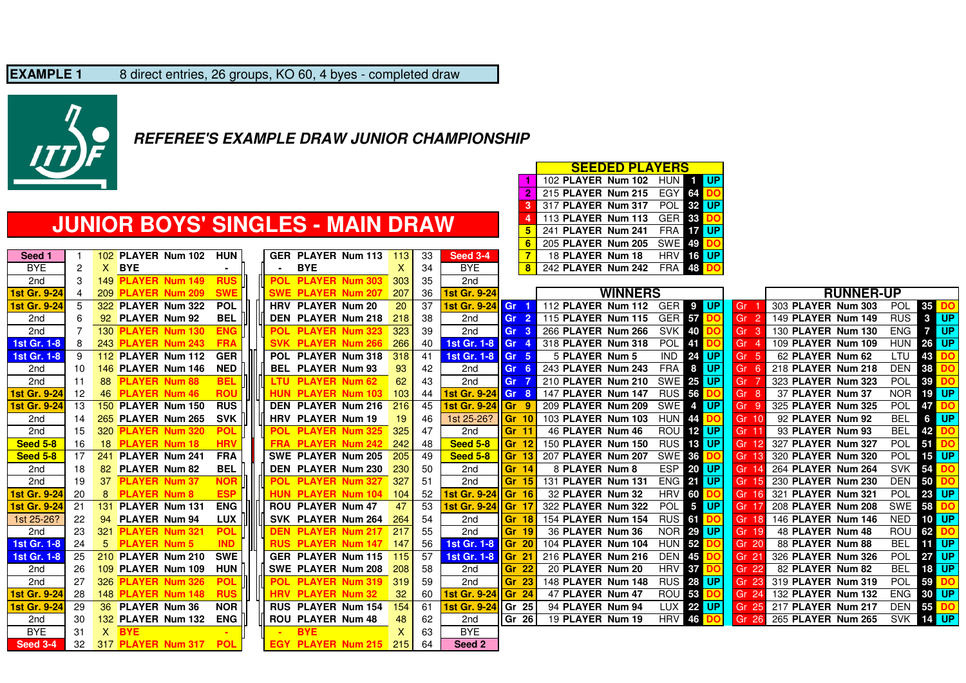#### **EXAMPLE 1**8 direct entries, 26 groups, KO 60, 4 byes - completed draw



### **REFEREE'S EXAMPLE DRAW JUNIOR CHAMPIONSHIP**

### **JUNIOR BOYS' SINGLES - MAIN DRAW**

| Seed 1              | 1  |                  |                      | 102 PLAYER Num 102    | <b>HUN</b> | <b>GER PLA</b> |            |
|---------------------|----|------------------|----------------------|-----------------------|------------|----------------|------------|
| <b>BYE</b>          | 2  | X.               | <b>BYE</b>           |                       |            |                | <b>BYE</b> |
| 2nd                 | 3  | 149              |                      | <b>PLAYER Num 149</b> | <b>RUS</b> | <b>POL</b>     | <b>PLA</b> |
| 1st Gr. 9-24        | 4  |                  |                      | 209 PLAYER Num 209    | <b>SWE</b> | <b>SWE</b>     | <b>PLA</b> |
| <b>1st Gr. 9-24</b> | 5  | 322              |                      | <b>PLAYER Num 322</b> | <b>POL</b> | <b>HRV</b>     | <b>PLA</b> |
| 2 <sub>nd</sub>     | 6  | 92               | PLAYER Num 92        |                       | <b>BEL</b> | <b>DEN</b>     | <b>PLA</b> |
| 2 <sub>nd</sub>     | 7  | 130              | <b>PLAYER</b>        | <b>Num 130</b>        | <b>ENG</b> | <b>POL</b>     | <b>PLA</b> |
| 1st Gr. 1-8         | 8  |                  |                      | 243 PLAYER Num 243    | <b>FRA</b> | <b>SVK</b>     | <b>PLA</b> |
| 1st Gr. 1-8         | 9  |                  |                      | 112 PLAYER Num 112    | <b>GER</b> | <b>POL</b>     | <b>PLA</b> |
| 2 <sub>nd</sub>     | 10 | 146              | <b>PLAYER</b>        | <b>Num 146</b>        | <b>NED</b> | <b>BEL</b>     | <b>PLA</b> |
| 2nd                 | 11 | 88               | <b>PLAYER</b>        | <b>Num 88</b>         | <b>BEL</b> | LTU            | <b>PLA</b> |
| <b>1st Gr. 9-24</b> | 12 | 46               | <b>PLAYER</b>        | <b>Num 46</b>         | <b>ROU</b> | <b>HUN</b>     | <b>PLA</b> |
| <b>1st Gr. 9-24</b> | 13 | 150 <sub>1</sub> |                      | PLAYER Num 150        | <b>RUS</b> | <b>DEN</b>     | <b>PLA</b> |
| 2 <sub>nd</sub>     | 14 |                  |                      | 265 PLAYER Num 265    | <b>SVK</b> | <b>HRV</b>     | <b>PLA</b> |
| 2nd                 | 15 | 320              | <b>PLAYER</b>        | <b>Num 320</b>        | <b>POL</b> | <b>POL</b>     | <b>PLA</b> |
| <b>Seed 5-8</b>     | 16 | 18               | <b>PLAYER</b>        | <b>Num 18</b>         | <b>HRV</b> | <b>FRA</b>     | <b>PLA</b> |
| <b>Seed 5-8</b>     | 17 | 241              |                      | PLAYER Num 241        | <b>FRA</b> | <b>SWE</b>     | <b>PLA</b> |
| 2 <sub>nd</sub>     | 18 | 82               | PLAYER Num 82        |                       | <b>BEL</b> | <b>DEN</b>     | <b>PLA</b> |
| 2nd                 | 19 | 37               | <b>PLAYER Num 37</b> |                       | <b>NOR</b> | <b>POL</b>     | <b>PLA</b> |
| 1st Gr. 9-24        | 20 | 8                | <b>PLAYER Num 8</b>  |                       | <b>ESP</b> | <b>HUN PLA</b> |            |
| <b>1st Gr. 9-24</b> | 21 | 131              | <b>PLAYER</b>        | <b>Num 131</b>        | <b>ENG</b> | <b>ROU</b>     | <b>PLA</b> |
| 1st 25-26?          | 22 | 94               |                      | PLAYER Num 94         | <b>LUX</b> | <b>SVK</b>     | <b>PLA</b> |
| 2 <sub>nd</sub>     | 23 | 321              | <b>PLAYER</b>        | <b>Num 321</b>        | <b>POL</b> | <b>DEN</b>     | <b>PLA</b> |
| 1st Gr. 1-8         | 24 | 5                | <b>PLAYER Num 5</b>  |                       | <b>IND</b> | <b>RUS</b>     | <b>PLA</b> |
| 1st Gr. 1-8         | 25 | 210              |                      | PLAYER Num 210        | <b>SWE</b> | <b>GER</b>     | <b>PLA</b> |
| 2 <sub>nd</sub>     | 26 | 109              | <b>PLAYER</b>        | <b>Num 109</b>        | <b>HUN</b> | <b>SWE</b>     | <b>PLA</b> |
| 2 <sub>nd</sub>     | 27 | 326              | <b>PLAYER</b>        | <b>Num 326</b>        | <b>POL</b> | <b>POL</b>     | <b>PLA</b> |
| 1st Gr. 9-24        | 28 | 148              |                      | <b>PLAYER Num 148</b> | <b>RUS</b> | <b>HRV</b>     | <b>PLA</b> |
| 1st Gr. 9-24        | 29 | 36               | PLAYER Num 36        |                       | <b>NOR</b> | <b>RUS</b>     | <b>PLA</b> |
| 2 <sub>nd</sub>     | 30 |                  |                      | 132 PLAYER Num 132    | <b>ENG</b> | <b>ROU</b>     | <b>PLA</b> |
| <b>BYE</b>          | 31 | X                | <b>BYE</b>           |                       |            |                | <b>BYE</b> |
| <b>Seed 3-4</b>     | 32 |                  |                      | 317 PLAYER Num 317    | <b>POL</b> | <b>EGY</b>     | <b>PLA</b> |

|          |     |                           |            |  |                               |     |     |                           |                           | 6              | 205 PLAYER Num 205 SWE 49    |                  |                  |                           |                    |            |              |
|----------|-----|---------------------------|------------|--|-------------------------------|-----|-----|---------------------------|---------------------------|----------------|------------------------------|------------------|------------------|---------------------------|--------------------|------------|--------------|
| eed 1    |     | 102 PLAYER Num 102        | <b>HUN</b> |  | <b>GER PLAYER Num 113</b>     | 113 | 33  | <b>Seed 3-4</b>           |                           | $\overline{7}$ | 18 PLAYER Num 18             |                  | <b>HRV 16 UP</b> |                           |                    |            |              |
| 3YE      | 2   | X BYE                     |            |  | <b>BYE</b>                    | X   | 34  | <b>BYE</b>                |                           | 8              | 242 PLAYER Num 242 FRA 48 DC |                  |                  |                           |                    |            |              |
| 2nd      |     | <b>149 PLAYER Num 149</b> | <b>RUS</b> |  | POL PLAYER Num 303            | 303 | 35  | 2nd                       |                           |                |                              |                  |                  |                           |                    |            |              |
| Gr. 9-24 | 4   | 209 PLAYER Num 209        | <b>SWE</b> |  | <b>SWE PLAYER Num 207</b>     | 207 | 36  | <b>1st Gr. 9-24</b>       |                           |                | <b>WINNERS</b>               |                  |                  |                           | <b>RUNNER-UP</b>   |            |              |
| Gr. 9-24 |     | 322 PLAYER Num 322        | <b>POL</b> |  | HRV PLAYER Num 20             | 20  | 37  | <b>1st Gr. 9-24 Gr.</b>   |                           |                | 112 PLAYER Num 112 GER 9 UP  |                  |                  | l Gr                      | 303 PLAYER Num 303 | POL 35 DC  |              |
| 2nd      |     | 92 PLAYER Num 92          | <b>BEL</b> |  | DEN PLAYER Num 218            | 218 | 38  | 2nd                       | Gr <sub>2</sub>           |                | 115 PLAYER Num 115 GER 57    |                  |                  | l Gr                      | 149 PLAYER Num 149 | <b>RUS</b> | $3$ UP       |
| 2nd      |     | 130 <b>PLAYER Num 130</b> | <b>ENG</b> |  | POL PLAYER Num 323            | 323 | 39  | 2nd                       | Gr <sub>3</sub>           |                | 266 PLAYER Num 266 SVK 40    |                  |                  | $\overline{G}$ r 3        | 130 PLAYER Num 130 | <b>ENG</b> | <b>17 UP</b> |
| Gr. 1-8  |     | 243 PLAYER Num 243        | <b>FRA</b> |  | <b>SVK PLAYER Num 266</b>     | 266 | 40  | 1st Gr. 1-8 Gr 4          |                           |                | 318 PLAYER Num 318           | POL 41           |                  | Gr                        | 109 PLAYER Num 109 | <b>HUN</b> | 26 UP        |
| Gr. 1-8  |     | 112 PLAYER Num 112        | <b>GER</b> |  | POL PLAYER Num 318            | 318 | 41  | 1st Gr. 1-8   Gr 5        |                           |                | 5 PLAYER Num 5               |                  | <b>IND 24 UP</b> | Gr                        | 62 PLAYER Num 62   | LTU        | 43           |
| 2nd      | 10  | 146 PLAYER Num 146        | <b>NED</b> |  | BEL PLAYER Num 93             | 93  | 42  | 2nd                       | Gr <sub>6</sub>           |                | 243 PLAYER Num 243           | <b>FRA</b>       | 8 UP             | Gr                        | 218 PLAYER Num 218 | <b>DEN</b> | 38           |
| 2nd      | -11 | 88 PLAYER Num 88          | <b>BEL</b> |  | III LTU PLAYER Num 62         | 62  | 43  | 2nd                       | Gr 7                      |                | 210 PLAYER Num 210           |                  | SWE 25 UP        | Gr                        | 323 PLAYER Num 323 | POL 39 DC  |              |
| Gr. 9-24 | 12  | 46 PLAYER Num 46          | <b>ROL</b> |  | <b>HUN PLAYER Num 103</b>     | 103 | 44  | <b>1st Gr. 9-24 Gr 8</b>  |                           |                | 147 PLAYER Num 147           | RUS 56 DC        |                  | Gr.                       | 37 PLAYER Num 37   | <b>NOR</b> | 19 UP        |
| Gr. 9-24 | 13  | 150 PLAYER Num 150        | <b>RUS</b> |  | DEN PLAYER Num 216            | 216 | 45  | 1st Gr. 9-24 Gr 9         |                           |                | 209 PLAYER Num 209           |                  | SWE 4 UP         | Gr 9                      | 325 PLAYER Num 325 | <b>POL</b> | 47 <b> </b>  |
| 2nd      | 14  | 265 PLAYER Num 265        | <b>SVK</b> |  | HRV PLAYER Num 19             | 19  | 46  | 1st 25-26?                | Gr <sub>10</sub>          |                | 103 PLAYER Num 103           |                  | HUN 44 DO        | $\textsf{Gr} 10$          | 92 PLAYER Num 92   | <b>BEL</b> | 6 UP         |
| 2nd      | 15  | 320 PLAYER Num 320        | <b>POL</b> |  | POL PLAYER Num 325            | 325 | 47  | 2nd                       |                           | Gr 11          | 46 PLAYER Num 46             |                  | <b>ROU 12 UP</b> | Gr 11                     | 93 PLAYER Num 93   | <b>BEL</b> | 42 DO        |
| ed 5-8   | 16  | 18 PLAYER Num 18          | <b>HRV</b> |  | <b>FRA PLAYER Num 242</b>     | 242 | 48  | <b>Seed 5-8</b>           | <b>Gr 12</b>              |                | 150 PLAYER Num 150           |                  | <b>RUS</b> 13 UP | Gr 12                     | 327 PLAYER Num 327 | <b>POL</b> | <b>51</b>    |
| ed 5-8   | 17  | 241 PLAYER Num 241        | <b>FRA</b> |  | SWE PLAYER Num 205            | 205 | 49  | <b>Seed 5-8</b>           | Gr <sub>13</sub>          |                | 207 PLAYER Num 207           | SWE 36 DO        |                  | Gr 13                     | 320 PLAYER Num 320 |            | POL 15 UP    |
| 2nd      | 18  | 82 PLAYER Num 82          | <b>BEL</b> |  | DEN PLAYER Num 230            | 230 | 50  | 2nd                       |                           | <b>Gr 14</b>   | 8 PLAYER Num 8               |                  | <b>ESP 20 UP</b> | <b>Gr</b> 14              | 264 PLAYER Num 264 | <b>SVK</b> | 54           |
| 2nd      | 19  | 37 PLAYER Num 37          | <b>NOF</b> |  | POL PLAYER Num 327            | 327 | 51  | 2nd                       |                           | <b>Gr 15</b>   | 131 PLAYER Num 131           |                  | <b>ENG 21 UP</b> | Gr 15                     | 230 PLAYER Num 230 | <b>DEN</b> | 50           |
| Gr. 9-24 | 20  | 8 PLAYER Num 8            | <b>ESP</b> |  | <b>HUN PLAYER Num 104</b>     | 104 | -52 | 1st Gr. 9-24 Gr 16        |                           |                | 32 PLAYER Num 32             |                  | HRV 60 DO        | Gr 16                     | 321 PLAYER Num 321 | POL        | 23 UP        |
| Gr. 9-24 | 21  | 131 PLAYER Num 131        | <b>ENG</b> |  | <b>ROU PLAYER Num 47</b>      | 47  | 53  | 1st Gr. 9-24 Gr 17        |                           |                | 322 PLAYER Num 322           |                  | POL 5 UP         | $\overline{\text{Gr}}$ 17 | 208 PLAYER Num 208 | SWE 58 DO  |              |
| 25-26?   | 22  | 94 PLAYER Num 94          | <b>LUX</b> |  | SVK PLAYER Num 264            | 264 | 54  | 2nd                       |                           | <b>Gr 18</b>   | 154 PLAYER Num 154           | RUS 61 DO        |                  | Gr 18                     | 146 PLAYER Num 146 | <b>NED</b> | <b>10 UP</b> |
| 2nd      | 23  | 321 PLAYER Num 321        | <b>POL</b> |  | <b>DEN PLAYER Num 217</b>     | 217 | 55  | 2nd                       |                           | Gr 19          | 36 PLAYER Num 36             |                  | <b>NOR 29 UP</b> | Gr 19                     | 48 PLAYER Num 48   | ROU 62 DO  |              |
| Gr. 1-8  | 24  | 5 PLAYER Num 5            | <b>IND</b> |  | <b>RUS PLAYER Num 147 147</b> |     | 56  | <b>1st Gr. 1-8</b>        | $\overline{\text{Gr}}$ 20 |                | 104 PLAYER Num 104           | <b>HUN 52 DC</b> |                  | $\textsf{Gr} \, 20$       | 88 PLAYER Num 88   | <b>BEL</b> | <b>11 UP</b> |
| Gr. 1-8  | 25  | 210 PLAYER Num 210        | <b>SWE</b> |  | <b>GER PLAYER Num 115</b>     | 115 | 57  | <b>1st Gr. 1-8</b>        | <b>Gr 21</b>              |                | 216 PLAYER Num 216           | DEN 45 DO        |                  | Gr 21                     | 326 PLAYER Num 326 | <b>POL</b> | 27 UP        |
| 2nd      | 26  | 109 PLAYER Num 109        | <b>HUN</b> |  | SWE PLAYER Num 208            | 208 | 58  | 2nd                       | Gr 22                     |                | 20 PLAYER Num 20             | <b>HRV 37</b>    |                  | Gr 22                     | 82 PLAYER Num 82   | <b>BEL</b> | 18 UP        |
| 2nd      | 27  | 326 PLAYER Num 326        | <b>POL</b> |  | <b>III POL PLAYER Num 319</b> | 319 | 59  | 2nd                       | Gr 23                     |                | 148 PLAYER Num 148           |                  | <b>RUS 28 UP</b> | $\overline{G}$ r 23       | 319 PLAYER Num 319 | <b>POL</b> | 59 DO        |
| Gr. 9-24 | 28  | 148 PLAYER Num 148        | <b>RUS</b> |  | <b>HRV PLAYER Num 32</b>      | 32  | 60  | <b>1st Gr. 9-24</b>       | $\textsf{Gr} \quad 24$    |                | 47 PLAYER Num 47             |                  | <b>ROU 53 DO</b> | Gr 24                     | 132 PLAYER Num 132 | <b>ENG</b> | 30 UP        |
| Gr. 9-24 | 29  | 36 PLAYER Num 36          | <b>NOR</b> |  | <b>RUS PLAYER Num 154</b>     | 154 | 61  | <b>1st Gr. 9-24 Gr 25</b> |                           |                | 94 PLAYER Num 94             |                  | LUX 22 UP        | $\boxed{$ Gr 25           | 217 PLAYER Num 217 | <b>DEN</b> | 55 DO        |
| 2nd      | 30  | 132 PLAYER Num 132        | <b>ENG</b> |  | <b>ROU PLAYER Num 48</b>      | 48  | 62  | 2nd                       | Gr 261                    |                | 19 PLAYER Num 19             |                  | <b>HRV 46 DO</b> | Gr 26                     | 265 PLAYER Num 265 |            | SVK 14 UP    |
| 3YE.     | 31  | $X$ BYE                   |            |  | <b>BYE</b>                    | X   | 63  | <b>BYE</b>                |                           |                |                              |                  |                  |                           |                    |            |              |
| ed 3-4   | -32 | 317 PLAYER Num 317 POL    |            |  | <b>EGY PLAYER Num 215</b>     | 215 | 64  | Seed 2                    |                           |                |                              |                  |                  |                           |                    |            |              |

<sup>102</sup> **PLAYER Num 102** HUN **<sup>1</sup> UP**

**SEEDED PLAYERS**

**33**<br>**17 <sup>17</sup> UP**

 <sup>215</sup> **PLAYER Num 215** EGY**<sup>64</sup> DO** <sup>317</sup> **PLAYER Num 317** POL **<sup>32</sup> UP**

<sup>113</sup> **PLAYER Num 113** GER

241 **PLAYER Num 241** 

**1**

**2**

**34**

**5**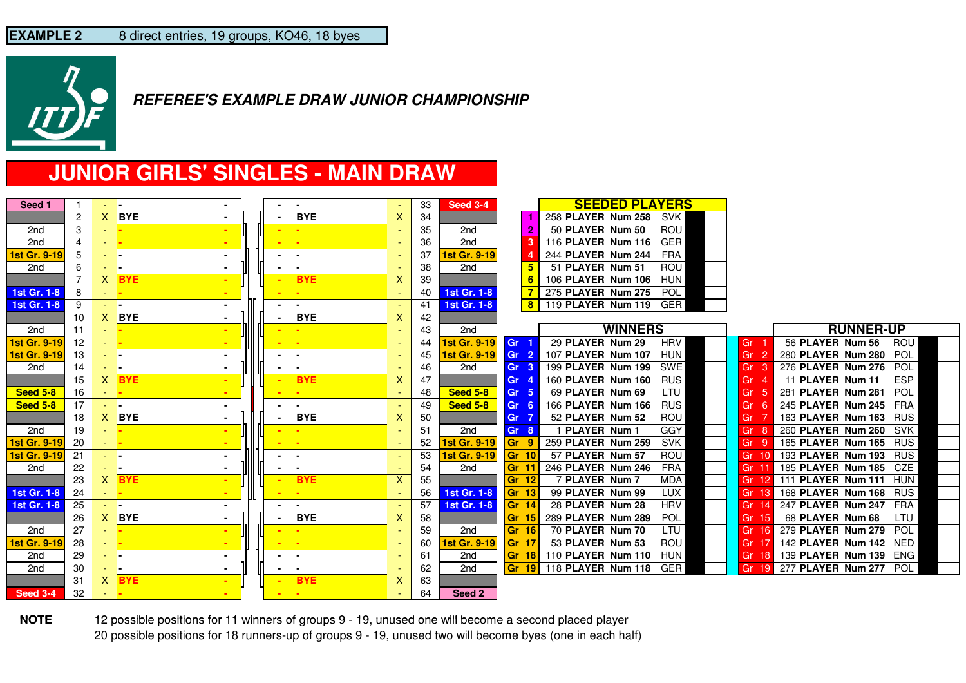

## **JUNIOR GIRLS' SINGLES - MAIN DRAW**

| Seed 1          |     | <b>All Parts</b>   |                |      | $\sim$                   | $\sim$           |                           | 33 | <b>Seed 3-4</b> |                  |   | <b>SEEDED PLAYERS</b> |            |           |                                |
|-----------------|-----|--------------------|----------------|------|--------------------------|------------------|---------------------------|----|-----------------|------------------|---|-----------------------|------------|-----------|--------------------------------|
|                 | 2   | X.                 | <b>BYE</b>     |      |                          | <b>BYE</b>       | X                         | 34 |                 |                  |   | 258 PLAYER Num 258    | SVK        |           |                                |
| 2 <sub>nd</sub> | 3   |                    |                |      |                          |                  |                           | 35 | 2 <sub>nd</sub> |                  | 2 | 50 PLAYER Num 50      | <b>ROU</b> |           |                                |
| 2nd             | 4   | - H                |                |      |                          |                  |                           | 36 | 2 <sub>nd</sub> |                  |   | 116 PLAYER Num 116    | <b>GER</b> |           |                                |
| 1st Gr. 9-19    | 5   | - -                |                |      |                          | $\sim$           |                           | 37 | Ist Gr. 9-19    |                  |   | 244 PLAYER Num 244    | <b>FRA</b> |           |                                |
| 2nd             | 6   | - -                |                |      |                          |                  |                           | 38 | 2nd             |                  |   | 51 PLAYER Num 51      | <b>ROU</b> |           |                                |
|                 |     |                    | $X$ BYE        |      |                          | <b>BYE</b>       | $\boldsymbol{\mathsf{X}}$ | 39 |                 |                  |   | 106 PLAYER Num 106    | <b>HUN</b> |           |                                |
| 1st Gr. 1-8     | 8   |                    | $\sim$         |      |                          |                  |                           | 40 | 1st Gr. 1-8     |                  |   | 275 PLAYER Num 275    | POL        |           |                                |
| 1st Gr. 1-8     | 9   | All Car            |                |      |                          |                  |                           | 41 | 1st Gr. 1-8     |                  | 8 | 119 PLAYER Num 119    | GER        |           |                                |
|                 | 10  |                    | X BYE          |      | ٠                        | <b>BYE</b>       | X                         | 42 |                 |                  |   |                       |            |           |                                |
| 2nd             | 11  |                    |                |      |                          |                  |                           | 43 | 2 <sub>nd</sub> |                  |   | <b>WINNERS</b>        |            |           | <b>RUNNER-UP</b>               |
| 1st Gr. 9-19    | 12  | - <mark>-</mark>   |                |      |                          | - 1              |                           | 44 | 1st Gr. 9-19    | Gr <sub>1</sub>  |   | 29 PLAYER Num 29      | <b>HRV</b> | Gr        | 56 PLAYER Num 56<br>ROU        |
| 1st Gr. 9-19    | 13  | - -                |                |      |                          |                  | ٠                         | 45 | 1st Gr. 9-19    | Gr <sub>2</sub>  |   | 107 PLAYER Num 107    | <b>HUN</b> | Gr<br>-2  | 280 PLAYER Num 280 POL         |
| 2nd             | 14  | $\sim$             | - 1            |      |                          | . .              |                           | 46 | 2nd             | Gr <sub>3</sub>  |   | 199 PLAYER Num 199    | SWE        | Gr        | 276 PLAYER Num 276<br>POL      |
|                 | 15  | X.                 | <b>BYE</b>     |      |                          | <b>BYE</b>       | X                         | 47 |                 | Gr <sub>4</sub>  |   | 160 PLAYER Num 160    | <b>RUS</b> | Gr        | <b>ESP</b><br>11 PLAYER Num 11 |
| <b>Seed 5-8</b> | 16  | <b>STATE</b>       |                |      |                          |                  |                           | 48 | <b>Seed 5-8</b> | Gr <sub>5</sub>  |   | 69 PLAYER Num 69      | LTU        | Gr        | 281 PLAYER Num 281<br>POL      |
| <b>Seed 5-8</b> | 17  | <b>All Service</b> |                |      |                          | $\sim$ 100 $\pm$ |                           | 49 | <b>Seed 5-8</b> | Gr <sub>6</sub>  |   | 166 PLAYER Num 166    | <b>RUS</b> | Gr        | 245 PLAYER Num 245<br>FRA      |
|                 | 18  | X.                 | <b>BYE</b>     |      |                          | <b>BYE</b>       | X                         | 50 |                 | Gr 7             |   | 52 PLAYER Num 52      | ROU        | Gr        | 163 PLAYER Num 163 RUS         |
| 2nd             | 19  |                    | <u>. </u>      |      |                          |                  |                           | 51 | 2nd             | Gr <sub>8</sub>  |   | <b>PLAYER Num 1</b>   | GGY        | Gr        | 260 PLAYER Num 260 SVK         |
| 1st Gr. 9-19    | 20  | and the            |                | ,ll, |                          | - 1              | ٠                         | 52 | 1st Gr. 9-19    | Gr 9             |   | 259 PLAYER Num 259    | <b>SVK</b> | Gr        | 165 PLAYER Num 165 RUS         |
| 1st Gr. 9-19    | 21  | an la              | $\blacksquare$ |      |                          | $\sim$           |                           | 53 | 1st Gr. 9-19    | Gr <sub>10</sub> |   | 57 PLAYER Num 57      | ROU        | Gr 10     | 193 PLAYER Num 193 RUS         |
| 2nd             | 22  |                    | - 1            |      |                          | $\sim$           |                           | 54 | 2nd             | Gr <sub>1</sub>  |   | 246 PLAYER Num 246    | FRA        | Gr 11     | 185 PLAYER Num 185 CZE         |
|                 | 23  |                    | $X$ BYE        |      |                          | <b>BYE</b>       | X                         | 55 |                 | Gr 12            |   | 7 PLAYER Num 7        | <b>MDA</b> | Gr 12     | 111 PLAYER Num 111 HUN         |
| 1st Gr. 1-8     | 24  | - <mark>-</mark>   |                |      |                          |                  |                           | 56 | 1st Gr. 1-8     | $\mathsf{Gr}$ 13 |   | 99 PLAYER Num 99      | <b>LUX</b> | Gr 13     | 168 PLAYER Num 168 RUS         |
| 1st Gr. 1-8     | -25 | - -                |                |      |                          | $\blacksquare$   |                           | 57 | 1st Gr. 1-8     | $\mathsf{Gr}$ 14 |   | 28 PLAYER Num 28      | <b>HRV</b> | Gr 14     | 247 PLAYER Num 247 FRA         |
|                 | 26  |                    | X BYE          |      | $\blacksquare$           | <b>BYE</b>       | $\mathsf{X}$              | 58 |                 | Gr 15            |   | 289 PLAYER Num 289    | POL        | Gr 15     | LTU<br>68 PLAYER Num 68        |
| 2nd             | 27  |                    |                |      |                          |                  |                           | 59 | 2nd             | Gr 16            |   | 70 PLAYER Num 70      | LTU        | Gr 16     | 279 PLAYER Num 279 POL         |
| 1st Gr. 9-19    | 28  | a la la            |                |      |                          |                  |                           | 60 | 1st Gr. 9-19    | Gr <sub>17</sub> |   | 53 PLAYER Num 53      | <b>ROU</b> | Gr 17     | 142 PLAYER Num 142 NED         |
| 2nd             | 29  | <b>Allen</b>       |                |      |                          | $\sim$           |                           | 61 | 2nd             | <b>Gr 18</b>     |   | 110 PLAYER Num 110    | <b>HUN</b> | Gr<br>-18 | 139 PLAYER Num 139 ENG         |
| 2nd             | 30  | - -                |                |      |                          |                  |                           | 62 | 2 <sub>nd</sub> | <b>Gr 19</b>     |   | 118 PLAYER Num 118    | GER        | Gr<br>-19 | 277 PLAYER Num 277 POL         |
|                 | 31  |                    | $X$ BYE        |      | $\overline{\phantom{a}}$ | <b>BYE</b>       | X                         | 63 |                 |                  |   |                       |            |           |                                |
| <b>Seed 3-4</b> | 32  | <b>State</b>       |                |      |                          | <b>Contract</b>  |                           | 64 | Seed 2          |                  |   |                       |            |           |                                |

**NOTE** 12 possible positions for 11 winners of groups 9 - 19, unused one will become a second placed player 20 possible positions for 18 runners-up of groups 9 - 19, unused two will become byes (one in each half)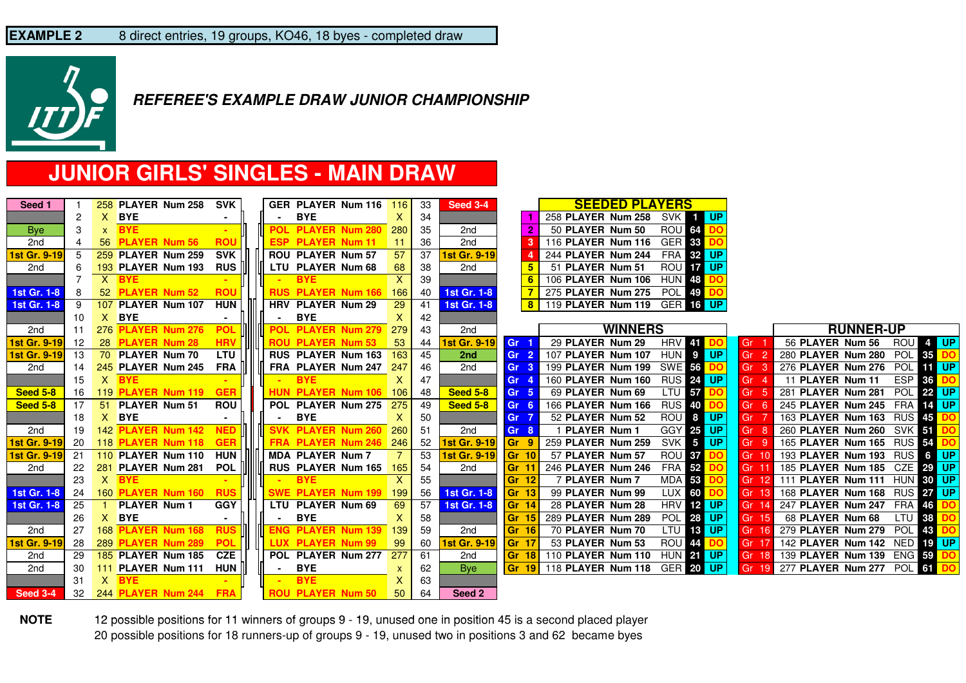

## **JUNIOR GIRLS' SINGLES - MAIN DRAW**

| Seed 1              |                |                  | 258 PLAYER Num 258 SVK          |            |                 | GER PLAYER Num 116 116                              |                 | 33 | Seed 3-4            |                           | <b>SEEDED PLAYERS</b>              |                      |                 |                                            |
|---------------------|----------------|------------------|---------------------------------|------------|-----------------|-----------------------------------------------------|-----------------|----|---------------------|---------------------------|------------------------------------|----------------------|-----------------|--------------------------------------------|
|                     | 2              |                  | X BYE                           |            | $\sim 100$      | <b>BYE</b>                                          | $\mathsf{X}^-$  | 34 |                     |                           | 258 PLAYER Num 258 SVK 1 UP        |                      |                 |                                            |
| <b>Bye</b>          | 3              |                  | $x$ BYE                         |            |                 | POL PLAYER Num 280 280                              |                 | 35 | 2nd                 |                           | 50 PLAYER Num 50                   | <b>ROU 64</b>        |                 |                                            |
| 2 <sub>nd</sub>     | $\overline{4}$ |                  | 56 PLAYER Num 56 ROU            |            |                 | <b>ESP PLAYER Num 11</b>                            | $-11$           | 36 | 2nd                 |                           | 116 PLAYER Num 116 GER 33          |                      |                 |                                            |
| 1st Gr. 9-19        | 5              |                  | 259 PLAYER Num 259 SVK          |            |                 | <b>ROU PLAYER Num 57</b>                            | 57              | 37 | 1st Gr. 9-19        |                           | 244 PLAYER Num 244                 | FRA 32 UP            |                 |                                            |
| 2nd                 | 6              |                  | 193 PLAYER Num 193 RUS II       |            |                 | III LTU PLAYER Num 68                               | 68              | 38 | 2nd                 |                           | 51 PLAYER Num 51                   | ROU <b>17 UP</b>     |                 |                                            |
|                     |                |                  | $X$ BYE                         |            |                 | <b>BYE</b>                                          | $\mathsf{X}^-$  | 39 |                     |                           | 106 PLAYER Num 106 HUN 48          |                      |                 |                                            |
| 1st Gr. 1-8         | -8             |                  | 52 PLAYER Num 52 ROU            |            |                 | <b>RUS PLAYER Num 166 166</b>                       |                 | 40 | 1st Gr. 1-8         |                           | 275 PLAYER Num 275 POL 49 DO       |                      |                 |                                            |
| <b>1st Gr. 1-8</b>  | -9             |                  | 107 PLAYER Num 107 HUN          |            |                 | HRV PLAYER Num 29                                   | 29              | 41 | 1st Gr. 1-8         |                           | 8 119 PLAYER Num 119 GER 16 UP     |                      |                 |                                            |
|                     | 10             |                  | $X$ BYE                         | $\sim$     | $\sim$ 10 $\pm$ | <b>BYE</b>                                          | X               | 42 |                     |                           |                                    |                      |                 |                                            |
| 2nd                 | 11             |                  | <b>276 PLAYER Num 276</b>       | <b>POL</b> |                 | POL PLAYER Num 279 279                              |                 | 43 | 2nd                 |                           | <b>WINNERS</b>                     |                      |                 | <b>RUNNER-UP</b>                           |
| <b>1st Gr. 9-19</b> | 12             |                  | 28 PLAYER Num 28                | <b>HRV</b> |                 | <b>HILLER 19 BLAYER Num 53</b>                      | 53              | 44 | <b>1st Gr. 9-19</b> | Gr <sub>1</sub>           | 29 PLAYER Num 29                   | <b>HRV</b> 41        | Gr <sub>1</sub> | 56 PLAYER Num 56 ROU 4 UP                  |
| <b>1st Gr. 9-19</b> | 13             |                  | 70 PLAYER Num 70                | <b>LTU</b> |                 | RUS PLAYER Num 163 163                              |                 | 45 | 2nd                 | Gr <sub>2</sub>           | 107 PLAYER Num 107                 | HUN 9 UP             | Gr <sub>2</sub> | 280 PLAYER Num 280 POL 35 DO               |
| 2nd                 | 14             |                  | 245 PLAYER Num 245 FRA III      |            |                 | <b>       FRA PLAYER Num 247 <mark>247</mark>  </b> |                 | 46 | 2nd                 | Gr <sub>3</sub>           | 199 PLAYER Num 199                 | SWE 56 DO            | Gr <sub>3</sub> | 276 PLAYER Num 276 POL THE UP              |
|                     | 15             |                  | $X$ BYE                         |            |                 | <b>BYE</b>                                          | X.              | 47 |                     | Gr 4                      | 160 PLAYER Num 160 RUS 24 UP       |                      | Gr 4            | <b>ESP 36 DO</b><br>11 PLAYER Num 11       |
| <b>Seed 5-8</b>     | 16             |                  | 119 PLAYER Num 119 GER          |            |                 | HUN PLAYER Num 106 106                              |                 | 48 | <b>Seed 5-8</b>     | Gr <sub>5</sub>           | 69 PLAYER Num 69                   | LTU 57               | Gr 5            | 281 PLAYER Num 281 POL 22 UP               |
| <b>Seed 5-8</b>     | 17             |                  | 51 PLAYER Num 51 ROU            |            |                 | POL PLAYER Num 275 275                              |                 | 49 | <b>Seed 5-8</b>     | Gr <sub>6</sub>           | 166 PLAYER Num 166                 | <b>RUS 40</b>        | Gr <sub>6</sub> | 245 PLAYER Num 245 FRA 14 UP               |
|                     | 18             |                  | X BYE                           | $\sim$     | $\sim$          | <b>BYE</b>                                          | $\mathsf{X}$    | 50 |                     | Gr 7                      | 52 PLAYER Num 52                   | ROU <sup>8</sup> UP  | Gr 7            | 163 PLAYER Num 163 RUS 45 DO               |
| 2nd                 | 19             |                  | <b>142 PLAYER Num 142</b>       | <b>NED</b> |                 | SVK PLAYER Num 260 260                              |                 | 51 | 2nd                 | Gr <sub>8</sub>           | 1 PLAYER Num 1                     | GGY 25 UP            | Gr 8            | 260 PLAYER Num 260 SVK 51 DO               |
| 1st Gr. 9-19        | - 20           |                  | 118 PLAYER Num 118 GER          |            |                 | <b>III</b> FRA PLAYER Num 246 246                   |                 | 52 | 1st Gr. 9-19        | lGr 9                     | 259 PLAYER Num 259                 | SVK 5 UP             | Gr <sub>9</sub> | 165 PLAYER Num 165 RUS 54 DO               |
| <b>1st Gr. 9-19</b> | 21             |                  | $110$ PLAYER Num 110 HUN $\lim$ |            |                 | MDA PLAYER Num 7                                    | $\overline{7}$  | 53 | <b>1st Gr. 9-19</b> | <b>Gr 10</b>              | 57 PLAYER Num 57                   | ROU <sub>37</sub> DO |                 | Gr 10 193 PLAYER Num 193 RUS 6 UP          |
| 2nd                 | 22             |                  | 281 PLAYER Num 281 POL II       |            |                 | <b>III</b> RUS PLAYER Num 165 165                   |                 | 54 | 2nd                 | Gr <sub>1</sub>           | 246 PLAYER Num 246                 | <b>FRA 52</b>        | Gr 11           | 185 PLAYER Num 185 CZE 29 UP               |
|                     | 23             |                  | $X$ BYE                         |            |                 | <b>BYE</b>                                          | X               | 55 |                     | Gr 12                     | 7 PLAYER Num 7                     | <b>MDA 53</b>        |                 | Gr 12 111 PLAYER Num 111 HUN 30 UP         |
| <b>1st Gr. 1-8</b>  | -24            |                  | 160 PLAYER Num 160 RUS          |            |                 | SWE PLAYER Num 199 199                              |                 | 56 | 1st Gr. 1-8         | $\boxed{$ Gr $\boxed{13}$ | 99 PLAYER Num 99                   | LUX 60 DO            |                 | Gr 13 168 PLAYER Num 168 RUS 27 UP         |
| <b>1st Gr. 1-8</b>  | -25            | $\blacksquare$ 1 | <b>PLAYER Num 1</b>             | <b>GGY</b> |                 | LTU PLAYER Num 69                                   | 69              | 57 | 1st Gr. 1-8         | Gr <sub>14</sub>          | 28 PLAYER Num 28                   | HRV 12 UP            |                 | Gr 14 247 PLAYER Num 247 FRA 46 DO         |
|                     | 26             |                  | $X$ BYE                         | $\sim$     | $\sim$          | <b>BYE</b>                                          | $\mathsf{X}^-$  | 58 |                     | Gr 15                     | 289 PLAYER Num 289                 | <b>POL 28 UP</b>     | Gr $15$         | LTU 38 <mark>DC</mark><br>68 PLAYER Num 68 |
| 2nd                 | 27             |                  | 168 PLAYER Num 168              | <b>RUS</b> |                 | <b>ENG PLAYER Num 139 139</b>                       |                 | 59 | 2nd                 | Gr 16                     | 70 PLAYER Num 70                   | LTU 13 UP            |                 | Gr 16 279 PLAYER Num 279 POL 43 DO         |
| 1st Gr. 9-19        | 28             |                  | 289 PLAYER Num 289              | <b>POL</b> |                 | LUX PLAYER Num 99                                   | 99              | 60 | 1st Gr. 9-19        | <b>Gr 17</b>              | 53 PLAYER Num 53                   | <b>ROU 44 DO</b>     | Gr 17           | 142 PLAYER Num 142 NED IC UP               |
| 2nd                 | 29             |                  | <b>185 PLAYER Num 185</b>       | <b>CZE</b> |                 | POL PLAYER Num 277                                  | 277             | 61 | 2nd                 | <b>Gr 18</b>              | 110 PLAYER Num 110                 | HUN 21 UP            |                 | Gr 18 139 PLAYER Num 139 ENG 59 DO         |
| 2 <sub>nd</sub>     | 30             |                  | 111 PLAYER Num 111 HUN          |            | $\sim 10^{-11}$ | <b>BYE</b>                                          | $\mathsf{X}$    | 62 | <b>Bye</b>          |                           | Gr 19 118 PLAYER Num 118 GER 20 UP |                      |                 | Gr 19 277 PLAYER Num 277 POL 61 DO         |
|                     | 31             |                  | $X$ BYE                         |            |                 | <b>BYE</b>                                          | $X -$           | 63 |                     |                           |                                    |                      |                 |                                            |
| Seed 3-4            | -32            |                  | 244 PLAYER Num 244 FRA          |            |                 | <b>ROU PLAYER Num 50</b>                            | 50 <sup>°</sup> | 64 | Seed 2              |                           |                                    |                      |                 |                                            |

**NOTE** 12 possible positions for 11 winners of groups 9 - 19, unused one in position 45 is a second placed player 20 possible positions for 18 runners-up of groups 9 - 19, unused two in positions 3 and 62 became byes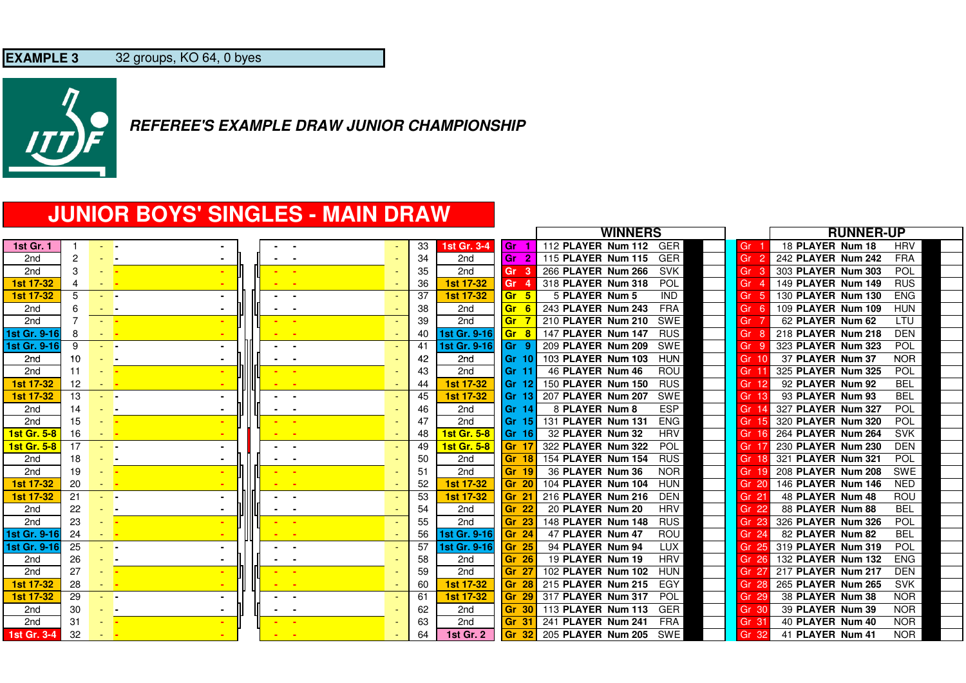

# **JUNIOR BOYS' SINGLES - MAIN DRAW**

|                    |                |                  |                 |  |                          |     |                    |                        | <b>WINNERS</b>                   |                  | <b>RUNNER-UP</b>                 |
|--------------------|----------------|------------------|-----------------|--|--------------------------|-----|--------------------|------------------------|----------------------------------|------------------|----------------------------------|
| <b>1st Gr. 1</b>   |                |                  | - -             |  |                          | -33 | <b>1st Gr. 3-4</b> | l Gr<br>-1             | 112 PLAYER Num 112<br><b>GER</b> | Gr               | 18 PLAYER Num 18<br><b>HRV</b>   |
| 2 <sub>nd</sub>    | 2              |                  | - -             |  |                          | 34  | 2 <sub>nd</sub>    | $\overline{2}$<br>l Gr | <b>GER</b><br>115 PLAYER Num 115 | Gr               | <b>FRA</b><br>242 PLAYER Num 242 |
| 2 <sub>nd</sub>    | 3              |                  |                 |  |                          | 35  | 2nd                | Gr<br>- 3              | 266 PLAYER Num 266<br><b>SVK</b> | Gr               | POL<br>303 PLAYER Num 303        |
| 1st 17-32          | 4              | <b>Service</b>   |                 |  |                          | 36  | 1st 17-32          | Gr                     | POL<br>318 PLAYER Num 318        | Gr               | <b>RUS</b><br>149 PLAYER Num 149 |
| <b>1st 17-32</b>   | 5              | - -              |                 |  |                          | 37  | 1st 17-32          | Gr 5                   | 5 PLAYER Num 5<br><b>IND</b>     | Gr               | <b>ENG</b><br>130 PLAYER Num 130 |
| 2 <sub>nd</sub>    | 6              | <b>Service</b>   |                 |  |                          | 38  | 2nd                | <b>Gr</b><br>- 6       | <b>FRA</b><br>243 PLAYER Num 243 | Gr               | <b>HUN</b><br>109 PLAYER Num 109 |
| 2 <sub>nd</sub>    | $\overline{7}$ | <b>Allen</b>     |                 |  | - 1                      | 39  | 2nd                | <b>Gr</b>              | 210 PLAYER Num 210<br>SWE        | Gr               | 62 PLAYER Num 62<br>LTU          |
| 1st Gr. 9-16       | 8              | <b>STAR</b>      |                 |  |                          | 40  | 1st Gr. 9-16       | Gr 8                   | 147 PLAYER Num 147<br><b>RUS</b> | Gr               | <b>DEN</b><br>218 PLAYER Num 218 |
| 1st Gr. 9-16       | 9              | - -              |                 |  |                          | 41  | 1st Gr. 9-16       | lGr 9                  | 209 PLAYER Num 209<br>SWE        | Gr               | POL<br>323 PLAYER Num 323        |
| 2nd                | 10             | - -              |                 |  |                          | 42  | 2nd                | l Gr 10                | <b>HUN</b><br>103 PLAYER Num 103 | Gr 10            | <b>NOR</b><br>37 PLAYER Num 37   |
| 2 <sub>nd</sub>    | 11             |                  |                 |  |                          | 43  | 2nd                | l Gr 11                | 46 PLAYER Num 46<br>ROU          | Gr :             | <b>POL</b><br>325 PLAYER Num 325 |
| 1st 17-32          | 12             | <b>STATE</b>     |                 |  |                          | 44  | 1st 17-32          | l Gr 12                | 150 PLAYER Num 150<br><b>RUS</b> | Gr 12            | <b>BEL</b><br>92 PLAYER Num 92   |
| 1st 17-32          | 13             | - -              |                 |  | $\sim$                   | 45  | <b>1st 17-32</b>   | l Gr 13                | SWE<br>207 PLAYER Num 207        | Gr               | <b>BEL</b><br>93 PLAYER Num 93   |
| 2nd                | 14             |                  | - -             |  |                          | 46  | 2nd                | l Gr 14                | <b>ESP</b><br>8 PLAYER Num 8     | Gr               | POL<br>327 PLAYER Num 327        |
| 2 <sub>nd</sub>    | 15             |                  |                 |  |                          | 47  | 2 <sub>nd</sub>    | <b>Gr 15</b>           | 131 PLAYER Num 131<br><b>ENG</b> | Gr 15            | 320 PLAYER Num 320<br>POL        |
| 1st Gr. 5-8        | 16             | <b>Service</b>   |                 |  |                          | 48  | <b>1st Gr. 5-8</b> | <b>Gr 16</b>           | 32 PLAYER Num 32<br><b>HRV</b>   | Gr 16            | 264 PLAYER Num 264<br><b>SVK</b> |
| <b>1st Gr. 5-8</b> | 17             | and a            |                 |  |                          | 49  | <b>1st Gr. 5-8</b> | <b>Gr 17</b>           | POL<br>322 PLAYER Num 322        | Gr               | <b>DEN</b><br>230 PLAYER Num 230 |
| 2nd                | 18             | - -              |                 |  |                          | 50  | 2nd                | Gr 18                  | <b>RUS</b><br>154 PLAYER Num 154 | Gr <sub>18</sub> | POL<br>321 PLAYER Num 321        |
| 2 <sub>nd</sub>    | 19             |                  |                 |  |                          | 51  | 2nd                | $\mathsf{Gr}$ 19       | 36 PLAYER Num 36<br><b>NOR</b>   | Gr               | 208 PLAYER Num 208<br>SWE        |
| 1st 17-32          | 20             | <b>All State</b> |                 |  |                          | 52  | 1st 17-32          | Gr 20                  | <b>HUN</b><br>104 PLAYER Num 104 | Gr 20            | <b>NED</b><br>146 PLAYER Num 146 |
| <b>1st 17-32</b>   | 21             | - -              |                 |  | $\overline{\phantom{a}}$ | 53  | <b>1st 17-32</b>   | <b>Gr 21</b>           | <b>DEN</b><br>216 PLAYER Num 216 | Gr $22$          | 48 PLAYER Num 48<br>ROU          |
| 2nd                | 22             |                  | - -             |  |                          | 54  | 2nd                | Gr 22                  | <b>HRV</b><br>20 PLAYER Num 20   | Gr 22            | 88 PLAYER Num 88<br><b>BEL</b>   |
| 2 <sub>nd</sub>    | 23             |                  | <b>Page</b>     |  |                          | 55  | 2nd                | Gr 23                  | 148 PLAYER Num 148<br><b>RUS</b> | Gr 23            | POL<br>326 PLAYER Num 326        |
| 1st Gr. 9-16       | 24             | <b>All State</b> |                 |  |                          | 56  | 1st Gr. 9-16       | <b>Gr 24</b>           | ROU<br>47 PLAYER Num 47          | Gr 24            | <b>BEL</b><br>82 PLAYER Num 82   |
| 1st Gr. 9-16       | 25             | and the          |                 |  |                          | 57  | 1st Gr. 9-16       | Gr 25                  | <b>LUX</b><br>94 PLAYER Num 94   | Gr<br>-25        | POL<br>319 PLAYER Num 319        |
| 2nd                | 26             | - -              |                 |  |                          | 58  | 2 <sub>nd</sub>    | Gr 26                  | <b>HRV</b><br>19 PLAYER Num 19   | Gr 26            | <b>ENG</b><br>132 PLAYER Num 132 |
| 2 <sub>nd</sub>    | 27             |                  | <b>Page</b>     |  |                          | 59  | 2nd                | $\mathsf{Gr} \, 27$    | 102 PLAYER Num 102<br><b>HUN</b> | Gr 27            | 217 PLAYER Num 217<br><b>DEN</b> |
| 1st 17-32          | 28             | <b>All State</b> |                 |  |                          | 60  | 1st 17-32          | Gr 28                  | EGY<br>215 PLAYER Num 215        | Gr<br>-28        | 265 PLAYER Num 265<br><b>SVK</b> |
| 1st 17-32          | 29             | - -              |                 |  | $\blacksquare$           | 61  | 1st 17-32          | Gr 29                  | 317 PLAYER Num 317<br><b>POL</b> | Gr<br>29         | <b>NOR</b><br>38 PLAYER Num 38   |
| 2nd                | 30             |                  | - -             |  |                          | 62  | 2nd                | $\mathsf{Gr}$ 30       | 113 PLAYER Num 113<br><b>GER</b> | Gr 30            | <b>NOR</b><br>39 PLAYER Num 39   |
| 2 <sub>nd</sub>    | 31             |                  | <b>Contract</b> |  |                          | 63  | 2 <sub>nd</sub>    | $\mathsf{Gr}$ 31       | 241 PLAYER Num 241<br><b>FRA</b> | Gr <sub>3</sub>  | 40 PLAYER Num 40<br><b>NOR</b>   |
| 1st Gr. 3-4        | 32             |                  |                 |  |                          | 64  | <b>1st Gr. 2</b>   | <b>Gr 32</b>           | 205 PLAYER Num 205<br>SWE        | Gr 32            | 41 PLAYER Num 41<br><b>NOR</b>   |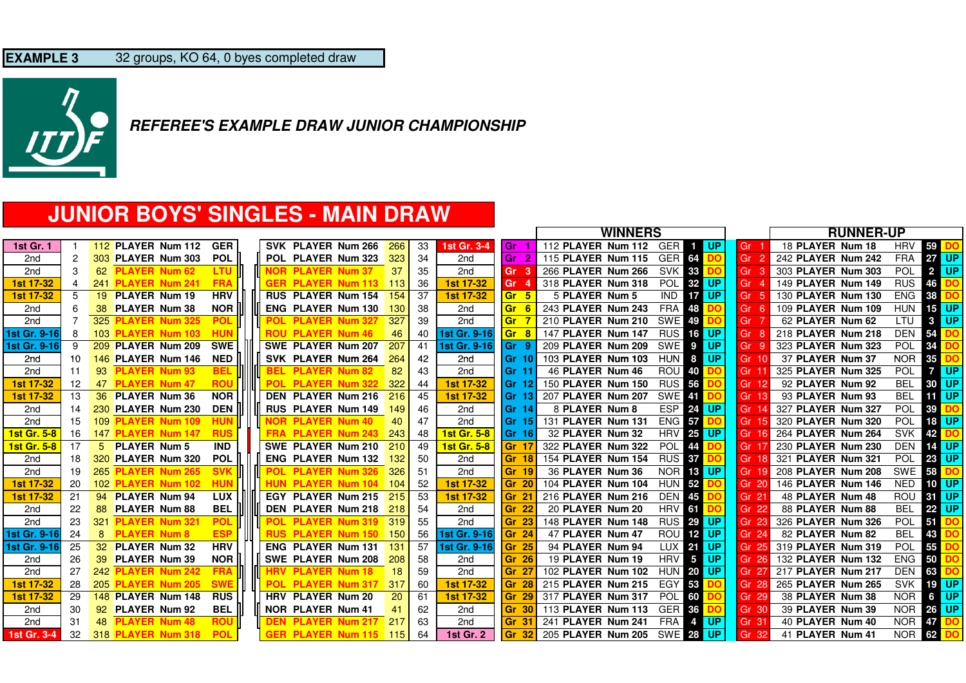

# **JUNIOR BOYS' SINGLES - MAIN DRAW**

|                    |    |     |                           |            |            |                           |      |     |                    |                         | <b>WINNERS</b>                                                 |                 | <b>RUNNER-UP</b>   |            |                              |
|--------------------|----|-----|---------------------------|------------|------------|---------------------------|------|-----|--------------------|-------------------------|----------------------------------------------------------------|-----------------|--------------------|------------|------------------------------|
| <b>1st Gr. 1</b>   |    |     | <b>112 PLAYER Num 112</b> | <b>GER</b> |            | SVK PLAYER Num 266        | 266  | 33  | 1st Gr. 3-4        | l Gr                    | 112 PLAYER Num 112<br><b>N</b> UP<br>GER I<br>$\blacksquare$   | Gr              | 18 PLAYER Num 18   | <b>HRV</b> | 59                           |
| 2 <sub>nd</sub>    | 2  |     | 303 PLAYER Num 303        | <b>POL</b> |            | POL PLAYER Num 323        | 323  | 34  | 2 <sub>nd</sub>    | l Gr                    | <b>GER 64</b><br>115 PLAYER Num 115<br>DO                      | Gr              | 242 PLAYER Num 242 | <b>FRA</b> | <b>UP</b><br>27 <sup>1</sup> |
| 2nd                | 3  | 62  | <b>PLAYER Num 62</b>      | <b>LTU</b> |            | <b>NOR PLAYER Num 37</b>  | 37   | 35  | 2nd                | Gr<br>-3                | <b>SVK 33</b><br>266 PLAYER Num 266<br>DC                      | Gr              | 303 PLAYER Num 303 | POL        | 2 UP                         |
| 1st 17-32          | 4  | 241 | <b>PLAYER Num 241</b>     | <b>FRA</b> |            | <b>GER PLAYER Num 113</b> | -113 | -36 | 1st 17-32          | Gr                      | POL<br>32 UP<br>318 PLAYER Num 318                             | Gr              | 149 PLAYER Num 149 | <b>RUS</b> | 46                           |
| <b>1st 17-32</b>   | 5  | 19  | <b>PLAYER Num 19</b>      | <b>HRV</b> |            | <b>RUS PLAYER Num 154</b> | 154  | 37  | <b>1st 17-32</b>   | <b>Gr</b><br>-5         | <b>17 UP</b><br><b>IND</b><br>5 PLAYER Num 5                   | Gr              | 130 PLAYER Num 130 | <b>ENG</b> | 38                           |
| 2nd                | 6  | 38  | <b>PLAYER Num 38</b>      | <b>NOR</b> |            | <b>ENG PLAYER Num 130</b> | 130  | 38  | 2nd                | <b>Gr</b><br>-6         | <b>FRA</b><br>243 PLAYER Num 243<br>48                         | Gr              | 109 PLAYER Num 109 | <b>HUN</b> | 15<br><b>UP</b>              |
| 2nd                |    |     | 325 PLAYER Num 325        | <b>POL</b> | <b>POL</b> | <b>PLAYER Num 327</b>     | 327  | 39  | 2nd                | <b>Gr</b>               | 210 PLAYER Num 210<br><b>SWE 49</b><br>DC                      | Gr              | 62 PLAYER Num 62   | LTU        | <b>UP</b><br>$3^{\circ}$     |
| 1st Gr. 9-16       | 8  |     | 103 PLAYER Num 103        | <b>HUN</b> |            | <b>ROU PLAYER Num 46</b>  | 46   | 40  | 1st Gr. 9-16       | <b>Gr</b><br>-8         | 147 PLAYER Num 147<br><b>RUS 16 UP</b>                         | Gr              | 218 PLAYER Num 218 | <b>DEN</b> | 54                           |
| 1st Gr. 9-16       | -9 |     | 209 PLAYER Num 209        | <b>SWE</b> |            | SWE PLAYER Num 207        | 207  | 41  | 1st Gr. 9-16       | l Gr<br>- 9             | <b>UP</b><br>209 PLAYER Num 209<br>SWE<br>9                    | Gr              | 323 PLAYER Num 323 | POL        | 34                           |
| 2nd                | 10 |     | 146 PLAYER Num 146        | <b>NED</b> |            | SVK PLAYER Num 264        | 264  | 42  | 2nd                | $\mathsf{Gr} \space 10$ | HUN 8 UP<br>103 PLAYER Num 103                                 | Gr 10           | 37 PLAYER Num 37   | <b>NOR</b> | 35                           |
| 2 <sub>nd</sub>    | 11 | 93  | <b>PLAYER Num 93</b>      | <b>BEL</b> | <b>BEL</b> | <b>PLAYER Num 82</b>      | 82   | 43  | 2 <sub>nd</sub>    | <b>Gr</b> 11            | 46 PLAYER Num 46<br><b>ROU 40</b>                              | Gr <sup>o</sup> | 325 PLAYER Num 325 | <b>POL</b> | <b>UP</b><br>7               |
| 1st 17-32          | 12 | 47  | <b>PLAYER Num 47</b>      | <b>ROU</b> | <b>POL</b> | <b>PLAYER Num 322</b>     | 322  | 44  | 1st 17-32          | <b>Gr 12</b>            | <b>RUS 56</b><br>150 PLAYER Num 150                            | Gr              | 92 PLAYER Num 92   | <b>BEL</b> | <b>UP</b><br>30 I            |
| 1st 17-32          | 13 |     | 36 PLAYER Num 36          | <b>NOR</b> |            | <b>DEN PLAYER Num 216</b> | 216  | 45  | 1st 17-32          | l Gr 13                 | <b>SWE</b><br>207 PLAYER Num 207<br>-41                        | Gr              | 93 PLAYER Num 93   | <b>BEL</b> | <b>UP</b><br>111             |
| 2nd                | 14 |     | 230 PLAYER Num 230        | <b>DEN</b> |            | <b>RUS PLAYER Num 149</b> | 149  | 46  | 2nd                | l Gr 14                 | ESP  <br>24 UP<br>8 PLAYER Num 8                               | Gr              | 327 PLAYER Num 327 | <b>POL</b> | 39                           |
| 2 <sub>nd</sub>    | 15 | 109 | <b>PLAYER Num 109</b>     | <b>HUN</b> |            | <b>NOR PLAYER Num 40</b>  | 40   | 47  | 2 <sub>nd</sub>    | Gr 15                   | <b>ENG 57</b><br>131 PLAYER Num 131<br>DO                      | Gr 15           | 320 PLAYER Num 320 | POL        | <b>UP</b><br>18 I            |
| 1st Gr. 5-8        | 16 |     | 147 PLAYER Num 147        | <b>RUS</b> |            | <b>FRA PLAYER Num 243</b> | 243  | 48  | 1st Gr. 5-8        | Gr 16                   | <b>HRV</b><br>25 UP<br>32 PLAYER Num 32                        | Gr 1            | 264 PLAYER Num 264 | <b>SVK</b> | 42                           |
| <b>1st Gr. 5-8</b> | 17 | 5   | <b>PLAYER Num 5</b>       | <b>IND</b> |            | SWE PLAYER Num 210        | 210  | 49  | <b>1st Gr. 5-8</b> | <b>Gr</b> 17            | POL<br>322 PLAYER Num 322<br>44                                | Gr              | 230 PLAYER Num 230 | <b>DEN</b> | <b>UP</b><br>14              |
| 2nd                | 18 |     | 320 PLAYER Num 320        | <b>POL</b> |            | <b>ENG PLAYER Num 132</b> | 132  | 50  | 2 <sub>nd</sub>    | l Gr 18                 | <b>RUS 37</b><br>154 PLAYER Num 154                            | Gr              | 321 PLAYER Num 321 | POL        | $23 \mid$<br><b>UP</b>       |
| 2 <sub>nd</sub>    | 19 | 265 | <b>PLAYER Num 265</b>     | <b>SVK</b> | <b>POL</b> | <b>PLAYER Num 326</b>     | 326  | 51  | 2 <sub>nd</sub>    | <b>Gr 19</b>            | <b>NOR 18 UP</b><br>36 PLAYER Num 36                           | Gr              | 208 PLAYER Num 208 | SWE        | 58                           |
| 1st 17-32          | 20 |     | 102 PLAYER Num 102        |            |            | <b>PLAYER Num 104</b>     | 104  | 52  | 1st 17-32          | <b>Gr 20</b>            | <b>HUN 52</b><br>104 PLAYER Num 104                            | Gr 20           | 146 PLAYER Num 146 | <b>NED</b> | <b>UP</b><br>10 <sup>1</sup> |
| <b>1st 17-32</b>   | 21 |     | 94 PLAYER Num 94          | <b>LUX</b> |            | EGY PLAYER Num 215        | 215  | 53  | 1st 17-32          | l Gr 21                 | <b>DEN</b><br>216 PLAYER Num 216<br>45                         | Gr $2^{\circ}$  | 48 PLAYER Num 48   | <b>ROU</b> | <b>UP</b><br>31 <sup>1</sup> |
| 2nd                | 22 | 88  | <b>PLAYER Num 88</b>      | <b>BEL</b> |            | DEN PLAYER Num 218        | 218  | 54  | 2nd                | l Gr<br>-22             | <b>HRV</b><br>61<br>20 PLAYER Num 20                           | Gr<br>22        | 88 PLAYER Num 88   | <b>BEL</b> | <b>UP</b><br>22 <sub>1</sub> |
| 2nd                | 23 | 321 | <b>PLAYER Num 321</b>     | POL        | <b>POL</b> | <b>PLAYER Num 319</b>     | 319  | 55  | 2 <sub>nd</sub>    | Gr 23                   | <b>RUS 29 UP</b><br>148 PLAYER Num 148                         | Gr 23           | 326 PLAYER Num 326 | POL        | 51                           |
| 1st Gr. 9-16       | 24 | 8   | <b>PLAYER Num 8</b>       | <b>ESP</b> |            | <b>RUS PLAYER Num 150</b> | 150  | 56  | 1st Gr. 9-16       | <b>Gr 24</b>            | <b>ROU</b><br>12 UP<br>47 PLAYER Num 47                        | Gr 24           | 82 PLAYER Num 82   | <b>BEL</b> | 43                           |
| 1st Gr. 9-16       | 25 |     | 32 PLAYER Num 32          | <b>HRV</b> |            | <b>ENG PLAYER Num 131</b> | 131  | 57  | 1st Gr. 9-16       | Gr 25                   | <b>UP</b><br>94 PLAYER Num 94<br><b>LUX</b><br>21              | Gr<br>-25       | 319 PLAYER Num 319 | <b>POL</b> | 55                           |
| 2nd                | 26 | 39  | <b>PLAYER Num 39</b>      | <b>NOR</b> |            | SWE PLAYER Num 208        | 208  | 58  | 2nd                | Gr 26                   | <b>HRV</b><br><b>UP</b><br>$5\overline{5}$<br>19 PLAYER Num 19 | Gr 26           | 132 PLAYER Num 132 | <b>ENG</b> | 50                           |
| 2nd                | 27 |     | 242 PLAYER Num 242        | <b>FRA</b> |            | <b>PLAYER Num 18</b>      | 18   | 59  | 2 <sub>nd</sub>    | $\textsf{Gr} \, 27$     | 102 PLAYER Num 102<br><b>HUN 20 UP</b>                         | Gr 27           | 217 PLAYER Num 217 | <b>DEN</b> | 63                           |
| 1st 17-32          | 28 | 205 | <b>PLAYER Num 205</b>     | <b>SWE</b> | <b>POL</b> | <b>PLAYER Num 317</b>     | 317  | 60  | 1st 17-32          | l Gr                    | EGY<br>215 PLAYER Num 215<br>53                                | Gr<br>-28       | 265 PLAYER Num 265 | <b>SVK</b> | <b>UP</b><br>19              |
| 1st 17-32          | 29 |     | <b>148 PLAYER Num 148</b> | <b>RUS</b> |            | HRV PLAYER Num 20         | 20   | 61  | 1st 17-32          | l Gr                    | 317 PLAYER Num 317<br><b>POL</b><br>60                         | -29<br>Gr       | 38 PLAYER Num 38   | <b>NOR</b> | <b>UP</b><br>6               |
| 2nd                | 30 |     | 92 PLAYER Num 92          | <b>BEL</b> |            | NOR PLAYER Num 41         | 41   | 62  | 2nd                | l Gr                    | 113 PLAYER Num 113<br>GER <sub>36</sub>                        | Gr 30           | 39 PLAYER Num 39   | <b>NOR</b> | <b>UP</b><br>26 <sub>1</sub> |
| 2nd                | 31 | 48  | <b>PLAYER Num 48</b>      | <b>ROU</b> |            | <b>DEN PLAYER Num 217</b> | 217  | 63  | 2 <sub>nd</sub>    | l Gr<br>-31             | <b>FRA</b><br>241 PLAYER Num 241<br>  UP<br>$\bullet$          | Gr 31           | 40 PLAYER Num 40   | <b>NOR</b> | 47                           |
| 1st Gr. 3-4        | 32 |     | 318 PLAYER Num 318        | <b>POL</b> |            | <b>GER PLAYER Num 115</b> | -115 | 64  | <b>1st Gr. 2</b>   | l Gr<br>-32             | 205 PLAYER Num 205<br><b>SWE 28</b><br><b>UP</b>               | Gr 32           | 41 PLAYER Num 41   | <b>NOR</b> | 62                           |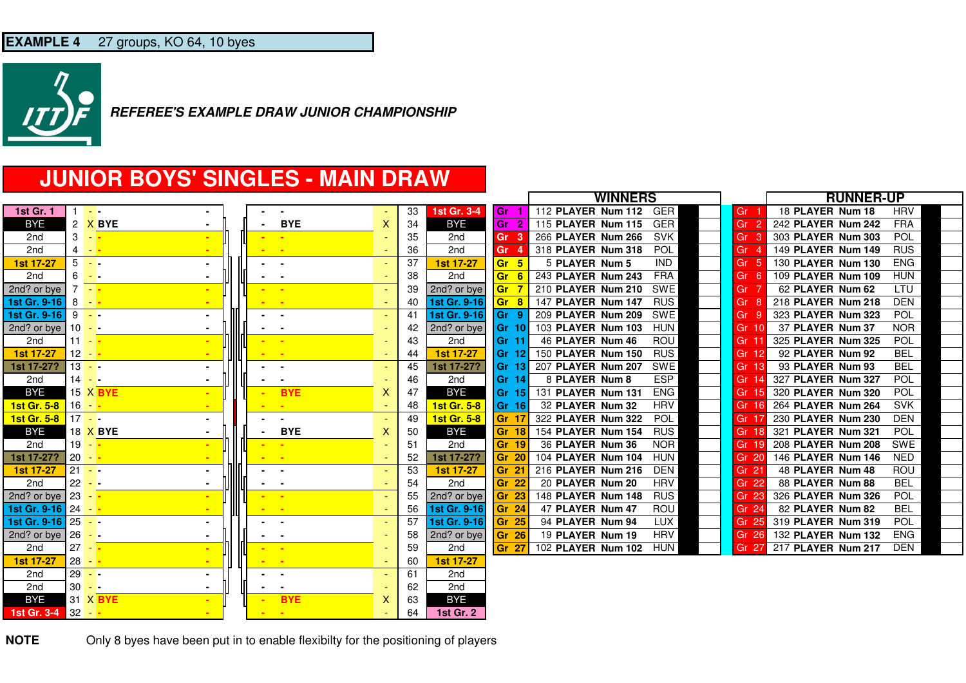

# **JUNIOR BOYS' SINGLES - MAIN DRAW**

|                     |                 |                 |  |                |                          |    |                    |                      | <b>WINNERS</b>                   |                 | <b>RUNNER-UP</b>                 |
|---------------------|-----------------|-----------------|--|----------------|--------------------------|----|--------------------|----------------------|----------------------------------|-----------------|----------------------------------|
| <b>1st Gr. 1</b>    |                 | . <b>.</b>      |  |                |                          | 33 | 1st Gr. 3-4        | l Gr                 | GER<br>112 PLAYER Num 112        | Gr              | <b>HRV</b><br>18 PLAYER Num 18   |
| <b>BYE</b>          |                 | 2 X BYE         |  | <b>BYE</b>     | X                        | 34 | <b>BYE</b>         | $\mathbf{2}$<br>l Gr | GER<br>115 PLAYER Num 115        | Gr<br>-2        | <b>FRA</b><br>242 PLAYER Num 242 |
| 2nd                 | 3               | $\sim$          |  |                |                          | 35 | 2nd                | Gr                   | <b>SVK</b><br>266 PLAYER Num 266 | Gr              | <b>POL</b><br>303 PLAYER Num 303 |
| 2nd                 | $4 - -$         |                 |  |                |                          | 36 | 2nd                | Gr                   | <b>POL</b><br>318 PLAYER Num 318 | Gr              | 149 PLAYER Num 149<br><b>RUS</b> |
| 1st 17-27           | 5               | <b>Sec. 3</b>   |  |                |                          | 37 | <b>1st 17-27</b>   | Gr 5                 | 5 PLAYER Num 5<br><b>IND</b>     | Gr<br>-5        | 130 PLAYER Num 130<br><b>ENG</b> |
| 2nd                 | 6               | $\sim$ $\sim$   |  |                |                          | 38 | 2nd                | Gr <sub>6</sub>      | 243 PLAYER Num 243<br><b>FRA</b> | Gr<br>-6        | 109 PLAYER Num 109<br><b>HUN</b> |
| 2nd? or bye         |                 | $-1$            |  |                |                          | 39 | 2nd? or bye        | Gr                   | 210 PLAYER Num 210<br>SWE        | Gr 7            | 62 PLAYER Num 62<br><b>LTU</b>   |
| 1st Gr. 9-16        | 8               |                 |  |                |                          | 40 | 1st Gr. 9-16       | Gr 8                 | 147 PLAYER Num 147<br><b>RUS</b> | Gr<br>-8        | 218 PLAYER Num 218<br><b>DEN</b> |
| 1st Gr. 9-16        | $9 - -$         |                 |  |                |                          | 41 | 1st Gr. 9-16       | lGr 9                | <b>SWE</b><br>209 PLAYER Num 209 | Gr<br>-9        | 323 PLAYER Num 323<br><b>POL</b> |
| 2nd? or bye         | 10 <sup>1</sup> | $ -$            |  |                |                          | 42 | 2nd? or bye        | l Gr 10              | 103 PLAYER Num 103<br><b>HUN</b> | Gr 10           | 37 PLAYER Num 37<br><b>NOR</b>   |
| 2nd                 | 11              |                 |  |                |                          | 43 | 2nd                | <b>Gr 11</b>         | 46 PLAYER Num 46<br>ROU          | Gr <sub>1</sub> | 325 PLAYER Num 325<br><b>POL</b> |
| 1st 17-27           | 12              |                 |  |                |                          | 44 | 1st 17-27          | Gr 12                | <b>RUS</b><br>150 PLAYER Num 150 | Gr 12           | <b>BEL</b><br>92 PLAYER Num 92   |
| 1st 17-27?          | $13 - -$        |                 |  |                | ٠                        | 45 | 1st 17-27?         | Gr 13                | SWE<br>207 PLAYER Num 207        | Gr 13           | <b>BEL</b><br>93 PLAYER Num 93   |
| 2nd                 | 14              | . <b>.</b>      |  |                |                          | 46 | 2nd                | Gr 14                | <b>ESP</b><br>8 PLAYER Num 8     | Gr 14           | 327 PLAYER Num 327<br><b>POL</b> |
| <b>BYE</b>          |                 | 15 X BYE        |  | <b>BYE</b>     | х                        | 47 | <b>BYE</b>         | Gr 15                | <b>ENG</b><br>131 PLAYER Num 131 | Gr 15           | 320 PLAYER Num 320<br><b>POL</b> |
| 1st Gr. 5-8         | 16              |                 |  |                |                          | 48 | <b>1st Gr. 5-8</b> | Gr 16                | <b>HRV</b><br>32 PLAYER Num 32   | Gr 16           | 264 PLAYER Num 264<br><b>SVK</b> |
| 1st Gr. 5-8         | $17 -$          |                 |  |                |                          | 49 | <b>1st Gr. 5-8</b> | Gr <sub>1</sub>      | <b>POL</b><br>322 PLAYER Num 322 | Gr 17           | 230 PLAYER Num 230<br><b>DEN</b> |
| <b>BYE</b>          |                 | 18 X BYE        |  | <b>BYE</b>     | X                        | 50 | <b>BYE</b>         | Gr 18                | 154 PLAYER Num 154<br><b>RUS</b> | Gr 18           | 321 PLAYER Num 321<br><b>POL</b> |
| 2nd                 | 19              |                 |  |                |                          | 51 | 2nd                | Gr 19                | 36 PLAYER Num 36<br><b>NOR</b>   | Gr 19           | 208 PLAYER Num 208<br><b>SWE</b> |
| 1st 17-27?          | 20              |                 |  | <b>.</b>       |                          | 52 | 1st 17-27?         | Gr 20                | 104 PLAYER Num 104<br><b>HUN</b> | Gr 20           | 146 PLAYER Num 146<br><b>NED</b> |
| 1st 17-27           | $21 - -$        |                 |  |                |                          | 53 | 1st 17-27          | Gr 2                 | 216 PLAYER Num 216<br><b>DEN</b> | Gr $22$         | 48 PLAYER Num 48<br><b>ROU</b>   |
| 2nd                 | 22              | - -             |  |                |                          | 54 | 2nd                | Gr 22                | 20 PLAYER Num 20<br><b>HRV</b>   | Gr 22           | 88 PLAYER Num 88<br><b>BEL</b>   |
| 2nd? or bye         | 23              |                 |  |                |                          | 55 | 2nd? or bye        | Gr <sub>23</sub>     | 148 PLAYER Num 148<br><b>RUS</b> | Gr 23           | 326 PLAYER Num 326<br><b>POL</b> |
| 1st Gr. 9-16 24     |                 | $\blacksquare$  |  | - -            |                          | 56 | 1st Gr. 9-16       | Gr <sub>24</sub>     | ROU<br>47 PLAYER Num 47          | Gr 24           | <b>BEL</b><br>82 PLAYER Num 82   |
| 1st Gr. 9-16 25 - - |                 |                 |  |                |                          | 57 | 1st Gr. 9-16       | Gr 25                | <b>LUX</b><br>94 PLAYER Num 94   | Gr 25           | 319 PLAYER Num 319<br><b>POL</b> |
| 2nd? or bye         | 26              | $\sim$ 1 $\sim$ |  | ٠.             |                          | 58 | 2nd? or bye        | Gr 26                | <b>HRV</b><br>19 PLAYER Num 19   | Gr 26           | 132 PLAYER Num 132<br><b>ENG</b> |
| 2nd                 | 27              |                 |  | ۰.             |                          | 59 | 2nd                | <b>Gr 27</b>         | 102 PLAYER Num 102<br><b>HUN</b> | Gr 27           | 217 PLAYER Num 217<br><b>DEN</b> |
| 1st 17-27           | 28              | $ -$            |  | $\sim$         | $\overline{\phantom{a}}$ | 60 | 1st 17-27          |                      |                                  |                 |                                  |
| 2nd                 | 29              | $\sim$ $\sim$   |  |                |                          | 61 | 2nd                |                      |                                  |                 |                                  |
| 2nd                 | $30 - -$        |                 |  | $\blacksquare$ |                          | 62 | 2nd                |                      |                                  |                 |                                  |
| <b>BYE</b>          |                 | 31 X BYE        |  | <b>BYE</b>     | х                        | 63 | <b>BYE</b>         |                      |                                  |                 |                                  |
| 1st Gr. 3-4         | $32 -$          |                 |  | $\blacksquare$ |                          | 64 | <b>1st Gr. 2</b>   |                      |                                  |                 |                                  |

**NOTE**Only 8 byes have been put in to enable flexibilty for the positioning of players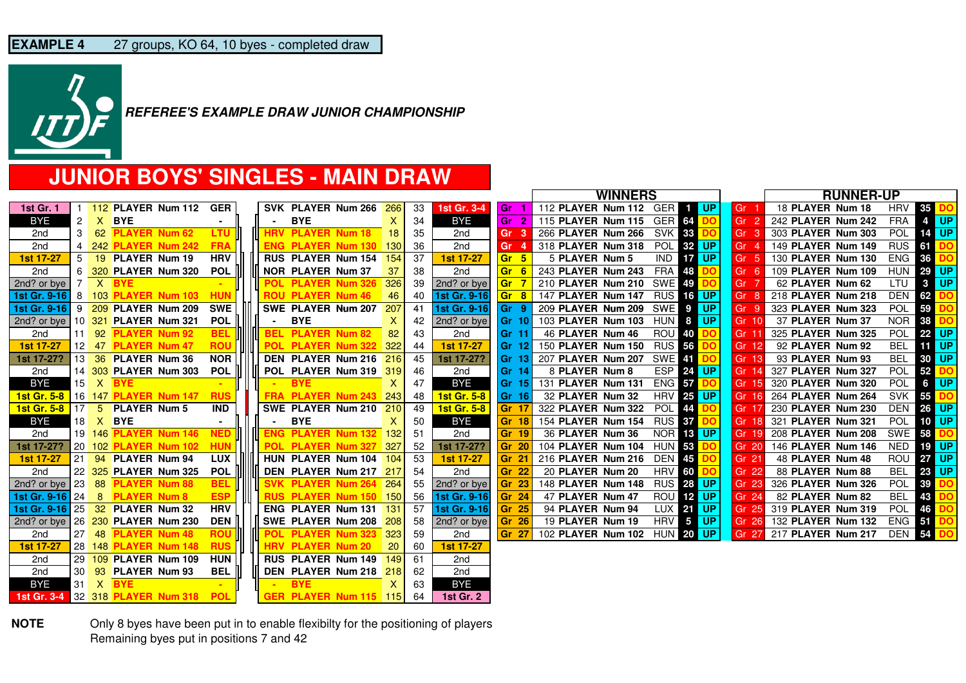

### **JUNIOR BOYS' SINGLES - MAIN DRAW**

|                        |      |   |                                                 |                |  |                          |                           |     |    |                    |                 |                        | <b>WINNERS</b> |                               |               |           | <b>RUNNER-UP</b>         |                  |               |
|------------------------|------|---|-------------------------------------------------|----------------|--|--------------------------|---------------------------|-----|----|--------------------|-----------------|------------------------|----------------|-------------------------------|---------------|-----------|--------------------------|------------------|---------------|
| <b>1st Gr. 1</b>       |      |   | 112 PLAYER Num 112                              | <b>GER</b>     |  |                          | SVK PLAYER Num 266        | 266 | 33 | 1st Gr. 3-4        | l Gr            | 112 PLAYER Num 112 GER |                |                               | <b>THE UP</b> | Gr        | 18 PLAYER Num 18         | HRV              | 35            |
| BYE                    | 2    |   | X BYE                                           | ٠              |  | <b>BYE</b>               |                           | X.  | 34 | <b>BYE</b>         | l Gr<br>- 2     | 115 PLAYER Num 115     |                | GER <sub>64</sub>             | חח            | Gr        | 242 PLAYER Num 242       | <b>FRA</b>       | 4 UP          |
| 2nd                    | 3    |   | 62 PLAYER Num 62                                | <b>LTU</b>     |  | <b>HRV PLAYER Num 18</b> |                           | 18  | 35 | 2nd                | Gr <sub>3</sub> | 266 PLAYER Num 266     |                | <b>SVK 33</b>                 |               | Gr<br>- 3 | 303 PLAYER Num 303       | POL              | <b>14 UP</b>  |
| 2nd                    | 4    |   | 242 PLAYER Num 242                              | <b>FRA</b>     |  |                          | <b>ENG PLAYER Num 130</b> | 130 | 36 | 2nd                | Gr              | 318 PLAYER Num 318     |                | <b>POL 32 UP</b>              |               | Gr        | 149 PLAYER Num 149       | <b>RUS</b>       | 61            |
| <b>1st 17-27</b>       | 5    |   | 19 PLAYER Num 19                                | <b>HRV</b>     |  |                          | <b>RUS PLAYER Num 154</b> | 154 | 37 | <b>1st 17-27</b>   | Gr <sub>5</sub> | 5 PLAYER Num 5         |                | <b>IND</b><br>17 <sup>1</sup> | UP.           | Gr<br>-5  | 130 PLAYER Num 130       | ENG              | 36            |
| 2nd                    | 6    |   | 320 PLAYER Num 320                              | <b>POL</b>     |  | <b>NOR PLAYER Num 37</b> |                           | 37  | 38 | 2nd                | Gr <sub>6</sub> | 243 PLAYER Num 243     |                | <b>FRA</b><br>48              |               | Gr        | 109 PLAYER Num 109       | <b>HUN 29 UP</b> |               |
| 2nd? or bye            | -7   |   | $X$ BYE                                         |                |  |                          | POL PLAYER Num 326        | 326 | 39 | 2nd? or bye        | <b>Gr</b>       | 210 PLAYER Num 210     |                | <b>SWE 49</b>                 |               | Gr        | 62 PLAYER Num 62         | LTU              | $3$ UP        |
| 1st Gr. $9-16$   8     |      |   | 103 PLAYER Num 103                              | <b>HUN</b>     |  | <b>ROU PLAYER Num 46</b> |                           | 46  | 40 | 1st Gr. 9-16       | <b>Gr</b> 8     | 147 PLAYER Num 147     |                | <b>RUS 16 UP</b>              |               | Gr        | 218 PLAYER Num 218       | DEN              | 62            |
| 1st Gr. 9-16           | -9   |   | 209 PLAYER Num 209                              | <b>SWE</b>     |  |                          | SWE PLAYER Num 207        | 207 | 41 | 1st Gr. 9-16       | lGr 9           | 209 PLAYER Num 209     |                | <b>SWEP</b>                   | UP.           | Gr<br>- 9 | 323 PLAYER Num 323       | <b>POL</b>       | 59            |
| 2nd? or bye            |      |   | 10 321 PLAYER Num 321                           | <b>POL</b>     |  | <b>BYE</b>               |                           | X.  | 42 | 2nd? or bye        | Gr 10           | 103 PLAYER Num 103     |                | HUN 8 UP                      |               | Gr 10     | 37 PLAYER Num 37         | <b>NOR 38</b>    |               |
| 2 <sub>nd</sub>        |      |   | 11 92 <b>PLAYER Num 92</b>                      | <b>BEL</b>     |  | <b>BEL PLAYER Num 82</b> |                           | 82  | 43 | 2nd                | l Gr 11         | 46 PLAYER Num 46       |                | <b>ROU 40</b>                 |               | Gr 11     | 325 PLAYER Num 325       | POL 22 UP        |               |
| 1st 17-27              |      |   | 12 47 <b>PLAYER Num 47</b>                      | <b>ROU</b>     |  |                          | POL PLAYER Num 322        | 322 | 44 | 1st 17-27          | Gr 121          | 150 PLAYER Num 150     |                | <b>RUS 56</b>                 |               | Gr 12     | 92 PLAYER Num 92         | BEL              | <b>FIT UP</b> |
| 1st 17-27?             |      |   | 13 36 PLAYER Num 36                             | <b>NOR</b>     |  |                          | DEN PLAYER Num 216        | 216 | 45 | 1st 17-27?         | <b>Gr 131</b>   | 207 PLAYER Num 207     |                | <b>SWE 41</b>                 |               | Gr 13     | 93 PLAYER Num 93         | <b>BEL</b>       | 30 UP         |
| 2nd                    |      |   | 14 303 PLAYER Num 303                           | <b>POL</b>     |  |                          | POL PLAYER Num 319        | 319 | 46 | 2 <sub>nd</sub>    | l Gr 14         | 8 PLAYER Num 8         |                | ESP 24 UP                     |               | Gr 14     | 327 PLAYER Num 327       | <b>POL</b> 52 DO |               |
| BYE                    | 15   |   | X BYE                                           |                |  | <b>BYE</b>               |                           | X.  | 47 | <b>BYE</b>         | <b>Gr 151</b>   | 131 PLAYER Num 131     |                | ENG 57                        |               | Gr 15     | 320 PLAYER Num 320       | <b>POL</b>       | 6 UP          |
| <b>1st Gr. 5-8</b>     |      |   | 16 147 <b>PLAYER Num 147</b>                    | <b>RUS</b>     |  |                          | <b>FRA PLAYER Num 243</b> | 243 | 48 | <b>1st Gr. 5-8</b> | Gr 16           | 32 PLAYER Num 32       |                | <b>HRV 25 UP</b>              |               | Gr 16     | 264 PLAYER Num 264       | <b>SVK</b>       | 55 DO         |
| <b>1st Gr. 5-8</b>     |      |   | 17 5 PLAYER Num 5                               | <b>IND</b>     |  |                          | SWE PLAYER Num 210        | 210 | 49 | <b>1st Gr. 5-8</b> | Gr 17           | 322 PLAYER Num 322     |                | <b>POL</b><br>44              |               | Gr 17     | 230 PLAYER Num 230       | DEN 26 UP        |               |
| BYE                    | 18   |   | X BYE                                           | $\blacksquare$ |  | <b>BYE</b>               |                           | X.  | 50 | <b>BYE</b>         | <b>Gr 18</b>    | 154 PLAYER Num 154     |                | <b>RUS 37</b>                 |               | Gr 18     | 321 PLAYER Num 321       | POL 10 UP        |               |
| 2nd                    |      |   | 19 146 <b>PLAYER Num 146</b>                    | <b>NED</b>     |  |                          | <b>ENG PLAYER Num 132</b> | 132 | 51 | 2nd                | Gr 19           | 36 PLAYER Num 36       |                | NOR 18 UP                     |               | Gr 19     | 208 PLAYER Num 208       | SWE 58 DO        |               |
| 1st 17-27?             |      |   | 20 102 PLAYER Num 102                           | <b>HUN</b>     |  |                          | POL PLAYER Num 327        | 327 | 52 | 1st 17-27?         | <b>Gr 20</b>    | 104 PLAYER Num 104     |                | <b>HUN 53</b>                 |               | Gr 20     | 146 PLAYER Num 146       | NED              | <b>19 UP</b>  |
| 1st 17-27              | 21   |   | 94 PLAYER Num 94                                | <b>LUX</b>     |  |                          | HUN PLAYER Num 104        | 104 | 53 | <b>1st 17-27</b>   | Gr 21           | 216 PLAYER Num 216     |                | <b>DEN 45</b>                 |               | Gr 21     | 48 PLAYER Num 48         | ROU              | <b>27 UP</b>  |
| 2 <sub>nd</sub>        |      |   | 22 325 PLAYER Num 325                           | <b>POL</b>     |  |                          | DEN PLAYER Num 217 217    |     | 54 | 2nd                | <b>Gr 22</b>    | 20 PLAYER Num 20       |                | <b>HRV 60</b>                 |               | Gr 22     | 88 PLAYER Num 88         | <b>BEL</b> 23 UP |               |
| 2nd? or bye            | 23   |   | 88 PLAYER Num 88                                | <b>BEL</b>     |  |                          | <b>SVK PLAYER Num 264</b> | 264 | 55 | 2nd? or bye        | Gr 23           | 148 PLAYER Num 148     |                | <b>RUS 28 UP</b>              |               | Gr 23     | 326 PLAYER Num 326       | <b>POL</b>       | 39            |
| <b>1st Gr. 9-16</b> 24 |      | 8 | <b>PLAYER Num 8</b>                             | <b>ESP</b>     |  |                          | RUS PLAYER Num 150 150    |     | 56 | 1st Gr. 9-16       | Gr 24           | 47 PLAYER Num 47       |                | ROU 12 UP                     |               | Gr 24     | 82 PLAYER Num 82         | <b>BEL</b>       | 43            |
|                        |      |   | <b>1st Gr. 9-16 25 32 PLAYER Num 32</b>         | <b>HRV</b>     |  |                          | <b>ENG PLAYER Num 131</b> | 131 | 57 | 1st Gr. 9-16       | Gr 25           | 94 PLAYER Num 94       |                | LUX 21 UP                     |               | Gr 25     | 319 PLAYER Num 319       | <b>POL</b>       | 46            |
|                        |      |   | 2nd? or bye   26 $\frac{230}{ }$ PLAYER Num 230 | <b>DEN</b>     |  |                          | SWE PLAYER Num 208        | 208 | 58 | 2nd? or bye        | Gr 26           | 19 PLAYER Num 19       |                | HRV 5 UP                      |               |           | Gr 26 132 PLAYER Num 132 | $ENG$ 51         |               |
| 2nd                    | 27   |   | 48 PLAYER Num 48                                | <b>ROU</b>     |  |                          | POL PLAYER Num 323        | 323 | 59 | 2 <sub>nd</sub>    | Gr 27           | 102 PLAYER Num 102     |                | <b>HUN 20 UP</b>              |               |           | Gr 27 217 PLAYER Num 217 | <b>DEN 54</b>    |               |
| <b>1st 17-27</b>       |      |   | 28 148 <b>PLAYER Num 148</b>                    | <b>RUS</b>     |  | <b>HRV PLAYER Num 20</b> |                           | 20  | 60 | 1st 17-27          |                 |                        |                |                               |               |           |                          |                  |               |
| 2nd                    |      |   | 29 109 PLAYER Num 109                           | <b>HUN</b>     |  |                          | <b>RUS PLAYER Num 149</b> | 149 | 61 | 2nd                |                 |                        |                |                               |               |           |                          |                  |               |
| 2nd                    | 30 I |   | 93 PLAYER Num 93                                | <b>BEL</b>     |  |                          | DEN PLAYER Num 218        | 218 | 62 | 2nd                |                 |                        |                |                               |               |           |                          |                  |               |
| BYE                    | 31   |   | $X$ BYE                                         |                |  | <b>BYE</b>               |                           | х   | 63 | <b>BYE</b>         |                 |                        |                |                               |               |           |                          |                  |               |
| <b>1st Gr. 3-4</b>     |      |   | 32 318 <b>PLAYER Num 318</b>                    | <b>POL</b>     |  |                          | GER PLAYER Num 115 115    |     | 64 | <b>1st Gr. 2</b>   |                 |                        |                |                               |               |           |                          |                  |               |

**NOTE** Only 8 byes have been put in to enable flexibilty for the positioning of players Remaining byes put in positions 7 and 42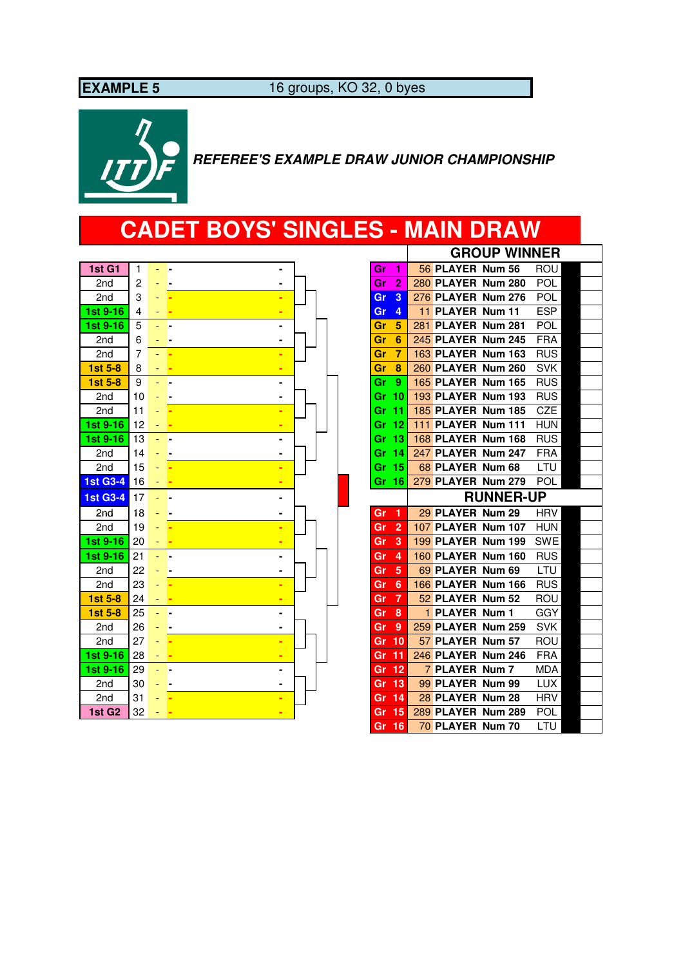**EXAMPLE 5** 16 groups, KO 32, 0 byes



### **REFEREE'S EXAMPLE DRAW JUNIOR CHAMPIONSHIP**

# **CADET BOYS' SINGLES - MAIN DRAW**

| 2<br><b>280 PLAYER Num 280</b><br>POL<br>2nd<br>2<br>Gr               |  |
|-----------------------------------------------------------------------|--|
|                                                                       |  |
| 3<br>276 PLAYER Num 276<br>POL<br>3<br>2nd<br>Gr                      |  |
| 11 PLAYER Num 11<br><b>ESP</b><br>1st 9-16<br>4<br>Gr<br>4            |  |
| 5<br>281 PLAYER Num 281<br>1st 9-16<br>POL<br>Gr<br>5                 |  |
| 245 PLAYER Num 245<br><b>FRA</b><br>6<br>Gr<br>6<br>2nd               |  |
| 163 PLAYER Num 163<br><b>RUS</b><br>7<br>7<br>2nd<br>Gr               |  |
| <b>SVK</b><br>1st 5-8<br>260 PLAYER Num 260<br>Gr<br>8<br>8           |  |
| <b>165 PLAYER Num 165</b><br><b>RUS</b><br>1st 5-8<br>9<br>Gr<br>9    |  |
| 193 PLAYER Num 193<br><b>RUS</b><br>10<br>Gr 10<br>2nd                |  |
| 185 PLAYER Num 185<br>CZE<br>$-11$<br>11<br>2nd<br>Gr                 |  |
| 111 PLAYER Num 111<br>1st 9-16<br><b>HUN</b><br>12<br>Gr 12           |  |
| 168 PLAYER Num 168<br><b>RUS</b><br>1st 9-16<br>13<br>Gr 13           |  |
| 247 PLAYER Num 247<br>14<br>Gr 14<br><b>FRA</b><br>2nd                |  |
| 68 PLAYER Num 68<br>2 <sub>nd</sub><br>15<br>Gr 15<br>LTU             |  |
| <b>1st G3-4</b><br>Gr 16<br>279 PLAYER Num 279<br>POL<br>16           |  |
| <b>RUNNER-UP</b><br><b>1st G3-4</b><br>17                             |  |
| 29 PLAYER Num 29<br>18<br><b>HRV</b><br>2nd<br>Gr<br>-1               |  |
| 19<br>107 PLAYER Num 107<br><b>HUN</b><br>2nd<br>$\overline{2}$<br>Gr |  |
| 199 PLAYER Num 199<br>1st 9-16<br><b>SWE</b><br>20<br>3<br>Gr         |  |
| <b>160 PLAYER Num 160</b><br><b>RUS</b><br>1st 9-16<br>21<br>Gr<br>4  |  |
| 22<br>69 PLAYER Num 69<br>LTU<br>Gr<br>5<br>2nd                       |  |
| 23<br><b>166 PLAYER Num 166</b><br><b>RUS</b><br>2nd<br>6<br>Gr       |  |
| 52 PLAYER Num 52<br>24<br>7<br>ROU<br>1st 5-8<br>Gr                   |  |
| 1 PLAYER Num 1<br>GGY<br>1st 5-8<br>25<br>8<br>Gr                     |  |
| 259 PLAYER Num 259<br><b>SVK</b><br>2nd<br>26<br>9<br>Gr              |  |
| 27<br>57 PLAYER Num 57<br>10<br>ROU<br>2nd<br>Gr                      |  |
| 246 PLAYER Num 246<br><b>FRA</b><br>1st 9-16<br>28<br>-11<br>Gr       |  |
| 7 PLAYER Num 7<br>1st 9-16<br>12<br>MDA<br>29<br>Gr                   |  |
| 99 PLAYER Num 99<br><b>LUX</b><br>30<br>13<br>2nd<br>Gr               |  |
| 28 PLAYER Num 28<br>31<br><b>HRV</b><br>2nd<br>14<br>Gr               |  |
| 1st G <sub>2</sub><br>32<br>15<br>289 PLAYER Num 289<br>POL<br>Gr     |  |

|    |                 |                           |                  | <b>GROUP WINNER</b> |  |
|----|-----------------|---------------------------|------------------|---------------------|--|
| Gr | 1               | 56 PLAYER Num 56          |                  | ROU                 |  |
| Gr | $\overline{2}$  | 280 PLAYER Num 280        |                  | POL                 |  |
| Gr | 3               | 276 PLAYER Num 276        |                  | POL                 |  |
| Gr | 4               | 11 PLAYER Num 11          |                  | <b>ESP</b>          |  |
| Gr | 5               | 281 PLAYER Num 281        |                  | POL                 |  |
| Gr | 6               | 245 PLAYER Num 245        |                  | <b>FRA</b>          |  |
| Gr | 7               | 163 PLAYER Num 163        |                  | RUS                 |  |
| Gr | 8               | 260 PLAYER Num 260        |                  | SVK                 |  |
| Gr | 9               | <b>165 PLAYER Num 165</b> |                  | <b>RUS</b>          |  |
| Gr | 10              | <b>193 PLAYER Num 193</b> |                  | <b>RUS</b>          |  |
| Gr | 11              | 185 PLAYER Num 185        |                  | CZE                 |  |
| Gr | 12              | 111 PLAYER Num 111        |                  | <b>HUN</b>          |  |
| Gr | 13              | <b>168 PLAYER Num 168</b> |                  | <b>RUS</b>          |  |
| Gr | 14              | 247 PLAYER Num 247        |                  | <b>FRA</b>          |  |
| Gr | 15              | 68 PLAYER Num 68          |                  | LTU                 |  |
| Gr | 16              | 279 PLAYER Num 279        |                  | POL                 |  |
|    |                 |                           | <b>RUNNER-UP</b> |                     |  |
| Gr | 1               | 29 PLAYER Num 29          |                  | HRV                 |  |
| Gr | $\overline{2}$  | 107 PLAYER Num 107        |                  | <b>HUN</b>          |  |
| Gr | 3               | 199 PLAYER Num 199        |                  | <b>SWE</b>          |  |
| Gr | 4               | 160 PLAYER Num 160        |                  | <b>RUS</b>          |  |
| Gr | 5               | 69 PLAYER Num 69          |                  | LTU                 |  |
| Gr | 6               | 166 PLAYER Num 166        |                  | RUS                 |  |
| Gr | $\overline{7}$  | 52 PLAYER Num 52          |                  | ROU                 |  |
| Gr | 8               | 1 PLAYER Num 1            |                  | GGY                 |  |
| Gr | 9               | 259 PLAYER Num 259        |                  | SVK                 |  |
| Gr | 10              | 57 PLAYER Num 57          |                  | ROU                 |  |
| Gr | 11              | 246 PLAYER Num 246        |                  | <b>FRA</b>          |  |
| Gr | 12              | 7 PLAYER Num 7            |                  | MDA                 |  |
| Gr | $\overline{13}$ | 99 PLAYER Num 99          |                  | LUX                 |  |
| Gr | 14              | 28 PLAYER Num 28          |                  | <b>HRV</b>          |  |
| Gr | $\overline{15}$ | 289 PLAYER Num 289        |                  | POL                 |  |
|    |                 | 70 PLAYER Num 70          |                  | LTU                 |  |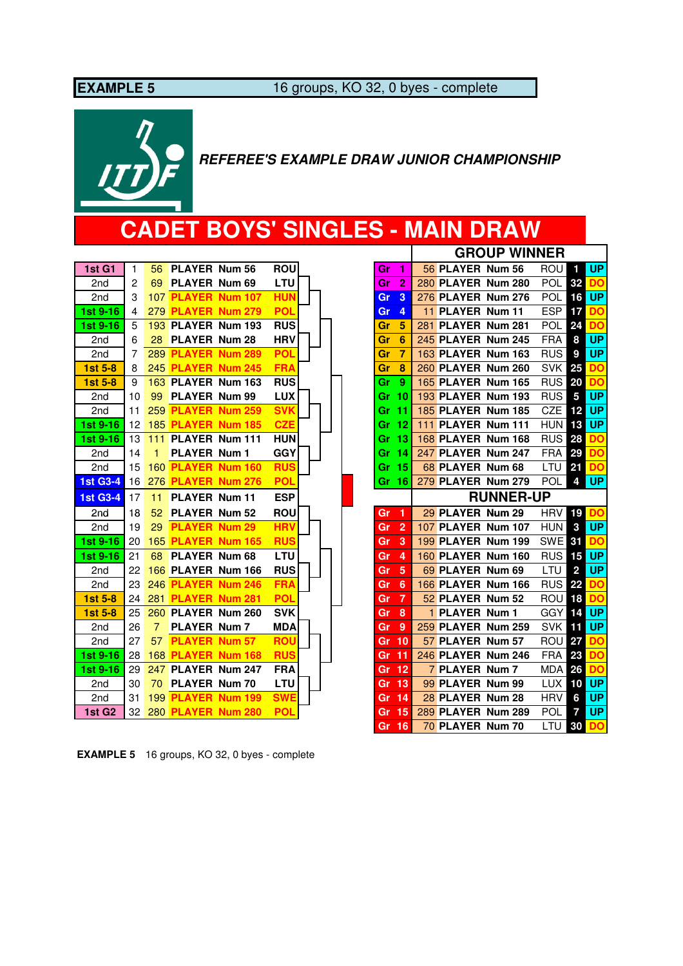**EXAMPLE 5** 16 groups, KO 32, 0 byes - complete



 **REFEREE'S EXAMPLE DRAW JUNIOR CHAMPIONSHIP**

# **CADET BOYS' SINGLES - MAIN DRAW**

| 1st G1             | $\mathbf{1}$    | 56.            | <b>PLAYER Num 56</b>      |                           | <b>ROU</b> | Gr    | 1                    | 56 PLAYER Num 56 |                           | ROU           | -1             | <b>UP</b> |
|--------------------|-----------------|----------------|---------------------------|---------------------------|------------|-------|----------------------|------------------|---------------------------|---------------|----------------|-----------|
| 2nd                | $\overline{2}$  | 69             | PLAYER Num 69             |                           | LTU        | Gr    | $\overline{2}$       |                  | 280 PLAYER Num 280        | <b>POL</b>    | 32             | <b>DO</b> |
| 2nd                | 3               |                | 107 PLAYER Num 107        |                           | <b>HUN</b> | Gr    | 3                    |                  | 276 PLAYER Num 276        | POL           | 16             | <b>UP</b> |
| 1st 9-16           | 4               |                | 279 PLAYER Num 279        |                           | <b>POL</b> | Gr    | 4                    | 11 PLAYER Num 11 |                           | <b>ESP</b>    | 17             | <b>DO</b> |
| 1st 9-16           | 5               |                |                           | 193 PLAYER Num 193        | <b>RUS</b> | Gr    | 5                    |                  | 281 PLAYER Num 281        | <b>POL</b>    | 24             | <b>DO</b> |
| 2nd                | 6               | 28             | <b>PLAYER Num 28</b>      |                           | <b>HRV</b> | Gr    | 6                    |                  | 245 PLAYER Num 245        | <b>FRA</b>    | 8              | <b>UP</b> |
| 2nd                | 7               |                | 289 PLAYER Num 289        |                           | <b>POL</b> | Gr    | 7                    |                  | 163 PLAYER Num 163        | <b>RUS</b>    | 9              | <b>UP</b> |
| 1st 5-8            | 8               |                |                           | 245 PLAYER Num 245        | <b>FRA</b> | Gr    | 8                    |                  | 260 PLAYER Num 260        | <b>SVK</b>    | 25             | <b>DO</b> |
| 1st 5-8            | 9               |                |                           | 163 PLAYER Num 163        | <b>RUS</b> | Gr    | 9                    |                  | 165 PLAYER Num 165        | <b>RUS 20</b> |                | <b>DO</b> |
| 2nd                | 10              | 99             | <b>PLAYER Num 99</b>      |                           | <b>LUX</b> | Gr 10 |                      |                  | 193 PLAYER Num 193        | <b>RUS</b>    | 5              | <b>UP</b> |
| 2 <sub>nd</sub>    | 11              |                | 259 PLAYER Num 259        |                           | <b>SVK</b> | Gr 11 |                      |                  | <b>185 PLAYER Num 185</b> | CZE           | 12             | <b>UP</b> |
| 1st 9-16           | 12              |                |                           | <b>185 PLAYER Num 185</b> | <b>CZE</b> | Gr 12 |                      |                  | 111 PLAYER Num 111        | <b>HUN</b>    | 13             | <b>UP</b> |
| 1st 9-16           | 13              | 111            |                           | PLAYER Num 111            | <b>HUN</b> | Gr 13 |                      |                  | 168 PLAYER Num 168        | <b>RUS</b>    | 28             | <b>DO</b> |
| 2nd                | 14              | 1              | <b>PLAYER Num 1</b>       |                           | <b>GGY</b> | Gr 14 |                      |                  | 247 PLAYER Num 247        | <b>FRA</b>    | 29             | <b>DO</b> |
| 2nd                | 15              |                |                           | <b>160 PLAYER Num 160</b> | <b>RUS</b> | Gr 15 |                      | 68 PLAYER Num 68 |                           | LTU           | 21             | <b>DO</b> |
| <b>1st G3-4</b>    | 16              |                |                           | 276 PLAYER Num 276        | <b>POL</b> | Gr 16 |                      |                  | 279 PLAYER Num 279        | <b>POL</b>    | 4              | <b>UP</b> |
|                    |                 |                |                           |                           |            |       |                      |                  |                           |               |                |           |
| <b>1st G3-4</b>    | 17              | 11             | <b>PLAYER Num 11</b>      |                           | <b>ESP</b> |       |                      |                  | <b>RUNNER-UP</b>          |               |                |           |
| 2nd                | 18              | 52             | <b>PLAYER Num 52</b>      |                           | <b>ROU</b> | Gr    | $\blacktriangleleft$ | 29 PLAYER Num 29 |                           | <b>HRV</b>    | 19             | <b>DO</b> |
| 2nd                | 19              | 29             | <b>PLAYER Num 29</b>      |                           | <b>HRV</b> | Gr    | $\overline{2}$       |                  | 107 PLAYER Num 107        | <b>HUN</b>    | 3              | <b>UP</b> |
| 1st 9-16           | 20              |                |                           | <b>165 PLAYER Num 165</b> | <b>RUS</b> | Gr    | 3                    |                  | 199 PLAYER Num 199        | <b>SWE 31</b> |                | <b>DO</b> |
| 1st 9-16           | 21              | 68             | <b>PLAYER Num 68</b>      |                           | <b>LTU</b> | Gr    | 4                    |                  | <b>160 PLAYER Num 160</b> | <b>RUS</b>    | 15             | <b>UP</b> |
| 2nd                | 22              |                |                           | 166 PLAYER Num 166        | <b>RUS</b> | Gr    | 5                    | 69 PLAYER Num 69 |                           | LTU           | $\overline{2}$ | <b>UP</b> |
| 2nd                | 23              |                |                           | 246 PLAYER Num 246        | <b>FRA</b> | Gr    | 6                    |                  | 166 PLAYER Num 166        | <b>RUS</b>    | 22             | <b>DO</b> |
| 1st 5-8            | 24              |                | 281 PLAYER Num 281        |                           | <b>POL</b> | Gr    | $\overline{7}$       | 52 PLAYER Num 52 |                           | ROU           | 18             | <b>DO</b> |
| $1st5-8$           | 25              |                |                           | 260 PLAYER Num 260        | <b>SVK</b> | Gr    | 8                    | 1 PLAYER Num 1   |                           | <b>GGY</b>    | 14             | <b>UP</b> |
| 2nd                | 26              | $\overline{7}$ | <b>PLAYER Num 7</b>       |                           | <b>MDA</b> | Gr    | 9                    |                  | 259 PLAYER Num 259        | <b>SVK</b>    | 11             | <b>UP</b> |
| 2nd                | 27              | 57             | <b>PLAYER Num 57</b>      |                           | <b>ROU</b> | Gr 10 |                      | 57 PLAYER Num 57 |                           | ROU           | 27             | <b>DO</b> |
| 1st 9-16           | 28              |                | 168 PLAYER Num 168        |                           | <b>RUS</b> | Gr    | $\overline{11}$      |                  | 246 PLAYER Num 246        | <b>FRA</b>    | 23             | <b>DO</b> |
| 1st 9-16           | 29              | 247            |                           | <b>PLAYER Num 247</b>     | <b>FRA</b> | Gr    | $\overline{12}$      | 7 PLAYER Num 7   |                           | <b>MDA 26</b> |                | <b>DO</b> |
| 2nd                | 30              | 70             | <b>PLAYER Num 70</b>      |                           | LTU        | Gr 13 |                      | 99 PLAYER Num 99 |                           | LUX           | 10             | <b>UP</b> |
| 2nd                | 31              |                |                           | 199 PLAYER Num 199        | <b>SWE</b> | Gr    | 14                   | 28 PLAYER Num 28 |                           | <b>HRV</b>    | 6              | <b>UP</b> |
| 1st G <sub>2</sub> | 32 <sup>2</sup> |                | <b>280 PLAYER Num 280</b> |                           | <b>POL</b> | Gr 15 |                      |                  | 289 PLAYER Num 289        | POL           | $\overline{7}$ | <b>UP</b> |

| Gr | 3              |     | 276 PLAYER        | <b>Num 276</b>   | POL        | 16 | UP        |
|----|----------------|-----|-------------------|------------------|------------|----|-----------|
| Gr | 4              | 11  | <b>PLAYER</b>     | <b>Num 11</b>    | <b>ESP</b> | 17 | DO        |
| Gr | 5              | 281 | <b>PLAYER</b>     | <b>Num 281</b>   | POL        | 24 | DO        |
| Gr | 6              |     | 245 PLAYER        | <b>Num 245</b>   | <b>FRA</b> | 8  | <b>UP</b> |
| Gr | 7              | 163 | <b>PLAYER</b>     | <b>Num 163</b>   | <b>RUS</b> | 9  | <b>UP</b> |
| Gr | 8              |     | 260 PLAYER        | <b>Num 260</b>   | <b>SVK</b> | 25 | DO        |
| Gr | 9              |     | <b>165 PLAYER</b> | Num 165          | <b>RUS</b> | 20 | DO        |
| Gr | 10             |     | 193 PLAYER        | <b>Num 193</b>   | <b>RUS</b> | 5  | UP        |
| Gr | 11             |     | <b>185 PLAYER</b> | <b>Num 185</b>   | CZE        | 12 | <b>UP</b> |
| Gr | 12             | 111 | <b>PLAYER</b>     | <b>Num 111</b>   | HUN        | 13 | <b>UP</b> |
| Gr | 13             |     | <b>168 PLAYER</b> | Num 168          | RUS        | 28 | DO        |
| Gr | 14             |     | 247 PLAYER        | <b>Num 247</b>   | <b>FRA</b> | 29 | DO        |
| Gr | 15             |     | <b>68 PLAYER</b>  | <b>Num 68</b>    | LTU        | 21 | DO        |
| Gr | 16             |     | 279 PLAYER        | <b>Num 279</b>   | POL        | 4  | <b>UP</b> |
|    |                |     |                   | <b>RUNNER-UP</b> |            |    |           |
| Gr | 1              |     | 29 PLAYER         | <b>Num 29</b>    | <b>HRV</b> | 19 | DO        |
| Gr | $\overline{2}$ |     | 107 PLAYER        | <b>Num 107</b>   | <b>HUN</b> | 3  | UP        |
| Gr | 3              |     | <b>199 PLAYER</b> | <b>Num 199</b>   | SWE        | 31 | <b>DO</b> |
| Gr | 4              |     | <b>160 PLAYER</b> | <b>Num 160</b>   | <b>RUS</b> | 15 | <b>UP</b> |
| Gr | 5              |     | 69 PLAYER         | <b>Num 69</b>    |            |    |           |
| Gr | 6              |     |                   |                  | LTU        | 2  | UP        |
| Gr |                |     | 166 PLAYER        | <b>Num 166</b>   | RUS        | 22 | DO        |
|    | 7              |     | 52 PLAYER         | <b>Num 52</b>    | Rou        | 18 | <b>DO</b> |
| Gr | 8              | 1   | <b>PLAYER</b>     | Num 1            | GGY        | 14 | UP        |
| Gr | 9              |     | 259 PLAYER        | <b>Num 259</b>   | <b>SVK</b> | 11 | <b>UP</b> |
| Gr | 10             |     | 57 PLAYER         | <b>Num 57</b>    | ROU        | 27 | DO        |
| Gr | 11             |     | 246 PLAYER        | <b>Num 246</b>   | <b>FRA</b> | 23 | DO        |
| Gr | 12             |     | <b>7 PLAYER</b>   | Num <sub>7</sub> | <b>MDA</b> | 26 | <b>DO</b> |
| Gr | 13             |     | 99 PLAYER         | <b>Num 99</b>    | LUX        | 10 | UP        |
| Gr | 14             |     | 28 PLAYER         | <b>Num 28</b>    | HRV        | 6  | <b>UP</b> |
| Gr | 15             |     | 289 PLAYER        | <b>Num 289</b>   | <b>POL</b> | 7  | <b>UP</b> |

**GROUP WINNER**

**EXAMPLE 5** 16 groups, KO 32, 0 byes - complete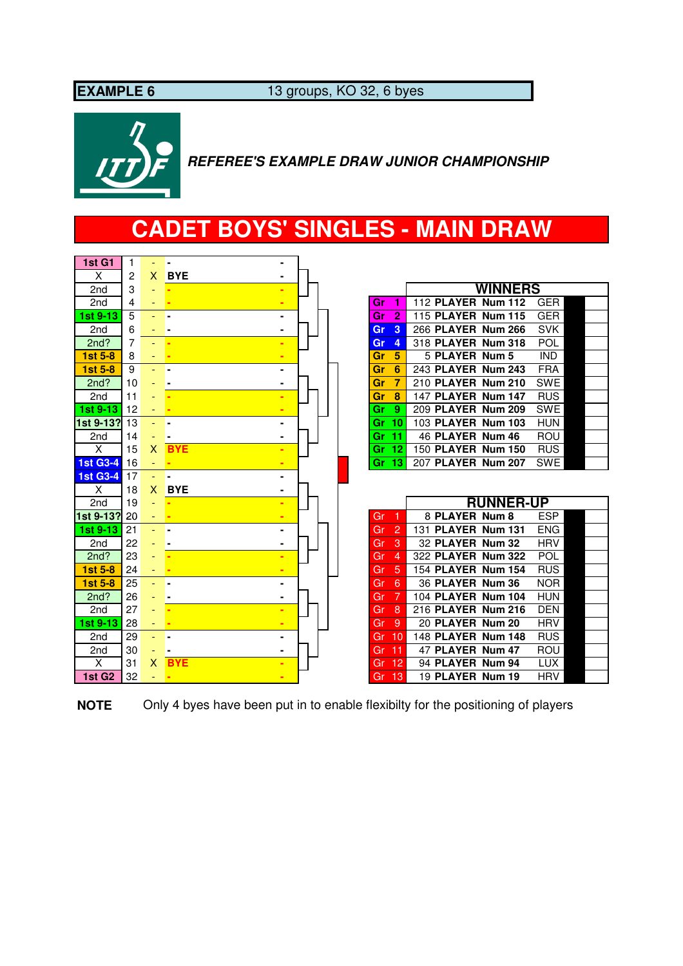**EXAMPLE 6** 13 groups, KO 32, 6 byes



 **REFEREE'S EXAMPLE DRAW JUNIOR CHAMPIONSHIP**

# **CADET BOYS' SINGLES - MAIN DRAW**

| 1st G1           | 1  |              |            |                |  |
|------------------|----|--------------|------------|----------------|--|
| X                | 2  | $\mathsf{X}$ | <b>BYE</b> |                |  |
| 2 <sub>nd</sub>  | 3  |              |            |                |  |
| 2 <sub>nd</sub>  | 4  | ٠            |            |                |  |
| 1st 9-13         | 5  |              |            |                |  |
| 2 <sub>nd</sub>  | 6  |              |            |                |  |
| 2nd?             | 7  |              |            |                |  |
| <b>1st 5-8</b>   | 8  |              |            |                |  |
| $1st5-8$         | 9  |              |            |                |  |
| 2nd?             | 10 |              |            | $\blacksquare$ |  |
| 2 <sub>nd</sub>  | 11 |              |            |                |  |
| 1st 9-13         | 12 |              |            |                |  |
| 1st 9-13?        | 13 |              |            |                |  |
| 2nd              | 14 |              |            | $\blacksquare$ |  |
| $\times$         | 15 | X            | <b>BYE</b> |                |  |
| <b>1st G3-4</b>  | 16 |              |            |                |  |
| <b>1st G3-4</b>  | 17 |              |            | $\blacksquare$ |  |
| X                | 18 | X.           | <b>BYE</b> | $\blacksquare$ |  |
| 2nd              | 19 |              |            |                |  |
| 1st 9-13?        | 20 |              |            |                |  |
|                  |    |              |            |                |  |
|                  | 21 |              |            |                |  |
| 2 <sub>nd</sub>  | 22 |              |            |                |  |
| 1st 9-13<br>2nd? | 23 |              |            |                |  |
| 1st 5-8          | 24 |              |            |                |  |
| $1st5-8$         | 25 | Ξ.           |            |                |  |
| 2nd?             | 26 |              |            |                |  |
| 2 <sub>nd</sub>  | 27 |              |            |                |  |
|                  | 28 |              |            |                |  |
| 2 <sub>nd</sub>  | 29 | ÷            |            | $\blacksquare$ |  |
| 2 <sub>nd</sub>  | 30 |              |            |                |  |
| 1st 9-13<br>X    | 31 | $\mathsf{X}$ | <b>BYE</b> |                |  |

**NOTE** Only 4 byes have been put in to enable flexibilty for the positioning of players